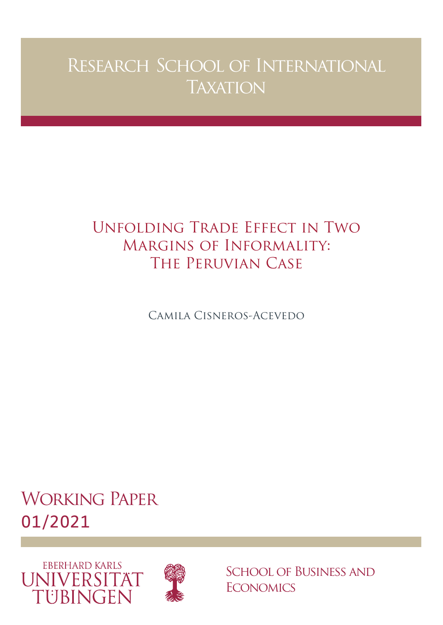# Research School of International **TAXATION**

# Unfolding Trade Effect in Two Margins of Informality: The Peruvian Case

Camila Cisneros-Acevedo

Working Paper 01/2021





School of Business and **ECONOMICS**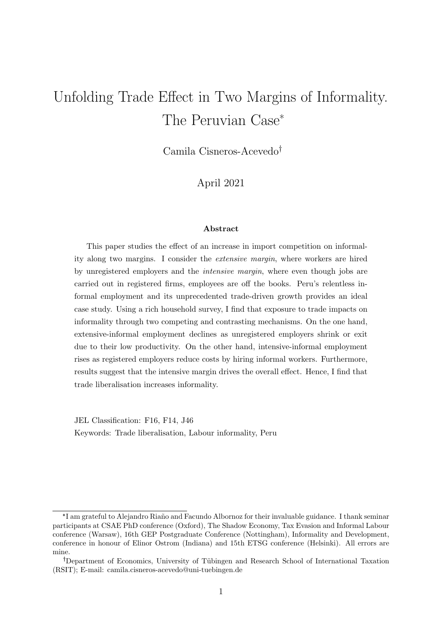# Unfolding Trade Effect in Two Margins of Informality. The Peruvian Case\*

Camila Cisneros-Acevedo

April 2021

#### Abstract

This paper studies the effect of an increase in import competition on informality along two margins. I consider the extensive margin, where workers are hired by unregistered employers and the intensive margin, where even though jobs are carried out in registered firms, employees are off the books. Peru's relentless informal employment and its unprecedented trade-driven growth provides an ideal case study. Using a rich household survey, I find that exposure to trade impacts on informality through two competing and contrasting mechanisms. On the one hand, extensive-informal employment declines as unregistered employers shrink or exit due to their low productivity. On the other hand, intensive-informal employment rises as registered employers reduce costs by hiring informal workers. Furthermore, results suggest that the intensive margin drives the overall effect. Hence, I find that trade liberalisation increases informality.

JEL Classification: F16, F14, J46 Keywords: Trade liberalisation, Labour informality, Peru

<sup>\*</sup>I am grateful to Alejandro Riaño and Facundo Albornoz for their invaluable guidance. I thank seminar participants at CSAE PhD conference (Oxford), The Shadow Economy, Tax Evasion and Informal Labour conference (Warsaw), 16th GEP Postgraduate Conference (Nottingham), Informality and Development, conference in honour of Elinor Ostrom (Indiana) and 15th ETSG conference (Helsinki). All errors are mine.

Department of Economics, University of Tübingen and Research School of International Taxation (RSIT); E-mail: camila.cisneros-acevedo@uni-tuebingen.de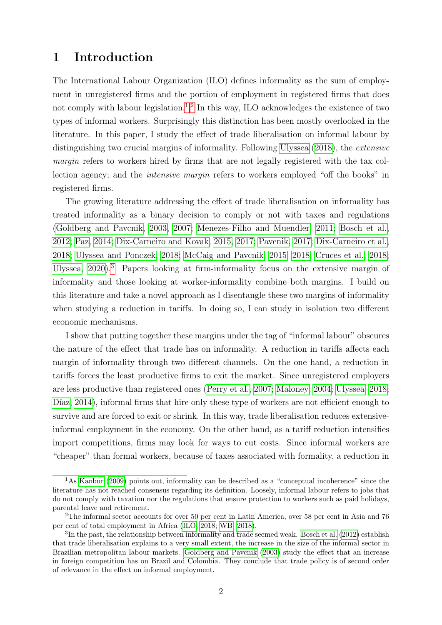### 1 Introduction

The International Labour Organization (ILO) defines informality as the sum of employment in unregistered firms and the portion of employment in registered firms that does not comply with labour legislation.<sup>1,2</sup> In this way, ILO acknowledges the existence of two types of informal workers. Surprisingly this distinction has been mostly overlooked in the literature. In this paper, I study the effect of trade liberalisation on informal labour by distinguishing two crucial margins of informality. Following [Ulyssea](#page-38-0) [\(2018\)](#page-38-0), the extensive margin refers to workers hired by firms that are not legally registered with the tax collection agency; and the intensive margin refers to workers employed "off the books" in registered firms.

The growing literature addressing the effect of trade liberalisation on informality has treated informality as a binary decision to comply or not with taxes and regulations [\(Goldberg and Pavcnik, 2003, 2007;](#page-37-0) [Menezes-Filho and Muendler, 2011;](#page-38-0) [Bosch et al.,](#page-36-0) [2012;](#page-36-0) [Paz, 2014;](#page-38-0) [Dix-Carneiro and Kovak, 2015, 2017;](#page-36-0) [Pavcnik, 2017;](#page-38-0) [Dix-Carneiro et al.,](#page-36-0) [2018;](#page-36-0) [Ulyssea and Ponczek, 2018;](#page-39-0) [McCaig and Pavcnik, 2015, 2018;](#page-37-0) [Cruces et al., 2018;](#page-36-0) [Ulyssea, 2020\)](#page-38-0).<sup>3</sup> Papers looking at firm-informality focus on the extensive margin of informality and those looking at worker-informality combine both margins. I build on this literature and take a novel approach as I disentangle these two margins of informality when studying a reduction in tariffs. In doing so, I can study in isolation two different economic mechanisms.

I show that putting together these margins under the tag of "informal labour" obscures the nature of the effect that trade has on informality. A reduction in tariffs affects each margin of informality through two different channels. On the one hand, a reduction in tariffs forces the least productive firms to exit the market. Since unregistered employers are less productive than registered ones [\(Perry et al., 2007;](#page-38-0) [Maloney, 2004;](#page-37-0) [Ulyssea, 2018;](#page-38-0) Díaz, 2014), informal firms that hire only these type of workers are not efficient enough to survive and are forced to exit or shrink. In this way, trade liberalisation reduces extensiveinformal employment in the economy. On the other hand, as a tariff reduction intensifies import competitions, firms may look for ways to cut costs. Since informal workers are "cheaper" than formal workers, because of taxes associated with formality, a reduction in

<sup>1</sup>As [Kanbur](#page-37-0) [\(2009\)](#page-37-0) points out, informality can be described as a "conceptual incoherence" since the literature has not reached consensus regarding its definition. Loosely, informal labour refers to jobs that do not comply with taxation nor the regulations that ensure protection to workers such as paid holidays, parental leave and retirement.

<sup>2</sup>The informal sector accounts for over 50 per cent in Latin America, over 58 per cent in Asia and 76 per cent of total employment in Africa [\(ILO, 2018;](#page-37-0) [WB, 2018\)](#page-39-0).

 ${}^{3}$ In the past, the relationship between informality and trade seemed weak. [Bosch et al.](#page-36-0) [\(2012\)](#page-36-0) establish that trade liberalisation explains to a very small extent, the increase in the size of the informal sector in Brazilian metropolitan labour markets. [Goldberg and Pavcnik](#page-37-0) [\(2003\)](#page-37-0) study the effect that an increase in foreign competition has on Brazil and Colombia. They conclude that trade policy is of second order of relevance in the effect on informal employment.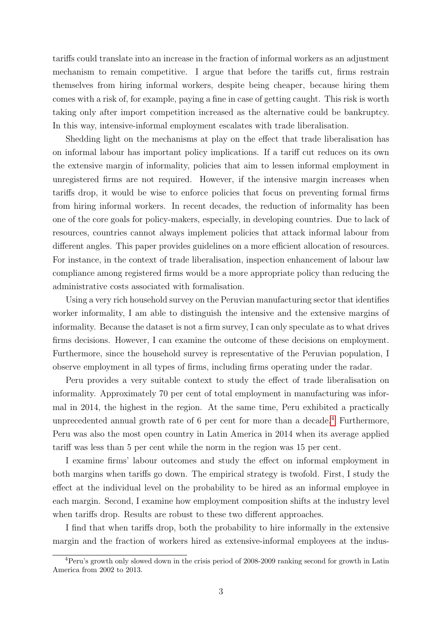tariffs could translate into an increase in the fraction of informal workers as an adjustment mechanism to remain competitive. I argue that before the tariffs cut, firms restrain themselves from hiring informal workers, despite being cheaper, because hiring them comes with a risk of, for example, paying a fine in case of getting caught. This risk is worth taking only after import competition increased as the alternative could be bankruptcy. In this way, intensive-informal employment escalates with trade liberalisation.

Shedding light on the mechanisms at play on the effect that trade liberalisation has on informal labour has important policy implications. If a tariff cut reduces on its own the extensive margin of informality, policies that aim to lessen informal employment in unregistered firms are not required. However, if the intensive margin increases when tariffs drop, it would be wise to enforce policies that focus on preventing formal firms from hiring informal workers. In recent decades, the reduction of informality has been one of the core goals for policy-makers, especially, in developing countries. Due to lack of resources, countries cannot always implement policies that attack informal labour from different angles. This paper provides guidelines on a more efficient allocation of resources. For instance, in the context of trade liberalisation, inspection enhancement of labour law compliance among registered firms would be a more appropriate policy than reducing the administrative costs associated with formalisation.

Using a very rich household survey on the Peruvian manufacturing sector that identifies worker informality, I am able to distinguish the intensive and the extensive margins of informality. Because the dataset is not a firm survey, I can only speculate as to what drives firms decisions. However, I can examine the outcome of these decisions on employment. Furthermore, since the household survey is representative of the Peruvian population, I observe employment in all types of firms, including firms operating under the radar.

Peru provides a very suitable context to study the effect of trade liberalisation on informality. Approximately 70 per cent of total employment in manufacturing was informal in 2014, the highest in the region. At the same time, Peru exhibited a practically unprecedented annual growth rate of  $6$  per cent for more than a decade.<sup>4</sup> Furthermore, Peru was also the most open country in Latin America in 2014 when its average applied tariff was less than 5 per cent while the norm in the region was 15 per cent.

I examine firms' labour outcomes and study the effect on informal employment in both margins when tariffs go down. The empirical strategy is twofold. First, I study the effect at the individual level on the probability to be hired as an informal employee in each margin. Second, I examine how employment composition shifts at the industry level when tariffs drop. Results are robust to these two different approaches.

I find that when tariffs drop, both the probability to hire informally in the extensive margin and the fraction of workers hired as extensive-informal employees at the indus-

<sup>4</sup>Peru's growth only slowed down in the crisis period of 2008-2009 ranking second for growth in Latin America from 2002 to 2013.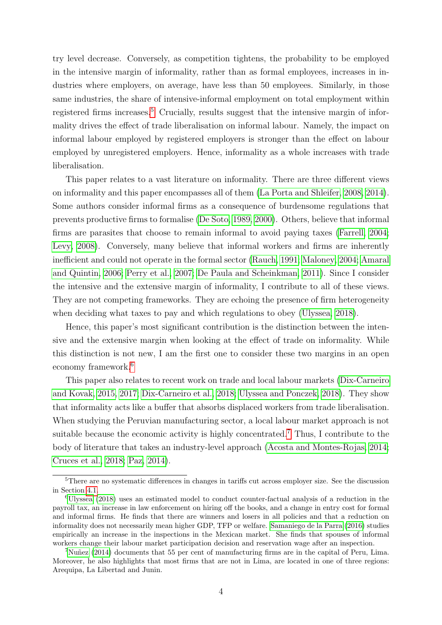try level decrease. Conversely, as competition tightens, the probability to be employed in the intensive margin of informality, rather than as formal employees, increases in industries where employers, on average, have less than 50 employees. Similarly, in those same industries, the share of intensive-informal employment on total employment within registered firms increases.<sup>5</sup> Crucially, results suggest that the intensive margin of informality drives the effect of trade liberalisation on informal labour. Namely, the impact on informal labour employed by registered employers is stronger than the effect on labour employed by unregistered employers. Hence, informality as a whole increases with trade liberalisation.

This paper relates to a vast literature on informality. There are three different views on informality and this paper encompasses all of them [\(La Porta and Shleifer, 2008, 2014\)](#page-37-0). Some authors consider informal firms as a consequence of burdensome regulations that prevents productive firms to formalise [\(De Soto, 1989, 2000\)](#page-36-0). Others, believe that informal firms are parasites that choose to remain informal to avoid paying taxes [\(Farrell, 2004;](#page-36-0) [Levy, 2008\)](#page-37-0). Conversely, many believe that informal workers and firms are inherently inefficient and could not operate in the formal sector [\(Rauch, 1991;](#page-38-0) [Maloney, 2004;](#page-37-0) [Amaral](#page-36-0) [and Quintin, 2006;](#page-36-0) [Perry et al., 2007;](#page-38-0) [De Paula and Scheinkman, 2011\)](#page-36-0). Since I consider the intensive and the extensive margin of informality, I contribute to all of these views. They are not competing frameworks. They are echoing the presence of firm heterogeneity when deciding what taxes to pay and which regulations to obey [\(Ulyssea, 2018\)](#page-38-0).

Hence, this paper's most significant contribution is the distinction between the intensive and the extensive margin when looking at the effect of trade on informality. While this distinction is not new, I am the first one to consider these two margins in an open economy framework.<sup>6</sup>

This paper also relates to recent work on trade and local labour markets [\(Dix-Carneiro](#page-36-0) [and Kovak, 2015, 2017; Dix-Carneiro et al., 2018;](#page-36-0) [Ulyssea and Ponczek, 2018\)](#page-39-0). They show that informality acts like a buffer that absorbs displaced workers from trade liberalisation. When studying the Peruvian manufacturing sector, a local labour market approach is not suitable because the economic activity is highly concentrated.<sup>7</sup> Thus, I contribute to the body of literature that takes an industry-level approach [\(Acosta and Montes-Rojas, 2014;](#page-36-0) [Cruces et al., 2018;](#page-36-0) [Paz, 2014\)](#page-38-0).

<sup>&</sup>lt;sup>5</sup>There are no systematic differences in changes in tariffs cut across employer size. See the discussion in Section [4.1.](#page-20-0)

<sup>6</sup>[Ulyssea](#page-38-0) [\(2018\)](#page-38-0) uses an estimated model to conduct counter-factual analysis of a reduction in the payroll tax, an increase in law enforcement on hiring off the books, and a change in entry cost for formal and informal firms. He finds that there are winners and losers in all policies and that a reduction on informality does not necessarily mean higher GDP, TFP or welfare. [Samaniego de la Parra](#page-38-0) [\(2016\)](#page-38-0) studies empirically an increase in the inspections in the Mexican market. She finds that spouses of informal workers change their labour market participation decision and reservation wage after an inspection.

 $7$ Nuñez [\(2014\)](#page-38-0) documents that 55 per cent of manufacturing firms are in the capital of Peru, Lima. Moreover, he also highlights that most firms that are not in Lima, are located in one of three regions: Arequipa, La Libertad and Junin.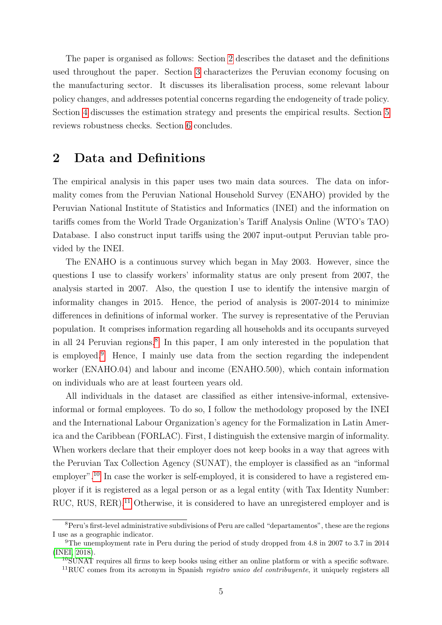<span id="page-5-0"></span>The paper is organised as follows: Section 2 describes the dataset and the definitions used throughout the paper. Section [3](#page-8-0) characterizes the Peruvian economy focusing on the manufacturing sector. It discusses its liberalisation process, some relevant labour policy changes, and addresses potential concerns regarding the endogeneity of trade policy. Section [4](#page-20-0) discusses the estimation strategy and presents the empirical results. Section [5](#page-32-0) reviews robustness checks. Section [6](#page-33-0) concludes.

### 2 Data and Definitions

The empirical analysis in this paper uses two main data sources. The data on informality comes from the Peruvian National Household Survey (ENAHO) provided by the Peruvian National Institute of Statistics and Informatics (INEI) and the information on tariffs comes from the World Trade Organization's Tariff Analysis Online (WTO's TAO) Database. I also construct input tariffs using the 2007 input-output Peruvian table provided by the INEI.

The ENAHO is a continuous survey which began in May 2003. However, since the questions I use to classify workers' informality status are only present from 2007, the analysis started in 2007. Also, the question I use to identify the intensive margin of informality changes in 2015. Hence, the period of analysis is 2007-2014 to minimize differences in definitions of informal worker. The survey is representative of the Peruvian population. It comprises information regarding all households and its occupants surveyed in all 24 Peruvian regions.<sup>8</sup> In this paper, I am only interested in the population that is employed.<sup>9</sup> Hence, I mainly use data from the section regarding the independent worker (ENAHO.04) and labour and income (ENAHO.500), which contain information on individuals who are at least fourteen years old.

All individuals in the dataset are classified as either intensive-informal, extensiveinformal or formal employees. To do so, I follow the methodology proposed by the INEI and the International Labour Organization's agency for the Formalization in Latin America and the Caribbean (FORLAC). First, I distinguish the extensive margin of informality. When workers declare that their employer does not keep books in a way that agrees with the Peruvian Tax Collection Agency (SUNAT), the employer is classified as an "informal employer".<sup>10</sup> In case the worker is self-employed, it is considered to have a registered employer if it is registered as a legal person or as a legal entity (with Tax Identity Number: RUC, RUS, RER).<sup>11</sup> Otherwise, it is considered to have an unregistered employer and is

<sup>8</sup>Peru's first-level administrative subdivisions of Peru are called "departamentos", these are the regions I use as a geographic indicator.

<sup>9</sup>The unemployment rate in Peru during the period of study dropped from 4.8 in 2007 to 3.7 in 2014 [\(INEI, 2018\)](#page-37-0).

 $10$ SUNAT requires all firms to keep books using either an online platform or with a specific software.  $11\text{RUC}$  comes from its acronym in Spanish *registro unico del contribuyente*, it uniquely registers all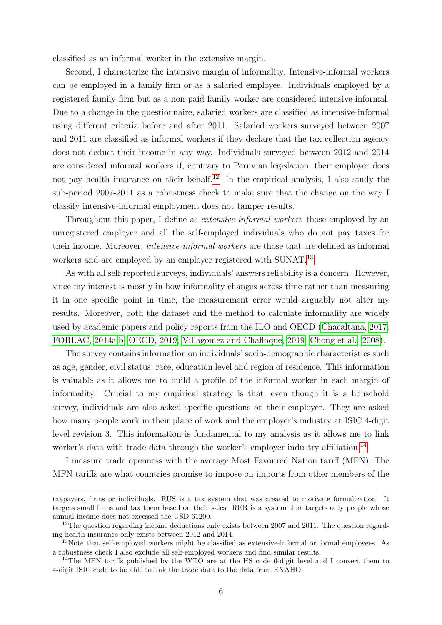classified as an informal worker in the extensive margin.

Second, I characterize the intensive margin of informality. Intensive-informal workers can be employed in a family firm or as a salaried employee. Individuals employed by a registered family firm but as a non-paid family worker are considered intensive-informal. Due to a change in the questionnaire, salaried workers are classified as intensive-informal using different criteria before and after 2011. Salaried workers surveyed between 2007 and 2011 are classified as informal workers if they declare that the tax collection agency does not deduct their income in any way. Individuals surveyed between 2012 and 2014 are considered informal workers if, contrary to Peruvian legislation, their employer does not pay health insurance on their behalf.<sup>12</sup> In the empirical analysis, I also study the sub-period 2007-2011 as a robustness check to make sure that the change on the way I classify intensive-informal employment does not tamper results.

Throughout this paper, I define as *extensive-informal workers* those employed by an unregistered employer and all the self-employed individuals who do not pay taxes for their income. Moreover, intensive-informal workers are those that are defined as informal workers and are employed by an employer registered with SUNAT.<sup>13</sup>

As with all self-reported surveys, individuals' answers reliability is a concern. However, since my interest is mostly in how informality changes across time rather than measuring it in one specific point in time, the measurement error would arguably not alter my results. Moreover, both the dataset and the method to calculate informality are widely used by academic papers and policy reports from the ILO and OECD [\(Chacaltana, 2017;](#page-36-0) [FORLAC, 2014a,b;](#page-37-0) [OECD, 2019;](#page-38-0) [Villagomez and Chafloque, 2019;](#page-39-0) [Chong et al., 2008\)](#page-36-0).

The survey contains information on individuals' socio-demographic characteristics such as age, gender, civil status, race, education level and region of residence. This information is valuable as it allows me to build a profile of the informal worker in each margin of informality. Crucial to my empirical strategy is that, even though it is a household survey, individuals are also asked specific questions on their employer. They are asked how many people work in their place of work and the employer's industry at ISIC 4-digit level revision 3. This information is fundamental to my analysis as it allows me to link worker's data with trade data through the worker's employer industry affiliation.<sup>14</sup>

I measure trade openness with the average Most Favoured Nation tariff (MFN). The MFN tariffs are what countries promise to impose on imports from other members of the

taxpayers, firms or individuals. RUS is a tax system that was created to motivate formalization. It targets small firms and tax them based on their sales. RER is a system that targets only people whose annual income does not excessed the USD 61200.

<sup>&</sup>lt;sup>12</sup>The question regarding income deductions only exists between 2007 and 2011. The question regarding health insurance only exists between 2012 and 2014.

<sup>&</sup>lt;sup>13</sup>Note that self-employed workers might be classified as extensive-informal or formal employees. As a robustness check I also exclude all self-employed workers and find similar results.

<sup>&</sup>lt;sup>14</sup>The MFN tariffs published by the WTO are at the HS code 6-digit level and I convert them to 4-digit ISIC code to be able to link the trade data to the data from ENAHO.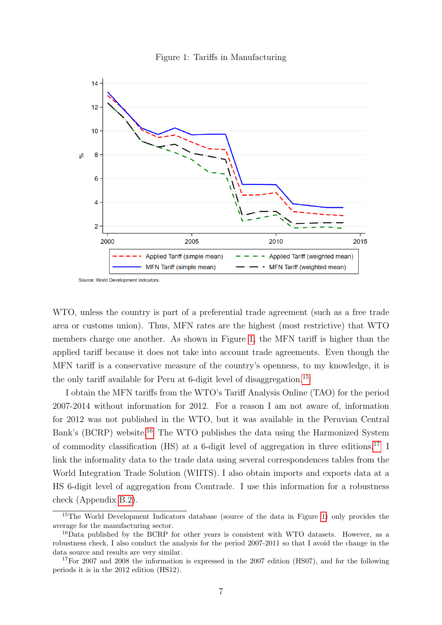



WTO, unless the country is part of a preferential trade agreement (such as a free trade area or customs union). Thus, MFN rates are the highest (most restrictive) that WTO members charge one another. As shown in Figure 1, the MFN tariff is higher than the applied tariff because it does not take into account trade agreements. Even though the MFN tariff is a conservative measure of the country's openness, to my knowledge, it is the only tariff available for Peru at 6-digit level of disaggregation.<sup>15</sup>

I obtain the MFN tariffs from the WTO's Tariff Analysis Online (TAO) for the period 2007-2014 without information for 2012. For a reason I am not aware of, information for 2012 was not published in the WTO, but it was available in the Peruvian Central Bank's (BCRP) website.<sup>16</sup> The WTO publishes the data using the Harmonized System of commodity classification (HS) at a 6-digit level of aggregation in three editions.<sup>17</sup> I link the informality data to the trade data using several correspondences tables from the World Integration Trade Solution (WIITS). I also obtain imports and exports data at a HS 6-digit level of aggregation from Comtrade. I use this information for a robustness check (Appendix [B.2\)](#page-46-0).

<sup>&</sup>lt;sup>15</sup>The World Development Indicators database (source of the data in Figure 1) only provides the average for the manufacturing sector.

<sup>&</sup>lt;sup>16</sup>Data published by the BCRP for other years is consistent with WTO datasets. However, as a robustness check, I also conduct the analysis for the period 2007-2011 so that I avoid the change in the data source and results are very similar.

 $17$  For 2007 and 2008 the information is expressed in the 2007 edition (HS07), and for the following periods it is in the 2012 edition (HS12).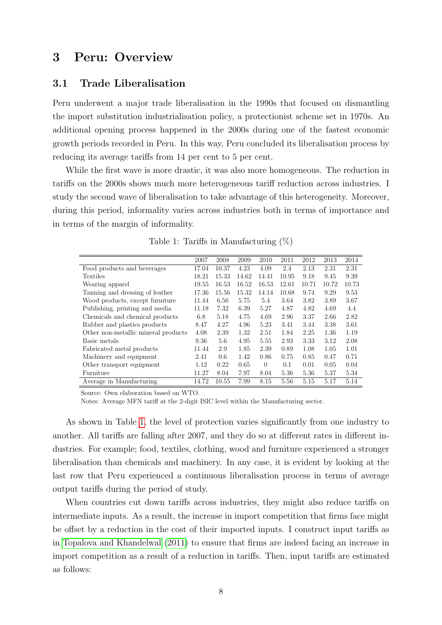### <span id="page-8-0"></span>3 Peru: Overview

#### 3.1 Trade Liberalisation

Peru underwent a major trade liberalisation in the 1990s that focused on dismantling the import substitution industrialisation policy, a protectionist scheme set in 1970s. An additional opening process happened in the 2000s during one of the fastest economic growth periods recorded in Peru. In this way, Peru concluded its liberalisation process by reducing its average tariffs from 14 per cent to 5 per cent.

While the first wave is more drastic, it was also more homogeneous. The reduction in tariffs on the 2000s shows much more heterogeneous tariff reduction across industries. I study the second wave of liberalisation to take advantage of this heterogeneity. Moreover, during this period, informality varies across industries both in terms of importance and in terms of the margin of informality.

|                                     | 2007  | 2008  | 2009  | 2010     | 2011  | 2012  | 2013  | 2014  |
|-------------------------------------|-------|-------|-------|----------|-------|-------|-------|-------|
| Food products and beverages         | 17.04 | 10.37 | 4.23  | 4.09     | 2.4   | 2.13  | 2.31  | 2.31  |
| Textiles                            | 18.21 | 15.33 | 14.62 | 14.41    | 10.95 | 9.18  | 9.45  | 9.39  |
| Wearing apparel                     | 19.55 | 16.53 | 16.52 | 16.53    | 12.61 | 10.71 | 10.72 | 10.73 |
| Tanning and dressing of leather     | 17.36 | 15.56 | 15.32 | 14.14    | 10.68 | 9.74  | 9.29  | 9.53  |
| Wood products, except furniture     | 11.44 | 6.56  | 5.75  | 5.4      | 3.64  | 3.82  | 3.89  | 3.67  |
| Publishing, printing and media      | 11.18 | 7.32  | 6.39  | 5.27     | 4.87  | 4.82  | 4.69  | 4.4   |
| Chemicals and chemical products     | 6.8   | 5.18  | 4.75  | 4.69     | 2.96  | 3.37  | 2.66  | 2.82  |
| Rubber and plastics products        | 8.47  | 4.27  | 4.96  | 5.23     | 3.41  | 3.44  | 3.38  | 3.61  |
| Other non-metallic mineral products | 4.08  | 2.39  | 1.32  | 2.51     | 1.84  | 2.25  | 1.36  | 1.19  |
| Basic metals                        | 9.36  | 5.6   | 4.95  | 5.55     | 2.93  | 3.33  | 3.12  | 2.08  |
| Fabricated metal products           | 11.44 | 2.9   | 1.85  | 2.39     | 0.89  | 1.08  | 1.05  | 1.01  |
| Machinery and equipment             | 2.41  | 0.6   | 1.42  | 0.86     | 0.75  | 0.85  | 0.47  | 0.71  |
| Other transport equipment           | 1.12  | 0.22  | 0.65  | $\Omega$ | 0.1   | 0.01  | 0.05  | 0.04  |
| Furniture                           | 11.27 | 8.04  | 7.97  | 8.04     | 5.36  | 5.36  | 5.37  | 5.34  |
| Average in Manufacturing            | 14.72 | 10.55 | 7.99  | 8.15     | 5.56  | 5.15  | 5.17  | 5.14  |

Table 1: Tariffs in Manufacturing (%)

Source: Own elaboration based on WTO.

Notes: Average MFN tariff at the 2-digit ISIC level within the Manufacturing sector.

As shown in Table 1, the level of protection varies significantly from one industry to another. All tariffs are falling after 2007, and they do so at different rates in different industries. For example; food, textiles, clothing, wood and furniture experienced a stronger liberalisation than chemicals and machinery. In any case, it is evident by looking at the last row that Peru experienced a continuous liberalisation process in terms of average output tariffs during the period of study.

When countries cut down tariffs across industries, they might also reduce tariffs on intermediate inputs. As a result, the increase in import competition that firms face might be offset by a reduction in the cost of their imported inputs. I construct input tariffs as in [Topalova and Khandelwal](#page-38-0) [\(2011\)](#page-38-0) to ensure that firms are indeed facing an increase in import competition as a result of a reduction in tariffs. Then, input tariffs are estimated as follows: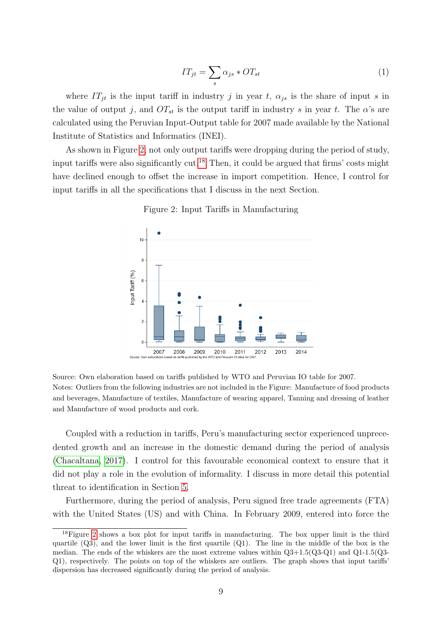$$
IT_{jt} = \sum_{s} \alpha_{js} * OT_{st} \tag{1}
$$

where  $IT_{jt}$  is the input tariff in industry j in year t,  $\alpha_{js}$  is the share of input s in the value of output j, and  $OT_{st}$  is the output tariff in industry s in year t. The  $\alpha$ 's are calculated using the Peruvian Input-Output table for 2007 made available by the National Institute of Statistics and Informatics (INEI).

As shown in Figure 2, not only output tariffs were dropping during the period of study, input tariffs were also significantly cut.<sup>18</sup> Then, it could be argued that firms' costs might have declined enough to offset the increase in import competition. Hence, I control for input tariffs in all the specifications that I discuss in the next Section.

Figure 2: Input Tariffs in Manufacturing



Source: Own elaboration based on tariffs published by WTO and Peruvian IO table for 2007. Notes: Outliers from the following industries are not included in the Figure: Manufacture of food products and beverages, Manufacture of textiles, Manufacture of wearing apparel, Tanning and dressing of leather and Manufacture of wood products and cork.

Coupled with a reduction in tariffs, Peru's manufacturing sector experienced unprecedented growth and an increase in the domestic demand during the period of analysis [\(Chacaltana, 2017\)](#page-36-0). I control for this favourable economical context to ensure that it did not play a role in the evolution of informality. I discuss in more detail this potential threat to identification in Section [5.](#page-32-0)

Furthermore, during the period of analysis, Peru signed free trade agreements (FTA) with the United States (US) and with China. In February 2009, entered into force the

<sup>18</sup>Figure 2 shows a box plot for input tariffs in manufacturing. The box upper limit is the third quartile  $(Q3)$ , and the lower limit is the first quartile  $(Q1)$ . The line in the middle of the box is the median. The ends of the whiskers are the most extreme values within  $Q3+1.5(Q3-Q1)$  and  $Q1-1.5(Q3-$ Q1), respectively. The points on top of the whiskers are outliers. The graph shows that input tariffs' dispersion has decreased significantly during the period of analysis.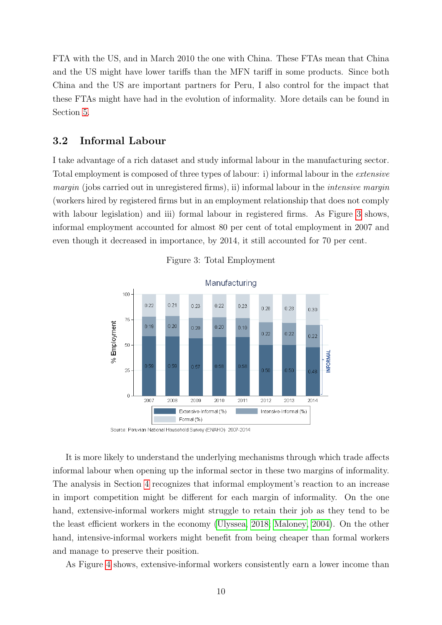FTA with the US, and in March 2010 the one with China. These FTAs mean that China and the US might have lower tariffs than the MFN tariff in some products. Since both China and the US are important partners for Peru, I also control for the impact that these FTAs might have had in the evolution of informality. More details can be found in Section [5.](#page-32-0)

#### 3.2 Informal Labour

I take advantage of a rich dataset and study informal labour in the manufacturing sector. Total employment is composed of three types of labour: i) informal labour in the extensive margin (jobs carried out in unregistered firms), ii) informal labour in the *intensive margin* (workers hired by registered firms but in an employment relationship that does not comply with labour legislation) and iii) formal labour in registered firms. As Figure 3 shows, informal employment accounted for almost 80 per cent of total employment in 2007 and even though it decreased in importance, by 2014, it still accounted for 70 per cent.





Source: Peruvian National Household Survey (ENAHO) 2007-2014

It is more likely to understand the underlying mechanisms through which trade affects informal labour when opening up the informal sector in these two margins of informality. The analysis in Section [4](#page-20-0) recognizes that informal employment's reaction to an increase in import competition might be different for each margin of informality. On the one hand, extensive-informal workers might struggle to retain their job as they tend to be the least efficient workers in the economy [\(Ulyssea, 2018;](#page-38-0) [Maloney, 2004\)](#page-37-0). On the other hand, intensive-informal workers might benefit from being cheaper than formal workers and manage to preserve their position.

As Figure [4](#page-11-0) shows, extensive-informal workers consistently earn a lower income than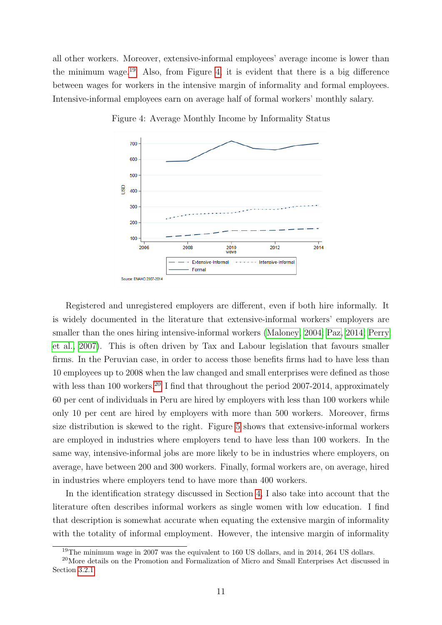<span id="page-11-0"></span>all other workers. Moreover, extensive-informal employees' average income is lower than the minimum wage.<sup>19</sup> Also, from Figure 4, it is evident that there is a big difference between wages for workers in the intensive margin of informality and formal employees. Intensive-informal employees earn on average half of formal workers' monthly salary.



Figure 4: Average Monthly Income by Informality Status

Registered and unregistered employers are different, even if both hire informally. It is widely documented in the literature that extensive-informal workers' employers are smaller than the ones hiring intensive-informal workers [\(Maloney, 2004;](#page-37-0) [Paz, 2014; Perry](#page-38-0) [et al., 2007\)](#page-38-0). This is often driven by Tax and Labour legislation that favours smaller firms. In the Peruvian case, in order to access those benefits firms had to have less than 10 employees up to 2008 when the law changed and small enterprises were defined as those with less than 100 workers.<sup>20</sup> I find that throughout the period 2007-2014, approximately 60 per cent of individuals in Peru are hired by employers with less than 100 workers while only 10 per cent are hired by employers with more than 500 workers. Moreover, firms size distribution is skewed to the right. Figure [5](#page-12-0) shows that extensive-informal workers are employed in industries where employers tend to have less than 100 workers. In the same way, intensive-informal jobs are more likely to be in industries where employers, on average, have between 200 and 300 workers. Finally, formal workers are, on average, hired in industries where employers tend to have more than 400 workers.

In the identification strategy discussed in Section [4,](#page-20-0) I also take into account that the literature often describes informal workers as single women with low education. I find that description is somewhat accurate when equating the extensive margin of informality with the totality of informal employment. However, the intensive margin of informality

<sup>&</sup>lt;sup>19</sup>The minimum wage in 2007 was the equivalent to 160 US dollars, and in 2014, 264 US dollars.

<sup>20</sup>More details on the Promotion and Formalization of Micro and Small Enterprises Act discussed in Section [3.2.1.](#page-13-0)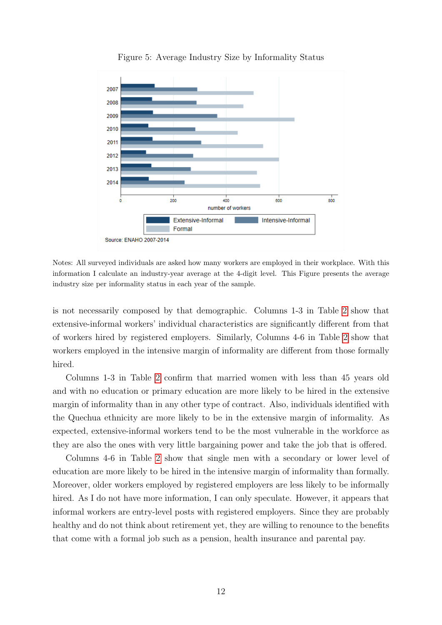<span id="page-12-0"></span>

Figure 5: Average Industry Size by Informality Status

Notes: All surveyed individuals are asked how many workers are employed in their workplace. With this information I calculate an industry-year average at the 4-digit level. This Figure presents the average industry size per informality status in each year of the sample.

is not necessarily composed by that demographic. Columns 1-3 in Table [2](#page-13-0) show that extensive-informal workers' individual characteristics are significantly different from that of workers hired by registered employers. Similarly, Columns 4-6 in Table [2](#page-13-0) show that workers employed in the intensive margin of informality are different from those formally hired.

Columns 1-3 in Table [2](#page-13-0) confirm that married women with less than 45 years old and with no education or primary education are more likely to be hired in the extensive margin of informality than in any other type of contract. Also, individuals identified with the Quechua ethnicity are more likely to be in the extensive margin of informality. As expected, extensive-informal workers tend to be the most vulnerable in the workforce as they are also the ones with very little bargaining power and take the job that is offered.

Columns 4-6 in Table [2](#page-13-0) show that single men with a secondary or lower level of education are more likely to be hired in the intensive margin of informality than formally. Moreover, older workers employed by registered employers are less likely to be informally hired. As I do not have more information, I can only speculate. However, it appears that informal workers are entry-level posts with registered employers. Since they are probably healthy and do not think about retirement yet, they are willing to renounce to the benefits that come with a formal job such as a pension, health insurance and parental pay.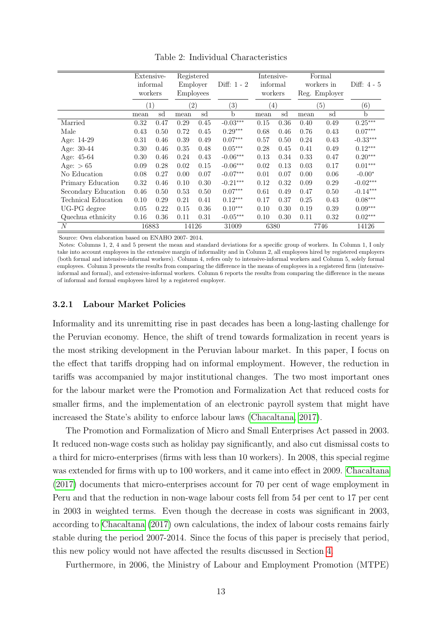<span id="page-13-0"></span>

|                     | Extensive-<br>informal |      | Registered<br>Employer |      | Diff: 1 - 2       | Intensive-<br>informal |      |      | Formal<br>workers in | Diff: $4-5$       |
|---------------------|------------------------|------|------------------------|------|-------------------|------------------------|------|------|----------------------|-------------------|
|                     | workers                |      | <b>Employees</b>       |      |                   | workers                |      |      | Reg. Employer        |                   |
|                     | (1)                    |      | (2)                    |      | $\left( 3\right)$ | $^{(4)}$               |      |      | (5)                  | $\left( 6\right)$ |
|                     | mean                   | sd   | mean                   | sd   | b                 | mean                   | sd   | mean | sd                   | $\mathbf b$       |
| Married             | 0.32                   | 0.47 | 0.29                   | 0.45 | $-0.03***$        | 0.15                   | 0.36 | 0.40 | 0.49                 | $0.25***$         |
| Male                | 0.43                   | 0.50 | 0.72                   | 0.45 | $0.29***$         | 0.68                   | 0.46 | 0.76 | 0.43                 | $0.07***$         |
| Age: 14-29          | 0.31                   | 0.46 | 0.39                   | 0.49 | $0.07***$         | 0.57                   | 0.50 | 0.24 | 0.43                 | $-0.33***$        |
| Age: 30-44          | 0.30                   | 0.46 | 0.35                   | 0.48 | $0.05***$         | 0.28                   | 0.45 | 0.41 | 0.49                 | $0.12***$         |
| Age: 45-64          | 0.30                   | 0.46 | 0.24                   | 0.43 | $-0.06***$        | 0.13                   | 0.34 | 0.33 | 0.47                 | $0.20***$         |
| Age: $> 65$         | 0.09                   | 0.28 | 0.02                   | 0.15 | $-0.06***$        | 0.02                   | 0.13 | 0.03 | 0.17                 | $0.01***$         |
| No Education        | 0.08                   | 0.27 | 0.00                   | 0.07 | $-0.07***$        | 0.01                   | 0.07 | 0.00 | 0.06                 | $-0.00*$          |
| Primary Education   | 0.32                   | 0.46 | 0.10                   | 0.30 | $-0.21***$        | 0.12                   | 0.32 | 0.09 | 0.29                 | $-0.02***$        |
| Secondary Education | 0.46                   | 0.50 | 0.53                   | 0.50 | $0.07***$         | 0.61                   | 0.49 | 0.47 | 0.50                 | $-0.14***$        |
| Technical Education | 0.10                   | 0.29 | 0.21                   | 0.41 | $0.12***$         | 0.17                   | 0.37 | 0.25 | 0.43                 | $0.08***$         |
| UG-PG degree        | 0.05                   | 0.22 | 0.15                   | 0.36 | $0.10***$         | 0.10                   | 0.30 | 0.19 | 0.39                 | $0.09***$         |
| Quechua ethnicity   | 0.16                   | 0.36 | 0.11                   | 0.31 | $-0.05***$        | 0.10                   | 0.30 | 0.11 | 0.32                 | $0.02***$         |
| N                   | 16883                  |      | 14126                  |      | 31009             | 6380                   |      |      | 7746                 | 14126             |

Table 2: Individual Characteristics

Source: Own elaboration based on ENAHO 2007- 2014.

Notes: Columns 1, 2, 4 and 5 present the mean and standard deviations for a specific group of workers. In Column 1, I only take into account employees in the extensive margin of informality and in Column 2, all employees hired by registered employers (both formal and intensive-informal workers). Column 4, refers only to intensive-informal workers and Column 5, solely formal employees. Column 3 presents the results from comparing the difference in the means of employees in a registered firm (intensiveinformal and formal), and extensive-informal workers. Column 6 reports the results from comparing the difference in the means of informal and formal employees hired by a registered employer.

#### 3.2.1 Labour Market Policies

Informality and its unremitting rise in past decades has been a long-lasting challenge for the Peruvian economy. Hence, the shift of trend towards formalization in recent years is the most striking development in the Peruvian labour market. In this paper, I focus on the effect that tariffs dropping had on informal employment. However, the reduction in tariffs was accompanied by major institutional changes. The two most important ones for the labour market were the Promotion and Formalization Act that reduced costs for smaller firms, and the implementation of an electronic payroll system that might have increased the State's ability to enforce labour laws [\(Chacaltana, 2017\)](#page-36-0).

The Promotion and Formalization of Micro and Small Enterprises Act passed in 2003. It reduced non-wage costs such as holiday pay significantly, and also cut dismissal costs to a third for micro-enterprises (firms with less than 10 workers). In 2008, this special regime was extended for firms with up to 100 workers, and it came into effect in 2009. [Chacaltana](#page-36-0) [\(2017\)](#page-36-0) documents that micro-enterprises account for 70 per cent of wage employment in Peru and that the reduction in non-wage labour costs fell from 54 per cent to 17 per cent in 2003 in weighted terms. Even though the decrease in costs was significant in 2003, according to [Chacaltana](#page-36-0) [\(2017\)](#page-36-0) own calculations, the index of labour costs remains fairly stable during the period 2007-2014. Since the focus of this paper is precisely that period, this new policy would not have affected the results discussed in Section [4.](#page-20-0)

Furthermore, in 2006, the Ministry of Labour and Employment Promotion (MTPE)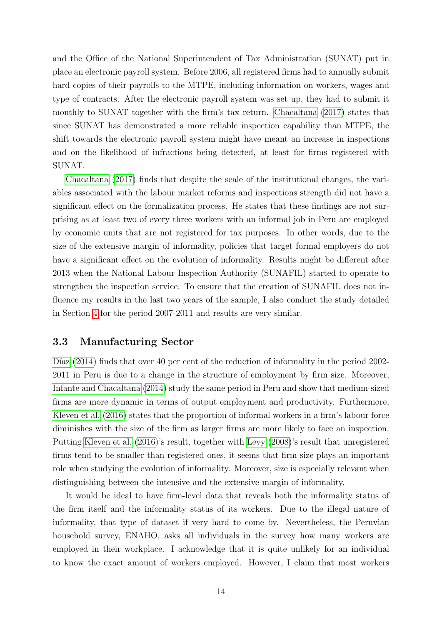and the Office of the National Superintendent of Tax Administration (SUNAT) put in place an electronic payroll system. Before 2006, all registered firms had to annually submit hard copies of their payrolls to the MTPE, including information on workers, wages and type of contracts. After the electronic payroll system was set up, they had to submit it monthly to SUNAT together with the firm's tax return. [Chacaltana](#page-36-0) [\(2017\)](#page-36-0) states that since SUNAT has demonstrated a more reliable inspection capability than MTPE, the shift towards the electronic payroll system might have meant an increase in inspections and on the likelihood of infractions being detected, at least for firms registered with SUNAT.

[Chacaltana](#page-36-0) [\(2017\)](#page-36-0) finds that despite the scale of the institutional changes, the variables associated with the labour market reforms and inspections strength did not have a significant effect on the formalization process. He states that these findings are not surprising as at least two of every three workers with an informal job in Peru are employed by economic units that are not registered for tax purposes. In other words, due to the size of the extensive margin of informality, policies that target formal employers do not have a significant effect on the evolution of informality. Results might be different after 2013 when the National Labour Inspection Authority (SUNAFIL) started to operate to strengthen the inspection service. To ensure that the creation of SUNAFIL does not influence my results in the last two years of the sample, I also conduct the study detailed in Section [4](#page-20-0) for the period 2007-2011 and results are very similar.

### 3.3 Manufacturing Sector

D'az  $(2014)$  finds that over 40 per cent of the reduction of informality in the period 2002-2011 in Peru is due to a change in the structure of employment by firm size. Moreover, [Infante and Chacaltana](#page-37-0) [\(2014\)](#page-37-0) study the same period in Peru and show that medium-sized firms are more dynamic in terms of output employment and productivity. Furthermore, [Kleven et al.](#page-37-0) [\(2016\)](#page-37-0) states that the proportion of informal workers in a firm's labour force diminishes with the size of the firm as larger firms are more likely to face an inspection. Putting [Kleven et al.](#page-37-0) [\(2016\)](#page-37-0)'s result, together with [Levy](#page-37-0) [\(2008\)](#page-37-0)'s result that unregistered firms tend to be smaller than registered ones, it seems that firm size plays an important role when studying the evolution of informality. Moreover, size is especially relevant when distinguishing between the intensive and the extensive margin of informality.

It would be ideal to have firm-level data that reveals both the informality status of the firm itself and the informality status of its workers. Due to the illegal nature of informality, that type of dataset if very hard to come by. Nevertheless, the Peruvian household survey, ENAHO, asks all individuals in the survey how many workers are employed in their workplace. I acknowledge that it is quite unlikely for an individual to know the exact amount of workers employed. However, I claim that most workers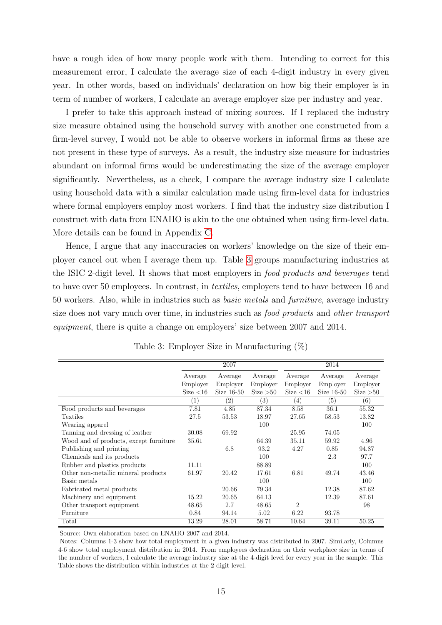<span id="page-15-0"></span>have a rough idea of how many people work with them. Intending to correct for this measurement error, I calculate the average size of each 4-digit industry in every given year. In other words, based on individuals' declaration on how big their employer is in term of number of workers, I calculate an average employer size per industry and year.

I prefer to take this approach instead of mixing sources. If I replaced the industry size measure obtained using the household survey with another one constructed from a firm-level survey, I would not be able to observe workers in informal firms as these are not present in these type of surveys. As a result, the industry size measure for industries abundant on informal firms would be underestimating the size of the average employer significantly. Nevertheless, as a check, I compare the average industry size I calculate using household data with a similar calculation made using firm-level data for industries where formal employers employ most workers. I find that the industry size distribution I construct with data from ENAHO is akin to the one obtained when using firm-level data. More details can be found in Appendix [C.](#page-55-0)

Hence, I argue that any inaccuracies on workers' knowledge on the size of their employer cancel out when I average them up. Table 3 groups manufacturing industries at the ISIC 2-digit level. It shows that most employers in food products and beverages tend to have over 50 employees. In contrast, in textiles, employers tend to have between 16 and 50 workers. Also, while in industries such as basic metals and furniture, average industry size does not vary much over time, in industries such as food products and other transport equipment, there is quite a change on employers' size between 2007 and 2014.

|                                        |                   | 2007              |           |                | 2014         |           |
|----------------------------------------|-------------------|-------------------|-----------|----------------|--------------|-----------|
|                                        | Average           | Average           | Average   | Average        | Average      | Average   |
|                                        | Employer          | Employer          | Employer  | Employer       | Employer     | Employer  |
|                                        | Size $<$ 16       | Size $16-50$      | Size > 50 | Size $<$ 16    | Size $16-50$ | Size > 50 |
|                                        | $\left( 1\right)$ | $\left( 2\right)$ | (3)       | (4)            | (5)          | (6)       |
| Food products and beverages            | 7.81              | 4.85              | 87.34     | 8.58           | 36.1         | 55.32     |
| Textiles                               | 27.5              | 53.53             | 18.97     | 27.65          | 58.53        | 13.82     |
| Wearing apparel                        |                   |                   | 100       |                |              | 100       |
| Tanning and dressing of leather        | 30.08             | 69.92             |           | 25.95          | 74.05        |           |
| Wood and of products, except furniture | 35.61             |                   | 64.39     | 35.11          | 59.92        | 4.96      |
| Publishing and printing                |                   | 6.8               | 93.2      | 4.27           | 0.85         | 94.87     |
| Chemicals and its products             |                   |                   | 100       |                | 2.3          | 97.7      |
| Rubber and plastics products           | 11.11             |                   | 88.89     |                |              | 100       |
| Other non-metallic mineral products    | 61.97             | 20.42             | 17.61     | 6.81           | 49.74        | 43.46     |
| Basic metals                           |                   |                   | 100       |                |              | 100       |
| Fabricated metal products              |                   | 20.66             | 79.34     |                | 12.38        | 87.62     |
| Machinery and equipment                | 15.22             | 20.65             | 64.13     |                | 12.39        | 87.61     |
| Other transport equipment              | 48.65             | 2.7               | 48.65     | $\overline{2}$ |              | 98        |
| Furniture                              | 0.84              | 94.14             | 5.02      | 6.22           | 93.78        |           |
| Total                                  | 13.29             | 28.01             | 58.71     | 10.64          | 39.11        | 50.25     |

Table 3: Employer Size in Manufacturing (%)

Source: Own elaboration based on ENAHO 2007 and 2014.

Notes: Columns 1-3 show how total employment in a given industry was distributed in 2007. Similarly, Columns 4-6 show total employment distribution in 2014. From employees declaration on their workplace size in terms of the number of workers, I calculate the average industry size at the 4-digit level for every year in the sample. This Table shows the distribution within industries at the 2-digit level.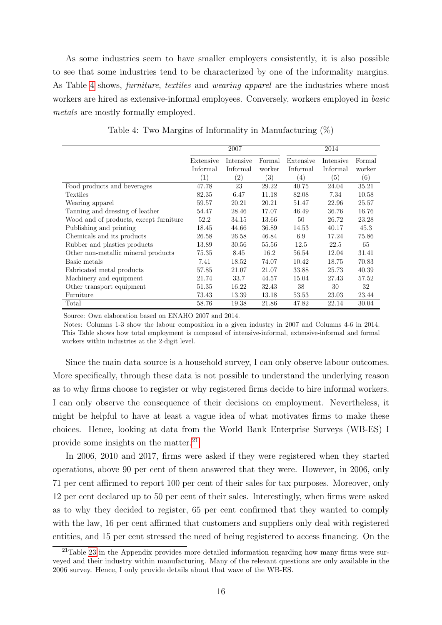<span id="page-16-0"></span>As some industries seem to have smaller employers consistently, it is also possible to see that some industries tend to be characterized by one of the informality margins. As Table 4 shows, furniture, textiles and wearing apparel are the industries where most workers are hired as extensive-informal employees. Conversely, workers employed in *basic* metals are mostly formally employed.

|                                        |              | 2007              |        |                  | 2014      |        |
|----------------------------------------|--------------|-------------------|--------|------------------|-----------|--------|
|                                        | Extensive    | Intensive         | Formal | Extensive        | Intensive | Formal |
|                                        | Informal     | Informal          | worker | Informal         | Informal  | worker |
|                                        | $\mathbf{1}$ | $\left( 2\right)$ | (3)    | $\left(4\right)$ | (5)       | (6)    |
| Food products and beverages            | 47.78        | 23                | 29.22  | 40.75            | 24.04     | 35.21  |
| Textiles                               | 82.35        | 6.47              | 11.18  | 82.08            | 7.34      | 10.58  |
| Wearing apparel                        | 59.57        | 20.21             | 20.21  | 51.47            | 22.96     | 25.57  |
| Tanning and dressing of leather        | 54.47        | 28.46             | 17.07  | 46.49            | 36.76     | 16.76  |
| Wood and of products, except furniture | 52.2         | 34.15             | 13.66  | 50               | 26.72     | 23.28  |
| Publishing and printing                | 18.45        | 44.66             | 36.89  | 14.53            | 40.17     | 45.3   |
| Chemicals and its products             | 26.58        | 26.58             | 46.84  | 6.9              | 17.24     | 75.86  |
| Rubber and plastics products           | 13.89        | 30.56             | 55.56  | 12.5             | 22.5      | 65     |
| Other non-metallic mineral products    | 75.35        | 8.45              | 16.2   | 56.54            | 12.04     | 31.41  |
| Basic metals                           | 7.41         | 18.52             | 74.07  | 10.42            | 18.75     | 70.83  |
| Fabricated metal products              | 57.85        | 21.07             | 21.07  | 33.88            | 25.73     | 40.39  |
| Machinery and equipment                | 21.74        | 33.7              | 44.57  | 15.04            | 27.43     | 57.52  |
| Other transport equipment              | 51.35        | 16.22             | 32.43  | 38               | 30        | 32     |
| Furniture                              | 73.43        | 13.39             | 13.18  | 53.53            | 23.03     | 23.44  |
| Total                                  | 58.76        | 19.38             | 21.86  | 47.82            | 22.14     | 30.04  |

Table 4: Two Margins of Informality in Manufacturing (%)

Source: Own elaboration based on ENAHO 2007 and 2014.

Notes: Columns 1-3 show the labour composition in a given industry in 2007 and Columns 4-6 in 2014. This Table shows how total employment is composed of intensive-informal, extensive-informal and formal workers within industries at the 2-digit level.

Since the main data source is a household survey, I can only observe labour outcomes. More specifically, through these data is not possible to understand the underlying reason as to why firms choose to register or why registered firms decide to hire informal workers. I can only observe the consequence of their decisions on employment. Nevertheless, it might be helpful to have at least a vague idea of what motivates firms to make these choices. Hence, looking at data from the World Bank Enterprise Surveys (WB-ES) I provide some insights on the matter.<sup>21</sup>

In 2006, 2010 and 2017, firms were asked if they were registered when they started operations, above 90 per cent of them answered that they were. However, in 2006, only 71 per cent affirmed to report 100 per cent of their sales for tax purposes. Moreover, only 12 per cent declared up to 50 per cent of their sales. Interestingly, when firms were asked as to why they decided to register, 65 per cent confirmed that they wanted to comply with the law, 16 per cent affirmed that customers and suppliers only deal with registered entities, and 15 per cent stressed the need of being registered to access financing. On the

<sup>&</sup>lt;sup>21</sup>Table [23](#page-56-0) in the Appendix provides more detailed information regarding how many firms were surveyed and their industry within manufacturing. Many of the relevant questions are only available in the 2006 survey. Hence, I only provide details about that wave of the WB-ES.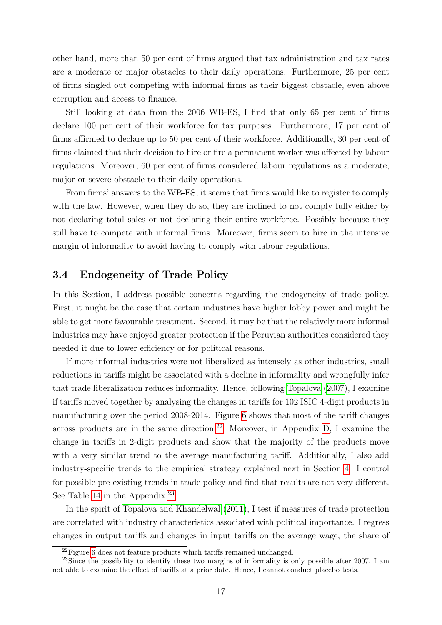other hand, more than 50 per cent of firms argued that tax administration and tax rates are a moderate or major obstacles to their daily operations. Furthermore, 25 per cent of firms singled out competing with informal firms as their biggest obstacle, even above corruption and access to finance.

Still looking at data from the 2006 WB-ES, I find that only 65 per cent of firms declare 100 per cent of their workforce for tax purposes. Furthermore, 17 per cent of firms affirmed to declare up to 50 per cent of their workforce. Additionally, 30 per cent of firms claimed that their decision to hire or fire a permanent worker was affected by labour regulations. Moreover, 60 per cent of firms considered labour regulations as a moderate, major or severe obstacle to their daily operations.

From firms' answers to the WB-ES, it seems that firms would like to register to comply with the law. However, when they do so, they are inclined to not comply fully either by not declaring total sales or not declaring their entire workforce. Possibly because they still have to compete with informal firms. Moreover, firms seem to hire in the intensive margin of informality to avoid having to comply with labour regulations.

### 3.4 Endogeneity of Trade Policy

In this Section, I address possible concerns regarding the endogeneity of trade policy. First, it might be the case that certain industries have higher lobby power and might be able to get more favourable treatment. Second, it may be that the relatively more informal industries may have enjoyed greater protection if the Peruvian authorities considered they needed it due to lower efficiency or for political reasons.

If more informal industries were not liberalized as intensely as other industries, small reductions in tariffs might be associated with a decline in informality and wrongfully infer that trade liberalization reduces informality. Hence, following [Topalova](#page-38-0) [\(2007\)](#page-38-0), I examine if tariffs moved together by analysing the changes in tariffs for 102 ISIC 4-digit products in manufacturing over the period 2008-2014. Figure [6](#page-18-0) shows that most of the tariff changes across products are in the same direction.<sup>22</sup> Moreover, in Appendix [D,](#page-58-0) I examine the change in tariffs in 2-digit products and show that the majority of the products move with a very similar trend to the average manufacturing tariff. Additionally, I also add industry-specific trends to the empirical strategy explained next in Section [4.](#page-20-0) I control for possible pre-existing trends in trade policy and find that results are not very different. See Table [14](#page-45-0) in the Appendix.<sup>23</sup>

In the spirit of [Topalova and Khandelwal](#page-38-0) [\(2011\)](#page-38-0), I test if measures of trade protection are correlated with industry characteristics associated with political importance. I regress changes in output tariffs and changes in input tariffs on the average wage, the share of

<sup>&</sup>lt;sup>22</sup>Figure [6](#page-18-0) does not feature products which tariffs remained unchanged.

 $^{23}$ Since the possibility to identify these two margins of informality is only possible after 2007, I am not able to examine the effect of tariffs at a prior date. Hence, I cannot conduct placebo tests.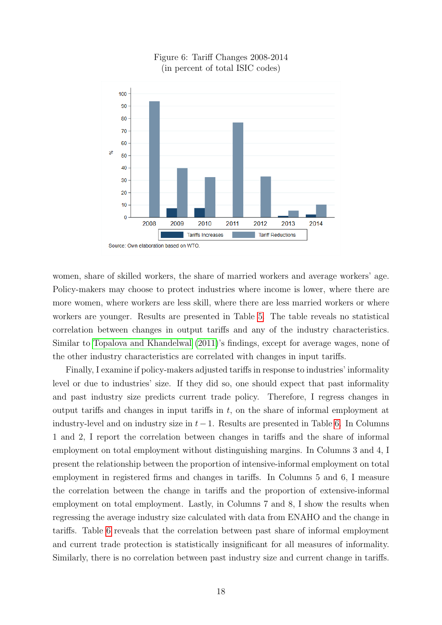<span id="page-18-0"></span>

Figure 6: Tariff Changes 2008-2014 (in percent of total ISIC codes)

women, share of skilled workers, the share of married workers and average workers' age. Policy-makers may choose to protect industries where income is lower, where there are more women, where workers are less skill, where there are less married workers or where workers are younger. Results are presented in Table [5.](#page-19-0) The table reveals no statistical correlation between changes in output tariffs and any of the industry characteristics. Similar to [Topalova and Khandelwal](#page-38-0) [\(2011\)](#page-38-0)'s findings, except for average wages, none of the other industry characteristics are correlated with changes in input tariffs.

Finally, I examine if policy-makers adjusted tariffs in response to industries' informality level or due to industries' size. If they did so, one should expect that past informality and past industry size predicts current trade policy. Therefore, I regress changes in output tariffs and changes in input tariffs in  $t$ , on the share of informal employment at industry-level and on industry size in  $t-1$ . Results are presented in Table [6.](#page-19-0) In Columns 1 and 2, I report the correlation between changes in tariffs and the share of informal employment on total employment without distinguishing margins. In Columns 3 and 4, I present the relationship between the proportion of intensive-informal employment on total employment in registered firms and changes in tariffs. In Columns 5 and 6, I measure the correlation between the change in tariffs and the proportion of extensive-informal employment on total employment. Lastly, in Columns 7 and 8, I show the results when regressing the average industry size calculated with data from ENAHO and the change in tariffs. Table [6](#page-19-0) reveals that the correlation between past share of informal employment and current trade protection is statistically insignificant for all measures of informality. Similarly, there is no correlation between past industry size and current change in tariffs.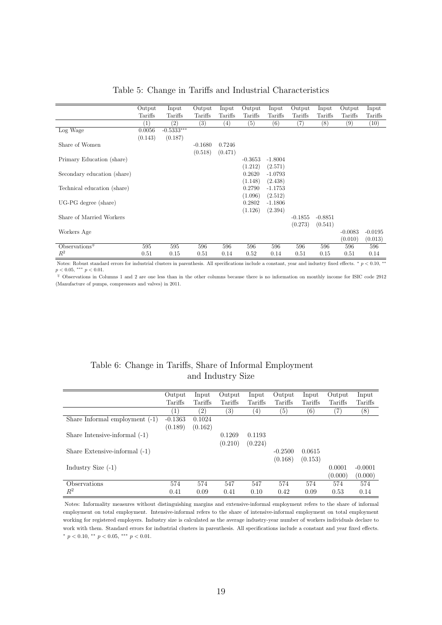<span id="page-19-0"></span>

|                             | Output  | Input      | Output            | Input   | Output            | Input     | Output    | Input     | Output            | Input     |
|-----------------------------|---------|------------|-------------------|---------|-------------------|-----------|-----------|-----------|-------------------|-----------|
|                             | Tariffs | Tariffs    | Tariffs           | Tariffs | Tariffs           | Tariffs   | Tariffs   | Tariffs   | Tariffs           | Tariffs   |
|                             | (1)     | (2)        | $\left( 3\right)$ | (4)     | $\left( 5\right)$ | (6)       | (7)       | (8)       | $\left( 9\right)$ | (10)      |
| Log Wage                    | 0.0056  | $-0.5333*$ |                   |         |                   |           |           |           |                   |           |
|                             | (0.143) | (0.187)    |                   |         |                   |           |           |           |                   |           |
| Share of Women              |         |            | $-0.1680$         | 0.7246  |                   |           |           |           |                   |           |
|                             |         |            | (0.518)           | (0.471) |                   |           |           |           |                   |           |
| Primary Education (share)   |         |            |                   |         | $-0.3653$         | $-1.8004$ |           |           |                   |           |
|                             |         |            |                   |         | (1.212)           | (2.571)   |           |           |                   |           |
| Secondary education (share) |         |            |                   |         | 0.2620            | $-1.0793$ |           |           |                   |           |
|                             |         |            |                   |         | (1.148)           | (2.438)   |           |           |                   |           |
| Technical education (share) |         |            |                   |         | 0.2790            | $-1.1753$ |           |           |                   |           |
|                             |         |            |                   |         | (1.096)           | (2.512)   |           |           |                   |           |
| UG-PG degree (share)        |         |            |                   |         | 0.2802            | $-1.1806$ |           |           |                   |           |
|                             |         |            |                   |         | (1.126)           | (2.394)   |           |           |                   |           |
| Share of Married Workers    |         |            |                   |         |                   |           | $-0.1855$ | $-0.8851$ |                   |           |
|                             |         |            |                   |         |                   |           | (0.273)   | (0.541)   |                   |           |
| Workers Age                 |         |            |                   |         |                   |           |           |           | $-0.0083$         | $-0.0195$ |
|                             |         |            |                   |         |                   |           |           |           | (0.010)           | (0.013)   |
| Observations $\overline{f}$ | 595     | 595        | 596               | 596     | 596               | 596       | 596       | 596       | 596               | 596       |
| $R^2$                       | 0.51    | 0.15       | 0.51              | 0.14    | 0.52              | 0.14      | 0.51      | 0.15      | 0.51              | 0.14      |

#### Table 5: Change in Tariffs and Industrial Characteristics

Notes: Robust standard errors for industrial clusters in parenthesis. All specifications include a constant, year and industry fixed effects. \*  $p < 0.10$ , \*\*  $p < 0.05$ , \*\*\*  $p < 0.01$ .

<sup>∓</sup> Observations in Columns 1 and 2 are one less than in the other columns because there is no information on monthly income for ISIC code 2912 (Manufacture of pumps, compressors and valves) in 2011.

### Table 6: Change in Tariffs, Share of Informal Employment and Industry Size

|                                 | Output           | Input             | Output           | Input   | Output            | Input   | Output  | Input     |
|---------------------------------|------------------|-------------------|------------------|---------|-------------------|---------|---------|-----------|
|                                 | Tariffs          | Tariffs           | Tariffs          | Tariffs | Tariffs           | Tariffs | Tariffs | Tariffs   |
|                                 | $\left  \right $ | $\left( 2\right)$ | $\left(3\right)$ | (4)     | $\left( 5\right)$ | (6)     | '7)     | $^{(8)}$  |
| Share Informal employment (-1)  | $-0.1363$        | 0.1024            |                  |         |                   |         |         |           |
|                                 | (0.189)          | (0.162)           |                  |         |                   |         |         |           |
| Share Intensive-informal $(-1)$ |                  |                   | 0.1269           | 0.1193  |                   |         |         |           |
|                                 |                  |                   | (0.210)          | (0.224) |                   |         |         |           |
| Share Extensive-informal (-1)   |                  |                   |                  |         | $-0.2500$         | 0.0615  |         |           |
|                                 |                  |                   |                  |         | (0.168)           | (0.153) |         |           |
| Industry Size $(-1)$            |                  |                   |                  |         |                   |         | 0.0001  | $-0.0001$ |
|                                 |                  |                   |                  |         |                   |         | (0.000) | (0.000)   |
| Observations                    | 574              | 574               | 547              | 547     | 574               | 574     | 574     | 574       |
| $R^2$                           | 0.41             | 0.09              | 0.41             | 0.10    | 0.42              | 0.09    | 0.53    | 0.14      |

Notes: Informality measures without distinguishing margins and extensive-informal employment refers to the share of informal employment on total employment. Intensive-informal refers to the share of intensive-informal employment on total employment working for registered employers. Industry size is calculated as the average industry-year number of workers individuals declare to work with them. Standard errors for industrial clusters in parenthesis. All specifications include a constant and year fixed effects. \*  $p < 0.10$ , \*\*  $p < 0.05$ , \*\*\*  $p < 0.01$ .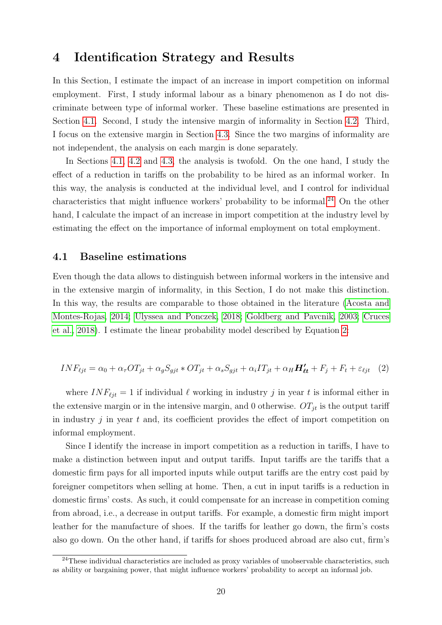### <span id="page-20-0"></span>4 Identification Strategy and Results

In this Section, I estimate the impact of an increase in import competition on informal employment. First, I study informal labour as a binary phenomenon as I do not discriminate between type of informal worker. These baseline estimations are presented in Section 4.1. Second, I study the intensive margin of informality in Section [4.2.](#page-23-0) Third, I focus on the extensive margin in Section [4.3.](#page-28-0) Since the two margins of informality are not independent, the analysis on each margin is done separately.

In Sections 4.1, [4.2](#page-23-0) and [4.3,](#page-28-0) the analysis is twofold. On the one hand, I study the effect of a reduction in tariffs on the probability to be hired as an informal worker. In this way, the analysis is conducted at the individual level, and I control for individual characteristics that might influence workers' probability to be informal.<sup>24</sup> On the other hand, I calculate the impact of an increase in import competition at the industry level by estimating the effect on the importance of informal employment on total employment.

#### 4.1 Baseline estimations

Even though the data allows to distinguish between informal workers in the intensive and in the extensive margin of informality, in this Section, I do not make this distinction. In this way, the results are comparable to those obtained in the literature [\(Acosta and](#page-36-0) [Montes-Rojas, 2014;](#page-36-0) [Ulyssea and Ponczek, 2018;](#page-39-0) [Goldberg and Pavcnik, 2003;](#page-37-0) [Cruces](#page-36-0) [et al., 2018\)](#page-36-0). I estimate the linear probability model described by Equation 2:

$$
INF_{\ell j t} = \alpha_0 + \alpha_\tau OT_{jt} + \alpha_g S_{gjt} * OT_{jt} + \alpha_s S_{gjt} + \alpha_i IT_{jt} + \alpha_H H'_{\ell t} + F_j + F_t + \varepsilon_{\ell j t} \quad (2)
$$

where  $INF_{\ell it} = 1$  if individual  $\ell$  working in industry j in year t is informal either in the extensive margin or in the intensive margin, and 0 otherwise.  $OT_{it}$  is the output tariff in industry  $j$  in year  $t$  and, its coefficient provides the effect of import competition on informal employment.

Since I identify the increase in import competition as a reduction in tariffs, I have to make a distinction between input and output tariffs. Input tariffs are the tariffs that a domestic firm pays for all imported inputs while output tariffs are the entry cost paid by foreigner competitors when selling at home. Then, a cut in input tariffs is a reduction in domestic firms' costs. As such, it could compensate for an increase in competition coming from abroad, i.e., a decrease in output tariffs. For example, a domestic firm might import leather for the manufacture of shoes. If the tariffs for leather go down, the firm's costs also go down. On the other hand, if tariffs for shoes produced abroad are also cut, firm's

<sup>&</sup>lt;sup>24</sup>These individual characteristics are included as proxy variables of unobservable characteristics, such as ability or bargaining power, that might influence workers' probability to accept an informal job.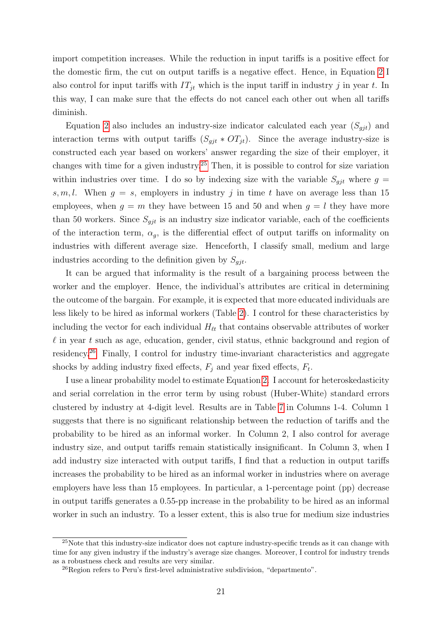import competition increases. While the reduction in input tariffs is a positive effect for the domestic firm, the cut on output tariffs is a negative effect. Hence, in Equation [2](#page-20-0) I also control for input tariffs with  $IT_{jt}$  which is the input tariff in industry j in year t. In this way, I can make sure that the effects do not cancel each other out when all tariffs diminish.

Equation [2](#page-20-0) also includes an industry-size indicator calculated each year  $(S_{qit})$  and interaction terms with output tariffs  $(S_{git} * OT_{jt})$ . Since the average industry-size is constructed each year based on workers' answer regarding the size of their employer, it changes with time for a given industry.<sup>25</sup> Then, it is possible to control for size variation within industries over time. I do so by indexing size with the variable  $S_{qjt}$  where  $g =$ s, m, l. When  $g = s$ , employers in industry j in time t have on average less than 15 employees, when  $g = m$  they have between 15 and 50 and when  $g = l$  they have more than 50 workers. Since  $S_{git}$  is an industry size indicator variable, each of the coefficients of the interaction term,  $\alpha_g$ , is the differential effect of output tariffs on informality on industries with different average size. Henceforth, I classify small, medium and large industries according to the definition given by  $S_{qit}$ .

It can be argued that informality is the result of a bargaining process between the worker and the employer. Hence, the individual's attributes are critical in determining the outcome of the bargain. For example, it is expected that more educated individuals are less likely to be hired as informal workers (Table [2\)](#page-13-0). I control for these characteristics by including the vector for each individual  $H_{\ell t}$  that contains observable attributes of worker  $\ell$  in year t such as age, education, gender, civil status, ethnic background and region of residency.<sup>26</sup> Finally, I control for industry time-invariant characteristics and aggregate shocks by adding industry fixed effects,  $F_j$  and year fixed effects,  $F_t$ .

I use a linear probability model to estimate Equation [2.](#page-20-0) I account for heteroskedasticity and serial correlation in the error term by using robust (Huber-White) standard errors clustered by industry at 4-digit level. Results are in Table [7](#page-24-0) in Columns 1-4. Column 1 suggests that there is no significant relationship between the reduction of tariffs and the probability to be hired as an informal worker. In Column 2, I also control for average industry size, and output tariffs remain statistically insignificant. In Column 3, when I add industry size interacted with output tariffs, I find that a reduction in output tariffs increases the probability to be hired as an informal worker in industries where on average employers have less than 15 employees. In particular, a 1-percentage point (pp) decrease in output tariffs generates a 0.55-pp increase in the probability to be hired as an informal worker in such an industry. To a lesser extent, this is also true for medium size industries

<sup>25</sup>Note that this industry-size indicator does not capture industry-specific trends as it can change with time for any given industry if the industry's average size changes. Moreover, I control for industry trends as a robustness check and results are very similar.

 $^{26}$ Region refers to Peru's first-level administrative subdivision, "departmento".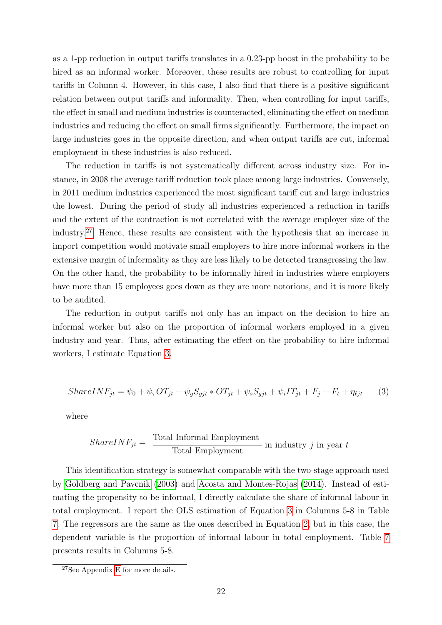as a 1-pp reduction in output tariffs translates in a 0.23-pp boost in the probability to be hired as an informal worker. Moreover, these results are robust to controlling for input tariffs in Column 4. However, in this case, I also find that there is a positive significant relation between output tariffs and informality. Then, when controlling for input tariffs, the effect in small and medium industries is counteracted, eliminating the effect on medium industries and reducing the effect on small firms significantly. Furthermore, the impact on large industries goes in the opposite direction, and when output tariffs are cut, informal employment in these industries is also reduced.

The reduction in tariffs is not systematically different across industry size. For instance, in 2008 the average tariff reduction took place among large industries. Conversely, in 2011 medium industries experienced the most significant tariff cut and large industries the lowest. During the period of study all industries experienced a reduction in tariffs and the extent of the contraction is not correlated with the average employer size of the industry.<sup>27</sup> Hence, these results are consistent with the hypothesis that an increase in import competition would motivate small employers to hire more informal workers in the extensive margin of informality as they are less likely to be detected transgressing the law. On the other hand, the probability to be informally hired in industries where employers have more than 15 employees goes down as they are more notorious, and it is more likely to be audited.

The reduction in output tariffs not only has an impact on the decision to hire an informal worker but also on the proportion of informal workers employed in a given industry and year. Thus, after estimating the effect on the probability to hire informal workers, I estimate Equation 3.

$$
ShareINF_{jt} = \psi_0 + \psi_\tau OT_{jt} + \psi_g S_{gjt} * OT_{jt} + \psi_s S_{gjt} + \psi_i IT_{jt} + F_j + F_t + \eta_{\ell jt}
$$
 (3)

where

$$
ShareINF_{jt} = \frac{\text{Total Informal Employment}}{\text{Total Employment}} \text{ in industry } j \text{ in year } t
$$

This identification strategy is somewhat comparable with the two-stage approach used by [Goldberg and Pavcnik](#page-37-0) [\(2003\)](#page-37-0) and [Acosta and Montes-Rojas](#page-36-0) [\(2014\)](#page-36-0). Instead of estimating the propensity to be informal, I directly calculate the share of informal labour in total employment. I report the OLS estimation of Equation 3 in Columns 5-8 in Table [7.](#page-24-0) The regressors are the same as the ones described in Equation [2,](#page-20-0) but in this case, the dependent variable is the proportion of informal labour in total employment. Table [7](#page-24-0) presents results in Columns 5-8.

<sup>27</sup>See Appendix [E](#page-60-0) for more details.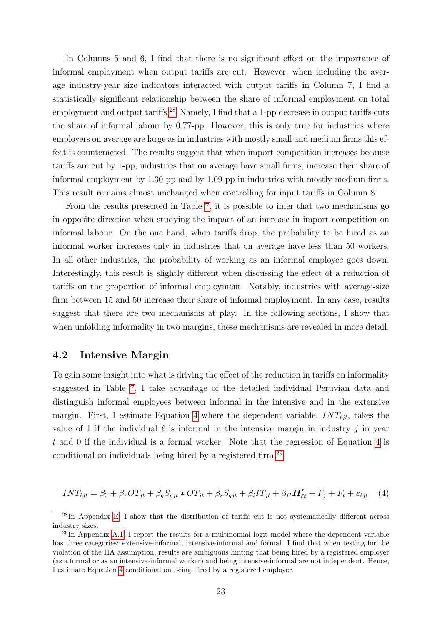<span id="page-23-0"></span>In Columns 5 and 6, I find that there is no significant effect on the importance of informal employment when output tariffs are cut. However, when including the average industry-year size indicators interacted with output tariffs in Column 7, I find a statistically significant relationship between the share of informal employment on total employment and output tariffs.<sup>28</sup> Namely, I find that a 1-pp decrease in output tariffs cuts the share of informal labour by 0.77-pp. However, this is only true for industries where employers on average are large as in industries with mostly small and medium firms this effect is counteracted. The results suggest that when import competition increases because tariffs are cut by 1-pp, industries that on average have small firms, increase their share of informal employment by 1.30-pp and by 1.09-pp in industries with mostly medium firms. This result remains almost unchanged when controlling for input tariffs in Column 8.

From the results presented in Table [7,](#page-24-0) it is possible to infer that two mechanisms go in opposite direction when studying the impact of an increase in import competition on informal labour. On the one hand, when tariffs drop, the probability to be hired as an informal worker increases only in industries that on average have less than 50 workers. In all other industries, the probability of working as an informal employee goes down. Interestingly, this result is slightly different when discussing the effect of a reduction of tariffs on the proportion of informal employment. Notably, industries with average-size firm between 15 and 50 increase their share of informal employment. In any case, results suggest that there are two mechanisms at play. In the following sections, I show that when unfolding informality in two margins, these mechanisms are revealed in more detail.

### 4.2 Intensive Margin

To gain some insight into what is driving the effect of the reduction in tariffs on informality suggested in Table [7,](#page-24-0) I take advantage of the detailed individual Peruvian data and distinguish informal employees between informal in the intensive and in the extensive margin. First, I estimate Equation 4 where the dependent variable,  $INT_{\ell it}$ , takes the value of 1 if the individual  $\ell$  is informal in the intensive margin in industry j in year  $t$  and 0 if the individual is a formal worker. Note that the regression of Equation 4 is conditional on individuals being hired by a registered firm.<sup>29</sup>

$$
INT_{\ell jt} = \beta_0 + \beta_\tau OT_{jt} + \beta_gS_{gjt} * OT_{jt} + \beta_sS_{gjt} + \beta_iIT_{jt} + \beta_HH'_{\ell t} + F_j + F_t + \varepsilon_{\ell jt} \tag{4}
$$

<sup>&</sup>lt;sup>28</sup>In Appendix [E,](#page-60-0) I show that the distribution of tariffs cut is not systematically different across industry sizes.

<sup>29</sup>In Appendix [A.1,](#page-40-0) I report the results for a multinomial logit model where the dependent variable has three categories: extensive-informal, intensive-informal and formal. I find that when testing for the violation of the IIA assumption, results are ambiguous hinting that being hired by a registered employer (as a formal or as an intensive-informal worker) and being intensive-informal are not independent. Hence, I estimate Equation 4 conditional on being hired by a registered employer.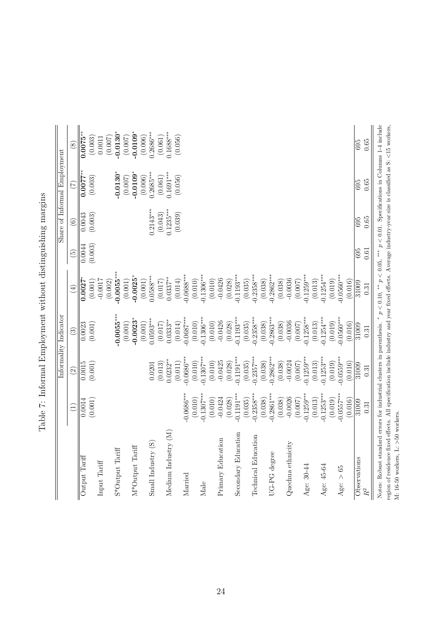<span id="page-24-0"></span>

|                                                                                                                                                             |                        |                          | Informality Indicator   |                         |                   |                        | Share of Informal Employment |                          |
|-------------------------------------------------------------------------------------------------------------------------------------------------------------|------------------------|--------------------------|-------------------------|-------------------------|-------------------|------------------------|------------------------------|--------------------------|
|                                                                                                                                                             | $\bigoplus$            | $\widehat{\odot}$        | $\widehat{S}$           | $\widehat{E}$           | $\widetilde{\Xi}$ | $\odot$                | $\widehat{C}$                | $\circledS$              |
| Output Tariff                                                                                                                                               | 0.0014                 | 0.0015                   | $\frac{0.0023}{2}$      | 0.0027                  | 0.0044            | $\frac{1}{0.0043}$     | $0.0077$ **                  | $\overline{0.0075^{**}}$ |
| Input Tariff                                                                                                                                                | (0.001)                | (0.001)                  | (0.001)                 | (0.001)<br>$-0.0017$    | (0.003)           | (0.003)                | (0.003)                      | (0.003)<br>0.0011        |
| S*Output Tariff                                                                                                                                             |                        |                          | $-0.0055***$            | $-0.0055***$<br>(0.002) |                   |                        | $0.0130^{*}$                 | $-0.0130*$<br>(0.007)    |
|                                                                                                                                                             |                        |                          | (0.001)                 | (0.001)                 |                   |                        | (0.007)                      | (0.007)                  |
| M*Output Tariff                                                                                                                                             |                        |                          | $0.0023*$<br>(0.001)    | $0.0025*$<br>(0.001)    |                   |                        | $-0.0109*$<br>(0.006)        | $-0.0109*$<br>(0.006)    |
| Small Industry (S)                                                                                                                                          |                        | 0.0201                   | $0.0593***$             | $0.0588***$             |                   | $0.2143***$            | $0.2685***$                  | $0.2686***$              |
| Medium Industry (M)                                                                                                                                         |                        | $0.0232***$<br>(0.013)   | $0.0333**$<br>(0.017)   | $0.0337***$<br>(0.017)  |                   | $0.1235***$<br>(0.043) | $0.1691***$<br>(0.061)       | $0.1688***$<br>(0.061)   |
|                                                                                                                                                             |                        | (0.011)                  | (0.014)                 | (0.014)                 |                   | (0.039)                | (0.056)                      | (0.056)                  |
| Married                                                                                                                                                     | $0.0686***$            | $0.0686***$              | $0.0687***$             | $0.0688***$             |                   |                        |                              |                          |
| Male                                                                                                                                                        | $0.1307***$<br>(0.010) | $0.1307***$<br>(0.010)   | $-0.1306***$<br>(0.010) | $0.1306***$<br>(0.010)  |                   |                        |                              |                          |
|                                                                                                                                                             | (0.010)                | (0.010)                  | (0.010)                 | (0.010)                 |                   |                        |                              |                          |
| Primary Education                                                                                                                                           | $-0.0424$              | $-0.0425$                | $-0.0426$               | $-0.0426$               |                   |                        |                              |                          |
|                                                                                                                                                             | (0.028)                | (0.028)                  | (0.028)                 | (0.028)                 |                   |                        |                              |                          |
| Secondary Education                                                                                                                                         | $-0.1191***$           | $0.1191***$              | $0.1193***$             | $0.1193***$             |                   |                        |                              |                          |
|                                                                                                                                                             | (0.035)                | $(0.035)$<br>$0.2357***$ | (0.035)                 | (0.035)                 |                   |                        |                              |                          |
| Technical Education                                                                                                                                         | $-0.2358***$           |                          | $0.2358***$             | $0.2358***$             |                   |                        |                              |                          |
|                                                                                                                                                             | (0.038)                | (0.038)                  | (0.038)                 | (0.038)                 |                   |                        |                              |                          |
| UG-PG degree                                                                                                                                                | $-0.2861***$           | $0.2862***$              | $0.2863***$             | $0.2862***$             |                   |                        |                              |                          |
|                                                                                                                                                             | (0.038)                | (0.038)                  | (0.038)                 | (0.038)                 |                   |                        |                              |                          |
| Quechua ethnicity                                                                                                                                           | $-0.0026$<br>(0.007)   | $-0.0024$<br>(0.007)     | $-0.0036$<br>(0.007)    | $-0.0036$<br>(0.007)    |                   |                        |                              |                          |
| Age: 30-44                                                                                                                                                  | $0.1259***$            | $0.1259***$              | $0.1258***$             | $0.1259***$             |                   |                        |                              |                          |
|                                                                                                                                                             | (0.013)                | (0.013)                  | (0.013)                 | (0.013)                 |                   |                        |                              |                          |
| Age: 45-64                                                                                                                                                  | $0.1253***$            | $0.1253***$              | $0.1254***$             | $0.1254***$             |                   |                        |                              |                          |
|                                                                                                                                                             | (0.019)                | (0.019)                  | (0.019)                 | (0.019)                 |                   |                        |                              |                          |
| Age: $> 65$                                                                                                                                                 | $-0.0557***$           | $0.0559***$              | $-0.0560***$            | $0.0560***$             |                   |                        |                              |                          |
|                                                                                                                                                             | (0.016)                | (0.016)                  | (0.016)                 | (0.016)                 |                   |                        |                              |                          |
| Observations                                                                                                                                                | 31009                  | 31009                    | 31009                   | 31009                   | 695               | 695                    | 695                          | 695                      |
| $R^2$                                                                                                                                                       | 0.31                   | 0.31                     | 0.31                    | 0.31                    | 0.61              | 0.65                   | 0.65                         | 0.65                     |
| Notes: Robust standard errors for industrial clusters in parenthesis. * $p < 0.10$ , ** $p < 0.05$ , *** $p < 0.01$ . Specifications in Columns 1-4 include |                        |                          |                         |                         |                   |                        |                              |                          |
| region of residence fixed effects. All specification include industry and year fixed effects. Average industry-year size is classified as S: <15 workers,   |                        |                          |                         |                         |                   |                        |                              |                          |
| M: 16-50 workers, L: $>$ 50 workers.                                                                                                                        |                        |                          |                         |                         |                   |                        |                              |                          |

| ١<br>l<br>I                                                  |
|--------------------------------------------------------------|
| こうきょう こうしょう こうきょう こうきょうきょう<br>١<br>i<br>ׇ֚֕֡<br>١<br>i<br>į  |
| )<br>)<br>)<br>)<br>i                                        |
| i<br>j<br>۱<br>ׅ֘֒<br>I<br>i<br>ؚ<br>ا<br>$\frac{1}{2}$<br>I |
| i<br>The distribution of the<br>l<br>Í<br>i                  |
| Ì                                                            |
| Í<br>I                                                       |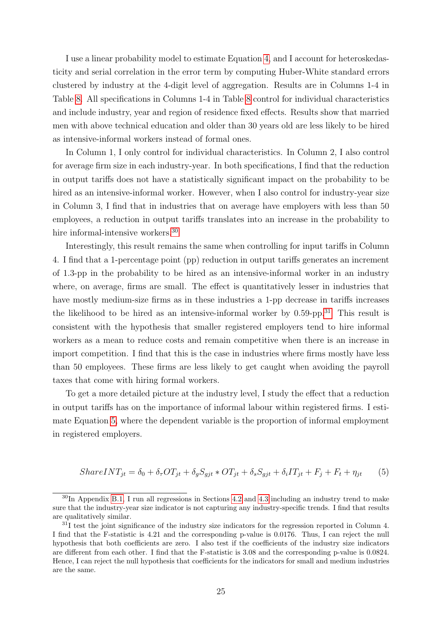<span id="page-25-0"></span>I use a linear probability model to estimate Equation [4,](#page-23-0) and I account for heteroskedasticity and serial correlation in the error term by computing Huber-White standard errors clustered by industry at the 4-digit level of aggregation. Results are in Columns 1-4 in Table [8.](#page-27-0) All specifications in Columns 1-4 in Table [8](#page-27-0) control for individual characteristics and include industry, year and region of residence fixed effects. Results show that married men with above technical education and older than 30 years old are less likely to be hired as intensive-informal workers instead of formal ones.

In Column 1, I only control for individual characteristics. In Column 2, I also control for average firm size in each industry-year. In both specifications, I find that the reduction in output tariffs does not have a statistically significant impact on the probability to be hired as an intensive-informal worker. However, when I also control for industry-year size in Column 3, I find that in industries that on average have employers with less than 50 employees, a reduction in output tariffs translates into an increase in the probability to hire informal-intensive workers.<sup>30</sup>

Interestingly, this result remains the same when controlling for input tariffs in Column 4. I find that a 1-percentage point (pp) reduction in output tariffs generates an increment of 1.3-pp in the probability to be hired as an intensive-informal worker in an industry where, on average, firms are small. The effect is quantitatively lesser in industries that have mostly medium-size firms as in these industries a 1-pp decrease in tariffs increases the likelihood to be hired as an intensive-informal worker by  $0.59$ -pp.<sup>31</sup> This result is consistent with the hypothesis that smaller registered employers tend to hire informal workers as a mean to reduce costs and remain competitive when there is an increase in import competition. I find that this is the case in industries where firms mostly have less than 50 employees. These firms are less likely to get caught when avoiding the payroll taxes that come with hiring formal workers.

To get a more detailed picture at the industry level, I study the effect that a reduction in output tariffs has on the importance of informal labour within registered firms. I estimate Equation 5, where the dependent variable is the proportion of informal employment in registered employers.

$$
ShareINT_{jt} = \delta_0 + \delta_\tau OT_{jt} + \delta_gS_{gjt} * OT_{jt} + \delta_sS_{gjt} + \delta_iIT_{jt} + F_j + F_t + \eta_{jt} \tag{5}
$$

 $30$ In Appendix [B.1,](#page-45-0) I run all regressions in Sections [4.2](#page-23-0) and [4.3](#page-28-0) including an industry trend to make sure that the industry-year size indicator is not capturing any industry-specific trends. I find that results are qualitatively similar.

<sup>&</sup>lt;sup>31</sup>I test the joint significance of the industry size indicators for the regression reported in Column 4. I find that the F-statistic is 4.21 and the corresponding p-value is 0.0176. Thus, I can reject the null hypothesis that both coefficients are zero. I also test if the coefficients of the industry size indicators are different from each other. I find that the F-statistic is 3.08 and the corresponding p-value is 0.0824. Hence, I can reject the null hypothesis that coefficients for the indicators for small and medium industries are the same.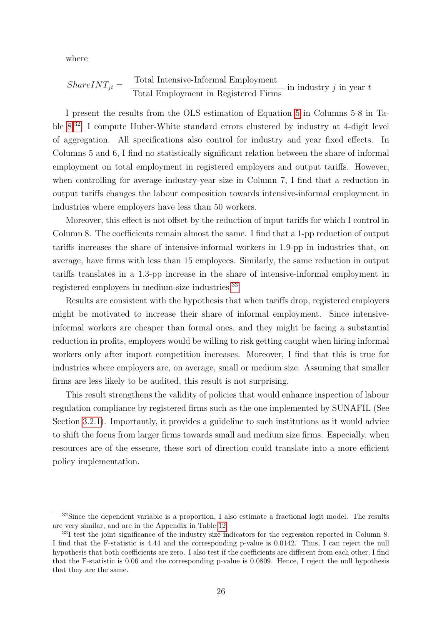where

$$
ShareINT_{jt} = \frac{\text{Total Intensive-Informal Employment}}{\text{Total Employment in Registered Firms}} \text{ in industry } j \text{ in year } t
$$

I present the results from the OLS estimation of Equation [5](#page-25-0) in Columns 5-8 in Table [8.](#page-27-0)<sup>32</sup> I compute Huber-White standard errors clustered by industry at 4-digit level of aggregation. All specifications also control for industry and year fixed effects. In Columns 5 and 6, I find no statistically significant relation between the share of informal employment on total employment in registered employers and output tariffs. However, when controlling for average industry-year size in Column 7, I find that a reduction in output tariffs changes the labour composition towards intensive-informal employment in industries where employers have less than 50 workers.

Moreover, this effect is not offset by the reduction of input tariffs for which I control in Column 8. The coefficients remain almost the same. I find that a 1-pp reduction of output tariffs increases the share of intensive-informal workers in 1.9-pp in industries that, on average, have firms with less than 15 employees. Similarly, the same reduction in output tariffs translates in a 1.3-pp increase in the share of intensive-informal employment in registered employers in medium-size industries.<sup>33</sup>

Results are consistent with the hypothesis that when tariffs drop, registered employers might be motivated to increase their share of informal employment. Since intensiveinformal workers are cheaper than formal ones, and they might be facing a substantial reduction in profits, employers would be willing to risk getting caught when hiring informal workers only after import competition increases. Moreover, I find that this is true for industries where employers are, on average, small or medium size. Assuming that smaller firms are less likely to be audited, this result is not surprising.

This result strengthens the validity of policies that would enhance inspection of labour regulation compliance by registered firms such as the one implemented by SUNAFIL (See Section [3.2.1\)](#page-13-0). Importantly, it provides a guideline to such institutions as it would advice to shift the focus from larger firms towards small and medium size firms. Especially, when resources are of the essence, these sort of direction could translate into a more efficient policy implementation.

 $32$ Since the dependent variable is a proportion, I also estimate a fractional logit model. The results are very similar, and are in the Appendix in Table [12.](#page-43-0)

<sup>33</sup>I test the joint significance of the industry size indicators for the regression reported in Column 8. I find that the F-statistic is 4.44 and the corresponding p-value is 0.0142. Thus, I can reject the null hypothesis that both coefficients are zero. I also test if the coefficients are different from each other, I find that the F-statistic is 0.06 and the corresponding p-value is 0.0809. Hence, I reject the null hypothesis that they are the same.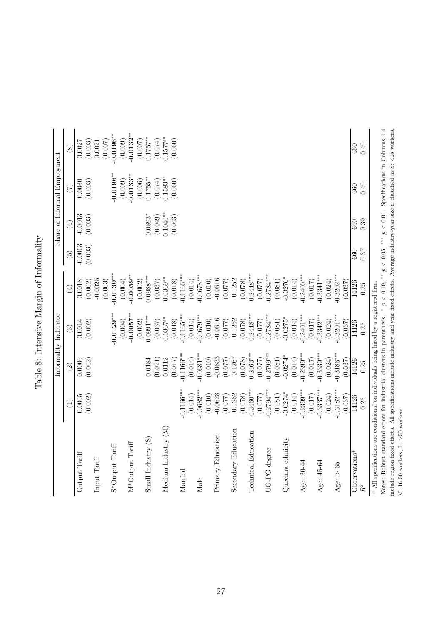<span id="page-27-0"></span>

|                                                                                                                                                       |                         |                         | Informality Indicator   |                        |                      |                      | Share of Informal Employment |                        |
|-------------------------------------------------------------------------------------------------------------------------------------------------------|-------------------------|-------------------------|-------------------------|------------------------|----------------------|----------------------|------------------------------|------------------------|
|                                                                                                                                                       | $\widehat{\Xi}$         | $\widehat{2}$           | $\odot$                 | $\bigoplus$            | $\widetilde{5}$      | $\widehat{6}$        | $\widehat{C}$                | $\circledS$            |
| Output Tariff                                                                                                                                         | 0.0005<br>(0.002)       | 0.0006<br>(0.002)       | (0.002)<br>0.0014       | (0.002)<br>0.0018      | $-0.0013$<br>(0.003) | $-0.0013$<br>(0.003) | (0.003)<br>0.0030            | (0.003)<br>0.0027      |
| Input Tariff                                                                                                                                          |                         |                         |                         | $-0.0025$<br>(0.003)   |                      |                      |                              | (0.007)<br>0.0021      |
| S*Output Tariff                                                                                                                                       |                         |                         | $0.0129***$             | $-0.0130***$           |                      |                      | $0.0196**$                   | $-0.0196**$            |
| M*Output Tariff                                                                                                                                       |                         |                         | $-0.0057***$<br>(0.004) | $0.0059**$<br>(0.004)  |                      |                      | $-0.0133**$<br>(0.009)       | $0.0132***$<br>(0.009) |
|                                                                                                                                                       |                         |                         | (0.002)                 | (0.002)                |                      |                      | (0.006)                      | (0.007)                |
| $Small$ Industry $(S)$                                                                                                                                |                         | 0.0184<br>(0.021)       | $0.0991***$<br>(0.037)  | $0.0988***$<br>(0.037) |                      | $0.0893*$<br>(0.049) | $0.1755***$<br>(0.074)       | $0.1757***$<br>(0.074) |
| Medium Industry (M)                                                                                                                                   |                         | 0.0112                  | $0.0367***$             | $0.0369***$            |                      | $0.1040**$           | $0.1583***$                  | $0.1577***$            |
| Married                                                                                                                                               | $-0.1166***$            | $-0.1166***$<br>(0.017) | $0.1165***$<br>(0.018)  | $0.1166***$<br>(0.018) |                      | (0.043)              | (0.060)                      | (0.060)                |
|                                                                                                                                                       | (0.014)                 | (0.014)                 | (0.014)                 | (0.014)                |                      |                      |                              |                        |
| Male                                                                                                                                                  | $-0.0682***$            | $-0.0681***$            | $0.0679***$             | $0.0678***$            |                      |                      |                              |                        |
|                                                                                                                                                       | (0.010)                 | (0.010)                 | (0.010)                 | (0.010)                |                      |                      |                              |                        |
| Primary Education                                                                                                                                     | $-0.0628$               | $-0.0633$               | $-0.0616$               | $-0.0616$              |                      |                      |                              |                        |
| Secondary Education                                                                                                                                   | $-0.1262$<br>(0.077)    | $-0.1267$<br>(0.077)    | $-0.1252$<br>(0.077)    | $-0.1252$<br>(0.077)   |                      |                      |                              |                        |
|                                                                                                                                                       | (0.078)                 | (0.078)                 | (0.078)                 | (0.078)                |                      |                      |                              |                        |
| <b>Technical Education</b>                                                                                                                            | $-0.2460***$            | $-0.2463***$            | $0.2448***$             | $0.2448***$            |                      |                      |                              |                        |
|                                                                                                                                                       | (0.077)                 | (0.077)                 | (0.077)                 | (0.077)                |                      |                      |                              |                        |
| UG-PG degree                                                                                                                                          | $-0.2794***$            | $0.2799***$             | $0.2784***$             | $0.2784***$            |                      |                      |                              |                        |
| Quechua ethnicity                                                                                                                                     | $-0.0274*$<br>(0.081)   | $-0.0274*$<br>(0.081)   | $0.0275*$<br>(0.081)    | $-0.0276*$<br>(0.081)  |                      |                      |                              |                        |
|                                                                                                                                                       | (0.014)                 | (0.014)                 | (0.014)                 | (0.014)                |                      |                      |                              |                        |
| Age: 30-44                                                                                                                                            | $-0.2399***$            | $0.2399***$             | $0.2401***$             | $0.2400***$            |                      |                      |                              |                        |
| Age: 45-64                                                                                                                                            | $-0.3337***$<br>(0.017) | $-0.3339***$<br>(0.017) | $0.3342***$<br>(0.017)  | $0.3341***$<br>(0.017) |                      |                      |                              |                        |
|                                                                                                                                                       | (0.024)                 | (0.024)                 | (0.024)                 | (0.024)                |                      |                      |                              |                        |
| Age: $> 65$                                                                                                                                           | $-0.3182***$            | $-0.3186***$            | $0.3201***$             | $0.3202***$            |                      |                      |                              |                        |
|                                                                                                                                                       | (0.037)                 | (0.037)                 | (0.037)                 | (0.037)                |                      |                      |                              |                        |
| O <sub>best</sub> <sub>station</sub>                                                                                                                  | 14126                   | 14126                   | 14126                   | 14126                  | 660                  | 660                  | 660                          | 660                    |
| $\ensuremath{R^2}$                                                                                                                                    | 0.25                    | 0.25                    | 0.25                    | 0.25                   | 0.87                 | 0.39                 | 0.40                         | 0.40                   |
| $\mp$ All specifications are conditional on individuals being hired by a registered firm.                                                             |                         |                         |                         |                        |                      |                      |                              |                        |
| Notes: Robust standard errors for industrial clusters in parenthesis. * $p < 0.10$ , *** $p < 0.01$ . Specifications in Columns 1-4                   |                         |                         |                         |                        |                      |                      |                              |                        |
| include region fixed effects. All specifications include industry and year fixed effects. Average industry-year size is classified as S: <15 workers, |                         |                         |                         |                        |                      |                      |                              |                        |
| M: 16-50 workers, L: $>50$ workers.                                                                                                                   |                         |                         |                         |                        |                      |                      |                              |                        |

| ֧֧֧֧֦֧֧֦֧֚֚֚֚֚֚֚֚֚֚֚֚֚֚֚֚֚֬֡֓֕֓֕֓֡֓֓֡֓֓֜֓<br>$\frac{1}{2}$<br>l<br>į<br>Í<br>j |
|--------------------------------------------------------------------------------|
|                                                                                |
| $\sim$ $ -$<br>Í<br>j<br>i                                                     |
| くりゅう くうくし<br>Í                                                                 |
| I<br>j<br>j                                                                    |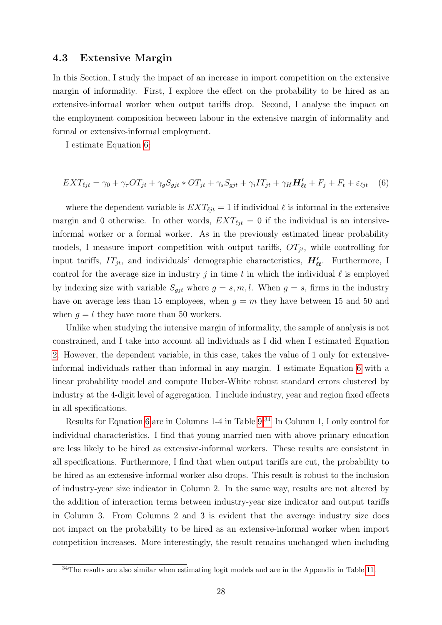#### <span id="page-28-0"></span>4.3 Extensive Margin

In this Section, I study the impact of an increase in import competition on the extensive margin of informality. First, I explore the effect on the probability to be hired as an extensive-informal worker when output tariffs drop. Second, I analyse the impact on the employment composition between labour in the extensive margin of informality and formal or extensive-informal employment.

I estimate Equation 6:

$$
EXT_{\ell jt} = \gamma_0 + \gamma_\tau OT_{jt} + \gamma_gS_{gjt} * OT_{jt} + \gamma_sS_{gjt} + \gamma_iIT_{jt} + \gamma_HH'_{\ell t} + F_j + F_t + \varepsilon_{\ell jt} \tag{6}
$$

where the dependent variable is  $EXT_{\ell it} = 1$  if individual  $\ell$  is informal in the extensive margin and 0 otherwise. In other words,  $EXT_{\ell it} = 0$  if the individual is an intensiveinformal worker or a formal worker. As in the previously estimated linear probability models, I measure import competition with output tariffs,  $OT_{jt}$ , while controlling for input tariffs,  $IT_{jt}$ , and individuals' demographic characteristics,  $H'_{\ell t}$ . Furthermore, I control for the average size in industry j in time t in which the individual  $\ell$  is employed by indexing size with variable  $S_{qit}$  where  $g = s, m, l$ . When  $g = s$ , firms in the industry have on average less than 15 employees, when  $g = m$  they have between 15 and 50 and when  $q = l$  they have more than 50 workers.

Unlike when studying the intensive margin of informality, the sample of analysis is not constrained, and I take into account all individuals as I did when I estimated Equation [2.](#page-20-0) However, the dependent variable, in this case, takes the value of 1 only for extensiveinformal individuals rather than informal in any margin. I estimate Equation 6 with a linear probability model and compute Huber-White robust standard errors clustered by industry at the 4-digit level of aggregation. I include industry, year and region fixed effects in all specifications.

Results for Equation 6 are in Columns 1-4 in Table [9.](#page-31-0)<sup>34</sup> In Column 1, I only control for individual characteristics. I find that young married men with above primary education are less likely to be hired as extensive-informal workers. These results are consistent in all specifications. Furthermore, I find that when output tariffs are cut, the probability to be hired as an extensive-informal worker also drops. This result is robust to the inclusion of industry-year size indicator in Column 2. In the same way, results are not altered by the addition of interaction terms between industry-year size indicator and output tariffs in Column 3. From Columns 2 and 3 is evident that the average industry size does not impact on the probability to be hired as an extensive-informal worker when import competition increases. More interestingly, the result remains unchanged when including

 $34$ The results are also similar when estimating logit models and are in the Appendix in Table [11.](#page-42-0)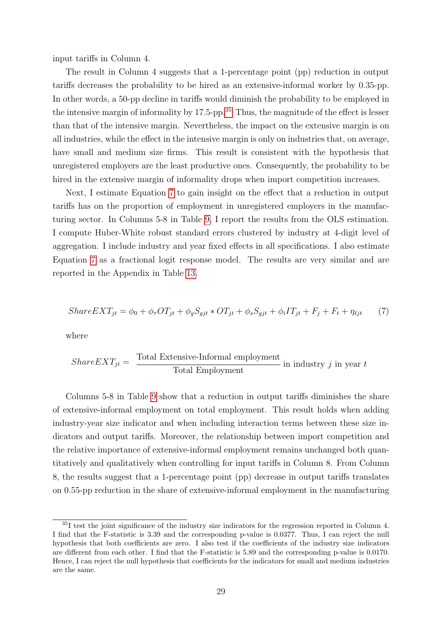<span id="page-29-0"></span>input tariffs in Column 4.

The result in Column 4 suggests that a 1-percentage point (pp) reduction in output tariffs decreases the probability to be hired as an extensive-informal worker by 0.35-pp. In other words, a 50-pp decline in tariffs would diminish the probability to be employed in the intensive margin of informality by  $17.5$ -pp.<sup>35</sup> Thus, the magnitude of the effect is lesser than that of the intensive margin. Nevertheless, the impact on the extensive margin is on all industries, while the effect in the intensive margin is only on industries that, on average, have small and medium size firms. This result is consistent with the hypothesis that unregistered employers are the least productive ones. Consequently, the probability to be hired in the extensive margin of informality drops when import competition increases.

Next, I estimate Equation 7 to gain insight on the effect that a reduction in output tariffs has on the proportion of employment in unregistered employers in the manufacturing sector. In Columns 5-8 in Table [9,](#page-31-0) I report the results from the OLS estimation. I compute Huber-White robust standard errors clustered by industry at 4-digit level of aggregation. I include industry and year fixed effects in all specifications. I also estimate Equation 7 as a fractional logit response model. The results are very similar and are reported in the Appendix in Table [13.](#page-44-0)

$$
ShareEXT_{jt} = \phi_0 + \phi_\tau OT_{jt} + \phi_gS_{gjt} * OT_{jt} + \phi_sS_{gjt} + \phi_iIT_{jt} + F_j + F_t + \eta_{\ell jt}
$$
 (7)

where

$$
ShareEXT_{jt} = \frac{\text{Total Extensive-Informal employment}}{\text{Total Employment}} \text{ in industry } j \text{ in year } t
$$

Columns 5-8 in Table [9](#page-31-0) show that a reduction in output tariffs diminishes the share of extensive-informal employment on total employment. This result holds when adding industry-year size indicator and when including interaction terms between these size indicators and output tariffs. Moreover, the relationship between import competition and the relative importance of extensive-informal employment remains unchanged both quantitatively and qualitatively when controlling for input tariffs in Column 8. From Column 8, the results suggest that a 1-percentage point (pp) decrease in output tariffs translates on 0.55-pp reduction in the share of extensive-informal employment in the manufacturing

<sup>35</sup>I test the joint significance of the industry size indicators for the regression reported in Column 4. I find that the F-statistic is 3.39 and the corresponding p-value is 0.0377. Thus, I can reject the null hypothesis that both coefficients are zero. I also test if the coefficients of the industry size indicators are different from each other. I find that the F-statistic is 5.89 and the corresponding p-value is 0.0170. Hence, I can reject the null hypothesis that coefficients for the indicators for small and medium industries are the same.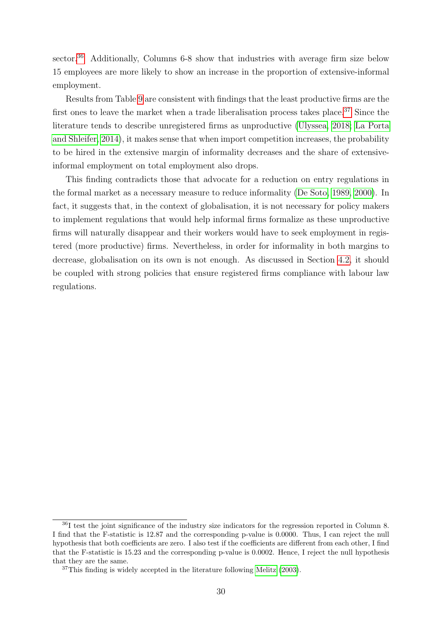sector.<sup>36</sup> Additionally, Columns 6-8 show that industries with average firm size below 15 employees are more likely to show an increase in the proportion of extensive-informal employment.

Results from Table [9](#page-31-0) are consistent with findings that the least productive firms are the first ones to leave the market when a trade liberalisation process takes place.<sup>37</sup> Since the literature tends to describe unregistered firms as unproductive [\(Ulyssea, 2018;](#page-38-0) [La Porta](#page-37-0) [and Shleifer, 2014\)](#page-37-0), it makes sense that when import competition increases, the probability to be hired in the extensive margin of informality decreases and the share of extensiveinformal employment on total employment also drops.

This finding contradicts those that advocate for a reduction on entry regulations in the formal market as a necessary measure to reduce informality [\(De Soto, 1989, 2000\)](#page-36-0). In fact, it suggests that, in the context of globalisation, it is not necessary for policy makers to implement regulations that would help informal firms formalize as these unproductive firms will naturally disappear and their workers would have to seek employment in registered (more productive) firms. Nevertheless, in order for informality in both margins to decrease, globalisation on its own is not enough. As discussed in Section [4.2,](#page-23-0) it should be coupled with strong policies that ensure registered firms compliance with labour law regulations.

<sup>36</sup>I test the joint significance of the industry size indicators for the regression reported in Column 8. I find that the F-statistic is 12.87 and the corresponding p-value is 0.0000. Thus, I can reject the null hypothesis that both coefficients are zero. I also test if the coefficients are different from each other, I find that the F-statistic is 15.23 and the corresponding p-value is 0.0002. Hence, I reject the null hypothesis that they are the same.

 $37$ This finding is widely accepted in the literature following [Melitz](#page-37-0) [\(2003\)](#page-37-0).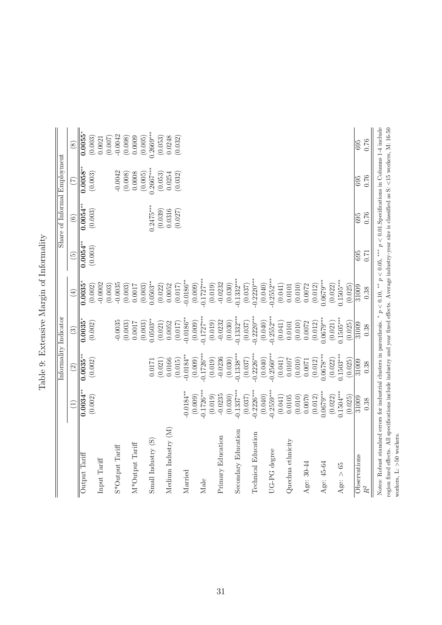<span id="page-31-0"></span>

|                                                                                                                                                             |                        |                        | Informality Indicator    |                         |                 |                   | Share of Informal Employment |                      |
|-------------------------------------------------------------------------------------------------------------------------------------------------------------|------------------------|------------------------|--------------------------|-------------------------|-----------------|-------------------|------------------------------|----------------------|
|                                                                                                                                                             | $\left(1\right)$       | $\widehat{c}$          | $\odot$                  | $\bigoplus$             | $\widetilde{5}$ | $\odot$           | (7)                          | $\circled{s}$        |
| Output Tariff                                                                                                                                               | $0.0034^{**}$          | $0.0035^{**}$          | 0.0035                   | 0.0035                  | $0.0054^{**}$   | $0.0054**$        | $0.0058^{**}$                | $0.0055^*$           |
| Input Tariff                                                                                                                                                | (0.002)                | (0.002)                | (0.002)                  | $-0.0002$<br>(0.002)    | (0.003)         | (0.003)           | (0.003)                      | (0.003)<br>0.0021    |
| S*Output Tariff                                                                                                                                             |                        |                        | $-0.0035$                | $-0.0035$<br>(0.003)    |                 |                   | $-0.0042$                    | $-0.0042$<br>(0.007) |
| M*Output Tariff                                                                                                                                             |                        |                        | $(0.003)$<br>0.0017      | (0.003)<br>0.0017       |                 |                   | $(0.008)$<br>$0.0008$        | (0.008)<br>0.0009    |
|                                                                                                                                                             |                        |                        | (0.003)                  | (0.003)                 |                 |                   | (0.005)                      | (0.005)              |
| Small Industry (S)                                                                                                                                          |                        | 0.0171                 | $0.0503***$              | $0.0503***$             |                 | $0.2475***$       | $0.2667***$                  | $0.2669***$          |
| Medium Industry (M)                                                                                                                                         |                        | 0.0166<br>(0.021)      | 0.0052<br>(0.021)        | (0.022)<br>0.0052       |                 | (0.039)<br>0.0316 | 0.0254<br>(0.053)            | (0.053)<br>0.0248    |
|                                                                                                                                                             |                        | (0.015)                | (0.017)                  | (0.017)                 |                 | (0.027)           | (0.032)                      | (0.032)              |
| Married                                                                                                                                                     | $0.0184***$            | $0.0184***$            | $0.0186***$              | $-0.0186***$            |                 |                   |                              |                      |
| Male                                                                                                                                                        | $0.1726***$<br>(0.009) | $0.1726***$<br>(0.009) | $-0.1727***$<br>(0.009)  | $-0.1727***$<br>(0.009) |                 |                   |                              |                      |
|                                                                                                                                                             | (0.019)                | (0.019)                | (0.019)                  | (0.019)                 |                 |                   |                              |                      |
| Primary Education                                                                                                                                           | $-0.0235$              | $-0.0236$              | $-0.0232$                | $-0.0232$               |                 |                   |                              |                      |
|                                                                                                                                                             | (0.030)                | (0.030)                | (0.030)                  | (0.030)                 |                 |                   |                              |                      |
| Secondary Education                                                                                                                                         | $0.1337***$            | $0.1338***$            | $0.1332***$              | $0.1332***$             |                 |                   |                              |                      |
|                                                                                                                                                             | (0.037)                | (0.037)                | $(0.037)$<br>$0.2220***$ | (0.037)                 |                 |                   |                              |                      |
| Technical Education                                                                                                                                         | $0.2226***$            | $0.2226***$            |                          | $0.2220***$             |                 |                   |                              |                      |
|                                                                                                                                                             | (0.040)                | (0.040)                | (0.040)                  | (0.040)                 |                 |                   |                              |                      |
| UG-PG degree                                                                                                                                                | $-0.2559***$           | $-0.2560***$           | $-0.2552***$             | $-0.2552***$            |                 |                   |                              |                      |
|                                                                                                                                                             | (0.041)                | (0.041)                | (0.041)                  | (0.041)                 |                 |                   |                              |                      |
| Quechua ethnicity                                                                                                                                           | 0.0105                 | 0.0107                 | 0.0101                   | 0.0101                  |                 |                   |                              |                      |
| Age: 30-44                                                                                                                                                  | (0.010)<br>0.0070      | (0.010)<br>0.0071      | $(0.010)$<br>0.0072      | (0.010)<br>0.0072       |                 |                   |                              |                      |
|                                                                                                                                                             | (0.012)                | (0.012)                | (0.012)                  | (0.012)                 |                 |                   |                              |                      |
| Age: 45-64                                                                                                                                                  | $0.0679***$            | $0.0678***$            | $0.0679***$              | $0.0679***$             |                 |                   |                              |                      |
|                                                                                                                                                             | (0.022)                | (0.022)                | (0.021)                  | (0.022)                 |                 |                   |                              |                      |
| Age: $> 65$                                                                                                                                                 | $0.1504***$            | $0.1503***$            | $0.1505***$              | $0.1505***$             |                 |                   |                              |                      |
|                                                                                                                                                             | (0.025)                | (0.025)                | (0.025)                  | (0.025)                 |                 |                   |                              |                      |
| Observations                                                                                                                                                | 31009                  | 31009                  | 31009                    | 31009                   | 695             | 695               | 695                          | 695                  |
| $\mathbb{R}^2$                                                                                                                                              | 0.38                   | 0.38                   | 0.38                     | 0.38                    | 0.71            | 0.76              | 0.76                         | 0.76                 |
| Notes: Robust standard errors for industrial clusters in parenthesis. * $p < 0.10$ , ** $p < 0.05$ , *** $p < 0.01$ . Specifications in Columns 1-4 include |                        |                        |                          |                         |                 |                   |                              |                      |
| region fixed effects. All specifications include industry and year fixed effects. Average industry-year size is classified as S: <15 workers, M: 16-50      |                        |                        |                          |                         |                 |                   |                              |                      |
| workers, $L: >50$ workers.                                                                                                                                  |                        |                        |                          |                         |                 |                   |                              |                      |

Table 9: Extensive Margin of Informality Table 9: Extensive Margin of Informality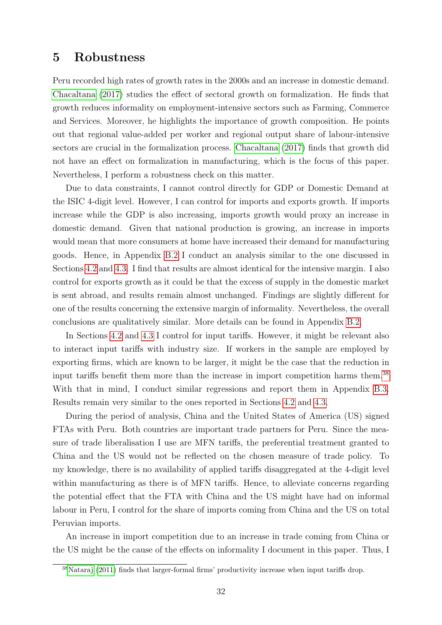### <span id="page-32-0"></span>5 Robustness

Peru recorded high rates of growth rates in the 2000s and an increase in domestic demand. [Chacaltana](#page-36-0) [\(2017\)](#page-36-0) studies the effect of sectoral growth on formalization. He finds that growth reduces informality on employment-intensive sectors such as Farming, Commerce and Services. Moreover, he highlights the importance of growth composition. He points out that regional value-added per worker and regional output share of labour-intensive sectors are crucial in the formalization process. [Chacaltana](#page-36-0) [\(2017\)](#page-36-0) finds that growth did not have an effect on formalization in manufacturing, which is the focus of this paper. Nevertheless, I perform a robustness check on this matter.

Due to data constraints, I cannot control directly for GDP or Domestic Demand at the ISIC 4-digit level. However, I can control for imports and exports growth. If imports increase while the GDP is also increasing, imports growth would proxy an increase in domestic demand. Given that national production is growing, an increase in imports would mean that more consumers at home have increased their demand for manufacturing goods. Hence, in Appendix [B.2](#page-46-0) I conduct an analysis similar to the one discussed in Sections [4.2](#page-23-0) and [4.3.](#page-28-0) I find that results are almost identical for the intensive margin. I also control for exports growth as it could be that the excess of supply in the domestic market is sent abroad, and results remain almost unchanged. Findings are slightly different for one of the results concerning the extensive margin of informality. Nevertheless, the overall conclusions are qualitatively similar. More details can be found in Appendix [B.2.](#page-46-0)

In Sections [4.2](#page-23-0) and [4.3](#page-28-0) I control for input tariffs. However, it might be relevant also to interact input tariffs with industry size. If workers in the sample are employed by exporting firms, which are known to be larger, it might be the case that the reduction in input tariffs benefit them more than the increase in import competition harms them.<sup>38</sup> With that in mind, I conduct similar regressions and report them in Appendix [B.3.](#page-48-0) Results remain very similar to the ones reported in Sections [4.2](#page-23-0) and [4.3.](#page-28-0)

During the period of analysis, China and the United States of America (US) signed FTAs with Peru. Both countries are important trade partners for Peru. Since the measure of trade liberalisation I use are MFN tariffs, the preferential treatment granted to China and the US would not be reflected on the chosen measure of trade policy. To my knowledge, there is no availability of applied tariffs disaggregated at the 4-digit level within manufacturing as there is of MFN tariffs. Hence, to alleviate concerns regarding the potential effect that the FTA with China and the US might have had on informal labour in Peru, I control for the share of imports coming from China and the US on total Peruvian imports.

An increase in import competition due to an increase in trade coming from China or the US might be the cause of the effects on informality I document in this paper. Thus, I

<sup>38</sup>[Nataraj](#page-38-0) [\(2011\)](#page-38-0) finds that larger-formal firms' productivity increase when input tariffs drop.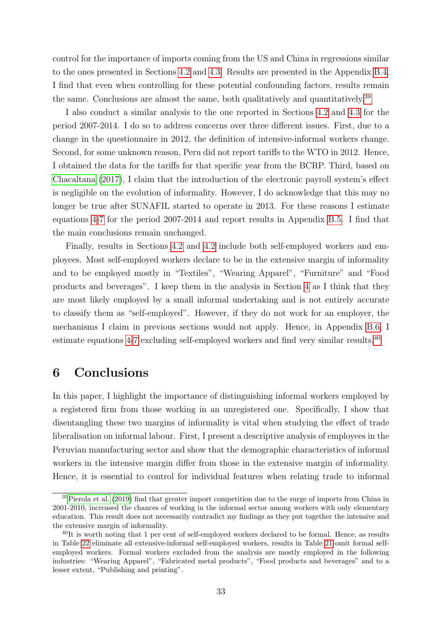<span id="page-33-0"></span>control for the importance of imports coming from the US and China in regressions similar to the ones presented in Sections [4.2](#page-23-0) and [4.3.](#page-28-0) Results are presented in the Appendix [B.4.](#page-49-0) I find that even when controlling for these potential confounding factors, results remain the same. Conclusions are almost the same, both qualitatively and quantitatively.<sup>39</sup>

I also conduct a similar analysis to the one reported in Sections [4.2](#page-23-0) and [4.3](#page-28-0) for the period 2007-2014. I do so to address concerns over three different issues. First, due to a change in the questionnaire in 2012, the definition of intensive-informal workers change. Second, for some unknown reason, Peru did not report tariffs to the WTO in 2012. Hence, I obtained the data for the tariffs for that specific year from the BCRP. Third, based on [Chacaltana](#page-36-0) [\(2017\)](#page-36-0), I claim that the introduction of the electronic payroll system's effect is negligible on the evolution of informality. However, I do acknowledge that this may no longer be true after SUNAFIL started to operate in 2013. For these reasons I estimate equations [4-](#page-23-0)[7](#page-29-0) for the period 2007-2014 and report results in Appendix [B.5.](#page-51-0) I find that the main conclusions remain unchanged.

Finally, results in Sections [4.2](#page-23-0) and [4.2](#page-23-0) include both self-employed workers and employees. Most self-employed workers declare to be in the extensive margin of informality and to be employed mostly in "Textiles", "Wearing Apparel", "Furniture" and "Food products and beverages". I keep them in the analysis in Section [4](#page-20-0) as I think that they are most likely employed by a small informal undertaking and is not entirely accurate to classify them as "self-employed". However, if they do not work for an employer, the mechanisms I claim in previous sections would not apply. Hence, in Appendix [B.6,](#page-53-0) I estimate equations [4-](#page-23-0)[7](#page-29-0) excluding self-employed workers and find very similar results.<sup>40</sup>

### 6 Conclusions

In this paper, I highlight the importance of distinguishing informal workers employed by a registered firm from those working in an unregistered one. Specifically, I show that disentangling these two margins of informality is vital when studying the effect of trade liberalisation on informal labour. First, I present a descriptive analysis of employees in the Peruvian manufacturing sector and show that the demographic characteristics of informal workers in the intensive margin differ from those in the extensive margin of informality. Hence, it is essential to control for individual features when relating trade to informal

 $39$ [Pierola et al.](#page-38-0) [\(2019\)](#page-38-0) find that greater import competition due to the surge of imports from China in 2001-2010, increased the chances of working in the informal sector among workers with only elementary education. This result does not necessarily contradict my findings as they put together the intensive and the extensive margin of informality.

 $^{40}$ It is worth noting that 1 per cent of self-employed workers declared to be formal. Hence, as results in Table [22](#page-54-0) eliminate all extensive-informal self-employed workers, results in Table [21](#page-53-0) omit formal selfemployed workers. Formal workers excluded from the analysis are mostly employed in the following industries: "Wearing Apparel", "Fabricated metal products", "Food products and beverages" and to a lesser extent, "Publishing and printing".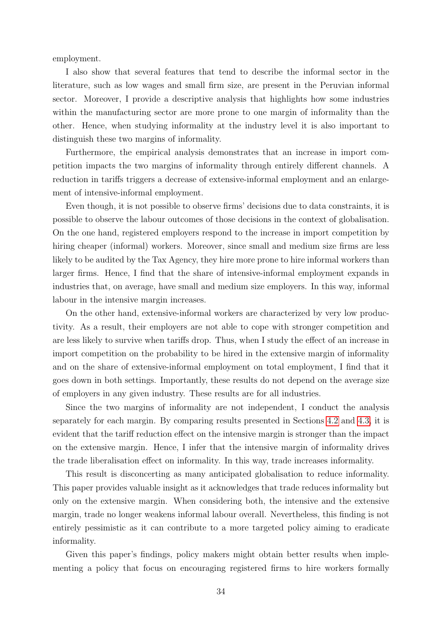employment.

I also show that several features that tend to describe the informal sector in the literature, such as low wages and small firm size, are present in the Peruvian informal sector. Moreover, I provide a descriptive analysis that highlights how some industries within the manufacturing sector are more prone to one margin of informality than the other. Hence, when studying informality at the industry level it is also important to distinguish these two margins of informality.

Furthermore, the empirical analysis demonstrates that an increase in import competition impacts the two margins of informality through entirely different channels. A reduction in tariffs triggers a decrease of extensive-informal employment and an enlargement of intensive-informal employment.

Even though, it is not possible to observe firms' decisions due to data constraints, it is possible to observe the labour outcomes of those decisions in the context of globalisation. On the one hand, registered employers respond to the increase in import competition by hiring cheaper (informal) workers. Moreover, since small and medium size firms are less likely to be audited by the Tax Agency, they hire more prone to hire informal workers than larger firms. Hence, I find that the share of intensive-informal employment expands in industries that, on average, have small and medium size employers. In this way, informal labour in the intensive margin increases.

On the other hand, extensive-informal workers are characterized by very low productivity. As a result, their employers are not able to cope with stronger competition and are less likely to survive when tariffs drop. Thus, when I study the effect of an increase in import competition on the probability to be hired in the extensive margin of informality and on the share of extensive-informal employment on total employment, I find that it goes down in both settings. Importantly, these results do not depend on the average size of employers in any given industry. These results are for all industries.

Since the two margins of informality are not independent, I conduct the analysis separately for each margin. By comparing results presented in Sections [4.2](#page-23-0) and [4.3,](#page-28-0) it is evident that the tariff reduction effect on the intensive margin is stronger than the impact on the extensive margin. Hence, I infer that the intensive margin of informality drives the trade liberalisation effect on informality. In this way, trade increases informality.

This result is disconcerting as many anticipated globalisation to reduce informality. This paper provides valuable insight as it acknowledges that trade reduces informality but only on the extensive margin. When considering both, the intensive and the extensive margin, trade no longer weakens informal labour overall. Nevertheless, this finding is not entirely pessimistic as it can contribute to a more targeted policy aiming to eradicate informality.

Given this paper's findings, policy makers might obtain better results when implementing a policy that focus on encouraging registered firms to hire workers formally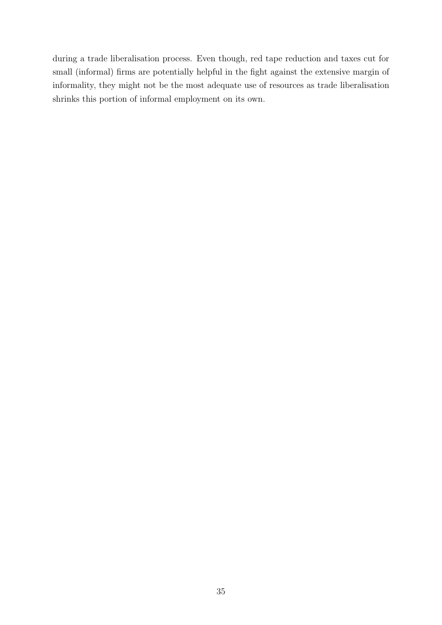during a trade liberalisation process. Even though, red tape reduction and taxes cut for small (informal) firms are potentially helpful in the fight against the extensive margin of informality, they might not be the most adequate use of resources as trade liberalisation shrinks this portion of informal employment on its own.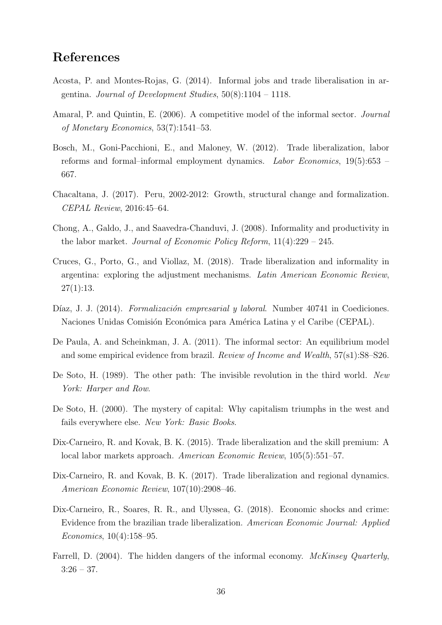### <span id="page-36-0"></span>References

- Acosta, P. and Montes-Rojas, G. (2014). Informal jobs and trade liberalisation in argentina. Journal of Development Studies,  $50(8):1104 - 1118$ .
- Amaral, P. and Quintin, E. (2006). A competitive model of the informal sector. Journal of Monetary Economics, 53(7):1541–53.
- Bosch, M., Goni-Pacchioni, E., and Maloney, W. (2012). Trade liberalization, labor reforms and formal–informal employment dynamics. Labor Economics, 19(5):653 – 667.
- Chacaltana, J. (2017). Peru, 2002-2012: Growth, structural change and formalization. CEPAL Review, 2016:45–64.
- Chong, A., Galdo, J., and Saavedra-Chanduvi, J. (2008). Informality and productivity in the labor market. Journal of Economic Policy Reform,  $11(4):229 - 245$ .
- Cruces, G., Porto, G., and Viollaz, M. (2018). Trade liberalization and informality in argentina: exploring the adjustment mechanisms. Latin American Economic Review,  $27(1):13.$
- Díaz, J. J. (2014). Formalización empresarial y laboral. Number 40741 in Coediciones. Naciones Unidas Comisión Económica para América Latina y el Caribe (CEPAL).
- De Paula, A. and Scheinkman, J. A. (2011). The informal sector: An equilibrium model and some empirical evidence from brazil. Review of Income and Wealth,  $57(s1):S8-S26$ .
- De Soto, H. (1989). The other path: The invisible revolution in the third world. New York: Harper and Row.
- De Soto, H. (2000). The mystery of capital: Why capitalism triumphs in the west and fails everywhere else. New York: Basic Books.
- Dix-Carneiro, R. and Kovak, B. K. (2015). Trade liberalization and the skill premium: A local labor markets approach. American Economic Review, 105(5):551–57.
- Dix-Carneiro, R. and Kovak, B. K. (2017). Trade liberalization and regional dynamics. American Economic Review, 107(10):2908–46.
- Dix-Carneiro, R., Soares, R. R., and Ulyssea, G. (2018). Economic shocks and crime: Evidence from the brazilian trade liberalization. American Economic Journal: Applied Economics, 10(4):158–95.
- Farrell, D. (2004). The hidden dangers of the informal economy. McKinsey Quarterly,  $3:26 - 37.$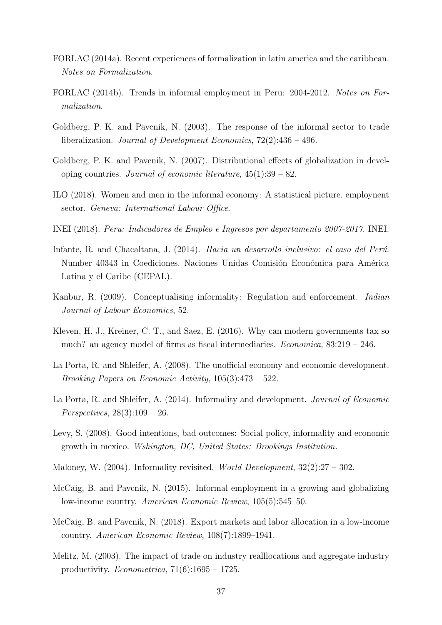- <span id="page-37-0"></span>FORLAC (2014a). Recent experiences of formalization in latin america and the caribbean. Notes on Formalization.
- FORLAC (2014b). Trends in informal employment in Peru: 2004-2012. Notes on Formalization.
- Goldberg, P. K. and Pavcnik, N. (2003). The response of the informal sector to trade liberalization. Journal of Development Economics, 72(2):436 – 496.
- Goldberg, P. K. and Pavcnik, N. (2007). Distributional effects of globalization in developing countries. Journal of economic literature,  $45(1):39-82$ .
- ILO (2018). Women and men in the informal economy: A statistical picture. employnent sector. Geneva: International Labour Office.
- INEI (2018). Peru: Indicadores de Empleo e Ingresos por departamento 2007-2017. INEI.
- Infante, R. and Chacaltana, J. (2014). *Hacia un desarrollo inclusivo: el caso del Perú*. Number 40343 in Coediciones. Naciones Unidas Comisión Económica para América Latina y el Caribe (CEPAL).
- Kanbur, R. (2009). Conceptualising informality: Regulation and enforcement. Indian Journal of Labour Economics, 52.
- Kleven, H. J., Kreiner, C. T., and Saez, E. (2016). Why can modern governments tax so much? an agency model of firms as fiscal intermediaries. Economica, 83:219 – 246.
- La Porta, R. and Shleifer, A. (2008). The unofficial economy and economic development. Brooking Papers on Economic Activity, 105(3):473 – 522.
- La Porta, R. and Shleifer, A. (2014). Informality and development. Journal of Economic *Perspectives*,  $28(3):109 - 26$ .
- Levy, S. (2008). Good intentions, bad outcomes: Social policy, informality and economic growth in mexico. Wshington, DC, United States: Brookings Institution.
- Maloney, W. (2004). Informality revisited. World Development,  $32(2):27 302$ .
- McCaig, B. and Pavcnik, N. (2015). Informal employment in a growing and globalizing low-income country. American Economic Review, 105(5):545–50.
- McCaig, B. and Pavcnik, N. (2018). Export markets and labor allocation in a low-income country. American Economic Review, 108(7):1899–1941.
- Melitz, M. (2003). The impact of trade on industry realllocations and aggregate industry productivity. *Econometrica*,  $71(6):1695 - 1725$ .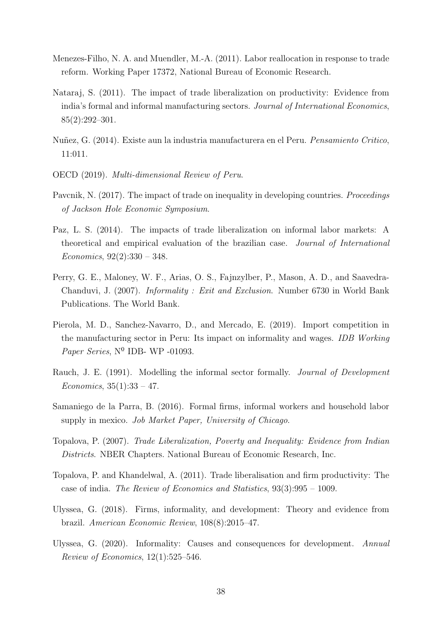- <span id="page-38-0"></span>Menezes-Filho, N. A. and Muendler, M.-A. (2011). Labor reallocation in response to trade reform. Working Paper 17372, National Bureau of Economic Research.
- Nataraj, S. (2011). The impact of trade liberalization on productivity: Evidence from india's formal and informal manufacturing sectors. Journal of International Economics, 85(2):292–301.
- Nuñez, G. (2014). Existe aun la industria manufacturera en el Peru. Pensamiento Critico, 11:011.
- OECD (2019). Multi-dimensional Review of Peru.
- Pavcnik, N. (2017). The impact of trade on inequality in developing countries. *Proceedings* of Jackson Hole Economic Symposium.
- Paz, L. S. (2014). The impacts of trade liberalization on informal labor markets: A theoretical and empirical evaluation of the brazilian case. Journal of International Economics, 92(2):330 – 348.
- Perry, G. E., Maloney, W. F., Arias, O. S., Fajnzylber, P., Mason, A. D., and Saavedra-Chanduvi, J. (2007). Informality : Exit and Exclusion. Number 6730 in World Bank Publications. The World Bank.
- Pierola, M. D., Sanchez-Navarro, D., and Mercado, E. (2019). Import competition in the manufacturing sector in Peru: Its impact on informality and wages. IDB Working Paper Series, Nº IDB- WP -01093.
- Rauch, J. E. (1991). Modelling the informal sector formally. Journal of Development Economics,  $35(1):33 - 47$ .
- Samaniego de la Parra, B. (2016). Formal firms, informal workers and household labor supply in mexico. *Job Market Paper, University of Chicago.*
- Topalova, P. (2007). Trade Liberalization, Poverty and Inequality: Evidence from Indian Districts. NBER Chapters. National Bureau of Economic Research, Inc.
- Topalova, P. and Khandelwal, A. (2011). Trade liberalisation and firm productivity: The case of india. The Review of Economics and Statistics, 93(3):995 – 1009.
- Ulyssea, G. (2018). Firms, informality, and development: Theory and evidence from brazil. American Economic Review, 108(8):2015–47.
- Ulyssea, G. (2020). Informality: Causes and consequences for development. Annual Review of Economics, 12(1):525–546.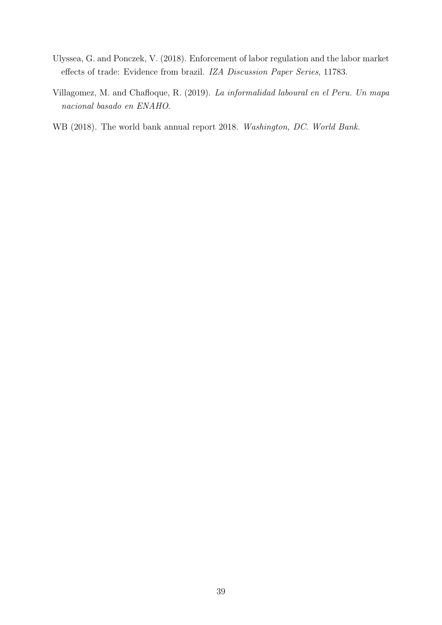- <span id="page-39-0"></span>Ulyssea, G. and Ponczek, V. (2018). Enforcement of labor regulation and the labor market effects of trade: Evidence from brazil. IZA Discussion Paper Series, 11783.
- Villagomez, M. and Chafloque, R. (2019). La informalidad laboural en el Peru. Un mapa nacional basado en ENAHO.
- WB (2018). The world bank annual report 2018. Washington, DC. World Bank.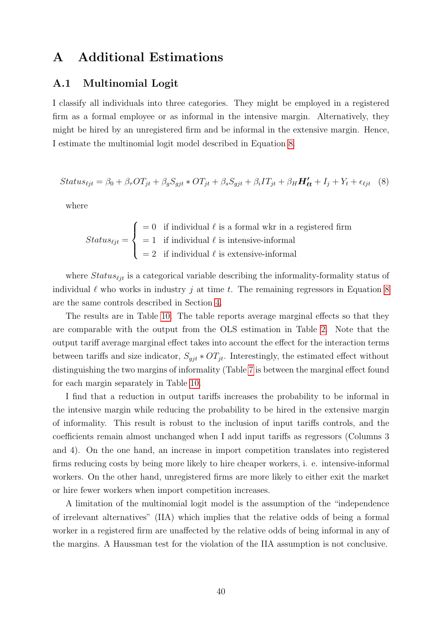### <span id="page-40-0"></span>A Additional Estimations

#### A.1 Multinomial Logit

I classify all individuals into three categories. They might be employed in a registered firm as a formal employee or as informal in the intensive margin. Alternatively, they might be hired by an unregistered firm and be informal in the extensive margin. Hence, I estimate the multinomial logit model described in Equation 8.

$$
Status_{ijt} = \beta_0 + \beta_\tau OT_{jt} + \beta_gS_{gjt} * OT_{jt} + \beta_sS_{gjt} + \beta_iIT_{jt} + \beta_HH'_{\ell t} + I_j + Y_t + \epsilon_{\ell jt} \quad (8)
$$

where

$$
Status_{\ell jt} = \begin{cases} = 0 & \text{if individual } \ell \text{ is a formal wkr in a registered firm} \\ = 1 & \text{if individual } \ell \text{ is intensive-informal} \\ = 2 & \text{if individual } \ell \text{ is extensive-informal} \end{cases}
$$

where  $Status_{\ell i}$  is a categorical variable describing the informality-formality status of individual  $\ell$  who works in industry j at time t. The remaining regressors in Equation 8 are the same controls described in Section [4.](#page-20-0)

The results are in Table [10.](#page-41-0) The table reports average marginal effects so that they are comparable with the output from the OLS estimation in Table [2.](#page-20-0) Note that the output tariff average marginal effect takes into account the effect for the interaction terms between tariffs and size indicator,  $S_{git} * OT_{jt}$ . Interestingly, the estimated effect without distinguishing the two margins of informality (Table [7](#page-24-0) is between the marginal effect found for each margin separately in Table [10.](#page-41-0)

I find that a reduction in output tariffs increases the probability to be informal in the intensive margin while reducing the probability to be hired in the extensive margin of informality. This result is robust to the inclusion of input tariffs controls, and the coefficients remain almost unchanged when I add input tariffs as regressors (Columns 3 and 4). On the one hand, an increase in import competition translates into registered firms reducing costs by being more likely to hire cheaper workers, i. e. intensive-informal workers. On the other hand, unregistered firms are more likely to either exit the market or hire fewer workers when import competition increases.

A limitation of the multinomial logit model is the assumption of the "independence of irrelevant alternatives" (IIA) which implies that the relative odds of being a formal worker in a registered firm are unaffected by the relative odds of being informal in any of the margins. A Haussman test for the violation of the IIA assumption is not conclusive.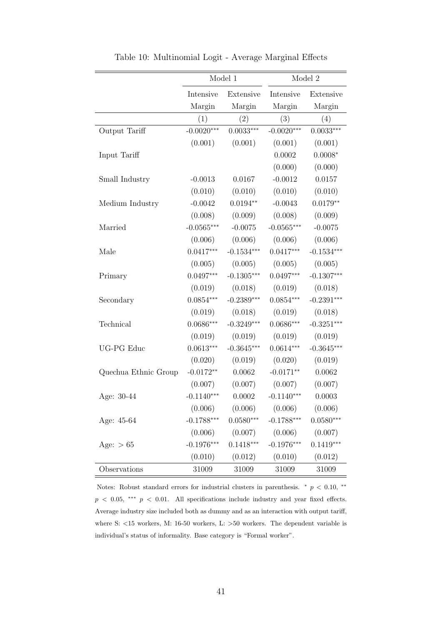<span id="page-41-0"></span>

|                      |              | Model 1      |              | Model 2      |
|----------------------|--------------|--------------|--------------|--------------|
|                      | Intensive    | Extensive    | Intensive    | Extensive    |
|                      | Margin       | Margin       | Margin       | Margin       |
|                      | (1)          | (2)          | (3)          | (4)          |
| Output Tariff        | $-0.0020***$ | $0.0033***$  | $-0.0020***$ | $0.0033***$  |
|                      | (0.001)      | (0.001)      | (0.001)      | (0.001)      |
| Input Tariff         |              |              | 0.0002       | $0.0008*$    |
|                      |              |              | (0.000)      | (0.000)      |
| Small Industry       | $-0.0013$    | 0.0167       | $-0.0012$    | 0.0157       |
|                      | (0.010)      | (0.010)      | (0.010)      | (0.010)      |
| Medium Industry      | $-0.0042$    | $0.0194**$   | $-0.0043$    | $0.0179**$   |
|                      | (0.008)      | (0.009)      | (0.008)      | (0.009)      |
| Married              | $-0.0565***$ | $-0.0075$    | $-0.0565***$ | $-0.0075$    |
|                      | (0.006)      | (0.006)      | (0.006)      | (0.006)      |
| Male                 | $0.0417***$  | $-0.1534***$ | $0.0417***$  | $-0.1534***$ |
|                      | (0.005)      | (0.005)      | (0.005)      | (0.005)      |
| Primary              | $0.0497***$  | $-0.1305***$ | $0.0497***$  | $-0.1307***$ |
|                      | (0.019)      | (0.018)      | (0.019)      | (0.018)      |
| Secondary            | $0.0854***$  | $-0.2389***$ | $0.0854***$  | $-0.2391***$ |
|                      | (0.019)      | (0.018)      | (0.019)      | (0.018)      |
| Technical            | $0.0686***$  | $-0.3249***$ | $0.0686***$  | $-0.3251***$ |
|                      | (0.019)      | (0.019)      | (0.019)      | (0.019)      |
| <b>UG-PG</b> Educ    | $0.0613***$  | $-0.3645***$ | $0.0614***$  | $-0.3645***$ |
|                      | (0.020)      | (0.019)      | (0.020)      | (0.019)      |
| Quechua Ethnic Group | $-0.0172**$  | 0.0062       | $-0.0171**$  | 0.0062       |
|                      | (0.007)      | (0.007)      | (0.007)      | (0.007)      |
| Age: 30-44           | $-0.1140***$ | 0.0002       | $-0.1140***$ | 0.0003       |
|                      | (0.006)      | (0.006)      | (0.006)      | (0.006)      |
| Age: 45-64           | $-0.1788***$ | $0.0580***$  | $-0.1788***$ | $0.0580***$  |
|                      | (0.006)      | (0.007)      | (0.006)      | (0.007)      |
| Age: $> 65$          | $-0.1976***$ | $0.1418***$  | $-0.1976***$ | $0.1419***$  |
|                      | (0.010)      | (0.012)      | (0.010)      | (0.012)      |
| Observations         | 31009        | 31009        | 31009        | 31009        |

Table 10: Multinomial Logit - Average Marginal Effects

Notes: Robust standard errors for industrial clusters in parenthesis.  $*$   $p < 0.10, **$  $p < 0.05$ , \*\*\*  $p < 0.01$ . All specifications include industry and year fixed effects. Average industry size included both as dummy and as an interaction with output tariff, where S: <15 workers, M: 16-50 workers, L: >50 workers. The dependent variable is individual's status of informality. Base category is "Formal worker".

 $\equiv$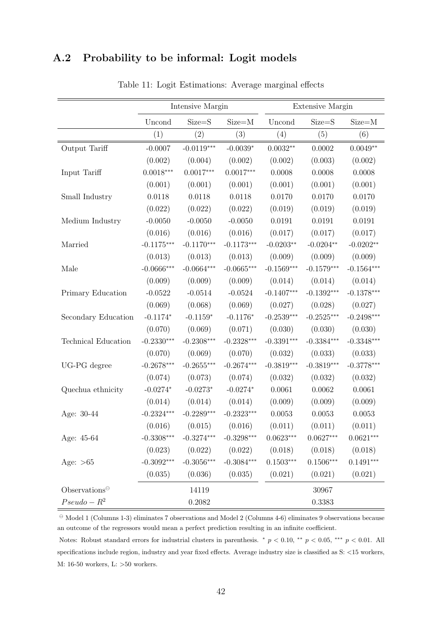### <span id="page-42-0"></span>A.2 Probability to be informal: Logit models

|                         |              | Intensive Margin  |              |                         | Extensive Margin |              |
|-------------------------|--------------|-------------------|--------------|-------------------------|------------------|--------------|
|                         | Uncond       | Size=S            | $Size=M$     | Uncond                  | Size=S           | $Size=M$     |
|                         | (1)          | $\left( 2\right)$ | (3)          | (4)                     | (5)              | (6)          |
| Output Tariff           | $-0.0007$    | $-0.0119***$      | $-0.0039*$   | $0.0032**$              | 0.0002           | $0.0049**$   |
|                         | (0.002)      | (0.004)           | (0.002)      | (0.002)                 | (0.003)          | (0.002)      |
| Input Tariff            | $0.0018***$  | $0.0017***$       | $0.0017***$  | 0.0008                  | 0.0008           | 0.0008       |
|                         | (0.001)      | (0.001)           | (0.001)      | (0.001)                 | (0.001)          | (0.001)      |
| Small Industry          | 0.0118       | 0.0118            | 0.0118       | 0.0170                  | 0.0170           | 0.0170       |
|                         | (0.022)      | (0.022)           | (0.022)      | (0.019)                 | (0.019)          | (0.019)      |
| Medium Industry         | $-0.0050$    | $-0.0050$         | $-0.0050$    | 0.0191                  | 0.0191           | 0.0191       |
|                         | (0.016)      | (0.016)           | (0.016)      | (0.017)                 | (0.017)          | (0.017)      |
| Married                 | $-0.1175***$ | $-0.1170***$      | $-0.1173***$ | $-0.0203**$             | $-0.0204**$      | $-0.0202**$  |
|                         | (0.013)      | (0.013)           | (0.013)      | (0.009)                 | (0.009)          | (0.009)      |
| Male                    | $-0.0666***$ | $-0.0664***$      | $-0.0665***$ | $-0.1569***$            | $-0.1579***$     | $-0.1564***$ |
|                         | (0.009)      | (0.009)           | (0.009)      | (0.014)                 | (0.014)          | (0.014)      |
| Primary Education       | $-0.0522$    | $-0.0514$         | $-0.0524$    | $-0.1407***$            | $-0.1392***$     | $-0.1378***$ |
|                         | (0.069)      | (0.068)           | (0.069)      | (0.027)                 | (0.028)          | (0.027)      |
| Secondary Education     | $-0.1174*$   | $-0.1159*$        | $-0.1176*$   | $-0.2539***$            | $-0.2525***$     | $-0.2498***$ |
|                         | (0.070)      | (0.069)           | (0.071)      | (0.030)                 | (0.030)          | (0.030)      |
| Technical Education     | $-0.2330***$ | $-0.2308***$      | $-0.2328***$ | $-0.3391***$            | $-0.3384***$     | $-0.3348***$ |
|                         | (0.070)      | (0.069)           | (0.070)      | (0.032)                 | (0.033)          | (0.033)      |
| UG-PG degree            | $-0.2678***$ | $-0.2655***$      | $-0.2674***$ | $-0.3819***$            | $-0.3819***$     | $-0.3778***$ |
|                         | (0.074)      | (0.073)           | (0.074)      | (0.032)                 | (0.032)          | (0.032)      |
| Quechua ethnicity       | $-0.0274*$   | $-0.0273*$        | $-0.0274*$   | 0.0061                  | 0.0062           | 0.0061       |
|                         | (0.014)      | (0.014)           | (0.014)      | (0.009)                 | (0.009)          | (0.009)      |
| Age: 30-44              | $-0.2324***$ | $-0.2289***$      | $-0.2323***$ | 0.0053                  | 0.0053           | 0.0053       |
|                         | (0.016)      | (0.015)           | (0.016)      | (0.011)                 | (0.011)          | (0.011)      |
| Age: 45-64              | $-0.3308***$ | $-0.3274***$      | $-0.3298***$ | $0.0623^{\ast\ast\ast}$ | $0.0627***$      | $0.0621***$  |
|                         | (0.023)      | (0.022)           | (0.022)      | (0.018)                 | (0.018)          | (0.018)      |
| Age: $>65$              | $-0.3092***$ | $-0.3056***$      | $-0.3084***$ | $0.1503***$             | $0.1506***$      | $0.1491***$  |
|                         | (0.035)      | (0.036)           | (0.035)      | (0.021)                 | (0.021)          | (0.021)      |
| $Observations\\\ominus$ |              | 14119             |              |                         | 30967            |              |
| $Pseudo-R^2$            |              | 0.2082            |              |                         | 0.3383           |              |

Table 11: Logit Estimations: Average marginal effects

 $\theta$  Model 1 (Columns 1-3) eliminates 7 observations and Model 2 (Columns 4-6) eliminates 9 observations because an outcome of the regressors would mean a perfect prediction resulting in an infinite coefficient.

Notes: Robust standard errors for industrial clusters in parenthesis. <sup>\*</sup>  $p < 0.10$ , \*\*  $p < 0.05$ , \*\*\*  $p < 0.01$ . All specifications include region, industry and year fixed effects. Average industry size is classified as S: <15 workers, M: 16-50 workers, L: >50 workers.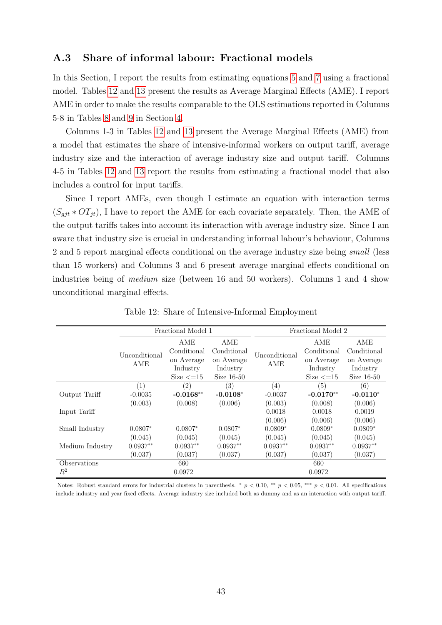#### <span id="page-43-0"></span>A.3 Share of informal labour: Fractional models

In this Section, I report the results from estimating equations [5](#page-25-0) and [7](#page-29-0) using a fractional model. Tables 12 and [13](#page-44-0) present the results as Average Marginal Effects (AME). I report AME in order to make the results comparable to the OLS estimations reported in Columns 5-8 in Tables [8](#page-27-0) and [9](#page-31-0) in Section [4.](#page-20-0)

Columns 1-3 in Tables 12 and [13](#page-44-0) present the Average Marginal Effects (AME) from a model that estimates the share of intensive-informal workers on output tariff, average industry size and the interaction of average industry size and output tariff. Columns 4-5 in Tables 12 and [13](#page-44-0) report the results from estimating a fractional model that also includes a control for input tariffs.

Since I report AMEs, even though I estimate an equation with interaction terms  $(S_{qit} * OT_{it})$ , I have to report the AME for each covariate separately. Then, the AME of the output tariffs takes into account its interaction with average industry size. Since I am aware that industry size is crucial in understanding informal labour's behaviour, Columns 2 and 5 report marginal effects conditional on the average industry size being small (less than 15 workers) and Columns 3 and 6 present average marginal effects conditional on industries being of medium size (between 16 and 50 workers). Columns 1 and 4 show unconditional marginal effects.

|                 |                  | Fractional Model 1  |              |               | Fractional Model 2 |             |  |  |  |  |
|-----------------|------------------|---------------------|--------------|---------------|--------------------|-------------|--|--|--|--|
|                 |                  | AME                 | AME          |               | AME                | AME         |  |  |  |  |
|                 | Unconditional    | Conditional         | Conditional  | Unconditional | Conditional        | Conditional |  |  |  |  |
|                 | AME              | on Average          | on Average   | AME           | on Average         | on Average  |  |  |  |  |
|                 |                  | Industry            | Industry     |               | Industry           | Industry    |  |  |  |  |
|                 |                  | Size $\epsilon$ =15 | Size $16-50$ |               | Size $\leq$ =15    | Size 16-50  |  |  |  |  |
|                 | $\left(1\right)$ | (2)                 | 3)           | $^{(4)}$      | (5)                | (6)         |  |  |  |  |
| Output Tariff   | $-0.0035$        | $-0.0168**$         | $-0.0108*$   | $-0.0037$     | $-0.0170**$        | $-0.0110*$  |  |  |  |  |
|                 | (0.003)          | (0.008)             | (0.006)      | (0.003)       | (0.008)            | (0.006)     |  |  |  |  |
| Input Tariff    |                  |                     |              | 0.0018        | 0.0018             | 0.0019      |  |  |  |  |
|                 |                  |                     |              | (0.006)       | (0.006)            | (0.006)     |  |  |  |  |
| Small Industry  | $0.0807*$        | $0.0807*$           | $0.0807*$    | $0.0809*$     | $0.0809*$          | $0.0809*$   |  |  |  |  |
|                 | (0.045)          | (0.045)             | (0.045)      | (0.045)       | (0.045)            | (0.045)     |  |  |  |  |
| Medium Industry | $0.0937**$       | $0.0937**$          | $0.0937**$   | $0.0937**$    | $0.0937**$         | $0.0937**$  |  |  |  |  |
|                 | (0.037)          | (0.037)             | (0.037)      | (0.037)       | (0.037)            | (0.037)     |  |  |  |  |
| Observations    |                  | 660                 |              |               | 660                |             |  |  |  |  |
| $R^2$           |                  | 0.0972              |              |               | 0.0972             |             |  |  |  |  |

Table 12: Share of Intensive-Informal Employment

Notes: Robust standard errors for industrial clusters in parenthesis. \*  $p < 0.10$ , \*\*  $p < 0.05$ , \*\*\*  $p < 0.01$ . All specifications include industry and year fixed effects. Average industry size included both as dummy and as an interaction with output tariff.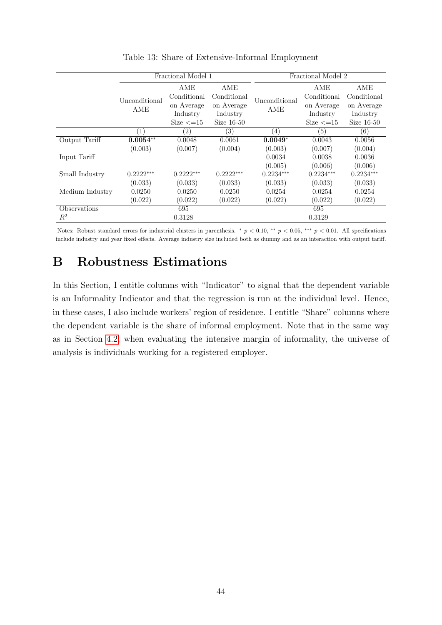<span id="page-44-0"></span>

|                 |                      | Fractional Model 1          |                          |                      | Fractional Model 2           |                          |
|-----------------|----------------------|-----------------------------|--------------------------|----------------------|------------------------------|--------------------------|
|                 |                      | AME<br>Conditional          | AME<br>Conditional       |                      | AME<br>Conditional           | AME<br>Conditional       |
|                 | Unconditional<br>AME | on Average                  | on Average               | Unconditional<br>AME | on Average                   | on Average               |
|                 |                      | Industry<br>Size $\leq$ =15 | Industry<br>Size $16-50$ |                      | Industry<br>Size $\leq$ = 15 | Industry<br>Size $16-50$ |
|                 | $\left(1\right)$     | (2)                         | (3)                      | (4)                  | (5)                          | (6)                      |
| Output Tariff   | $0.0054**$           | 0.0048                      | 0.0061                   | $0.0049*$            | 0.0043                       | 0.0056                   |
|                 | (0.003)              | (0.007)                     | (0.004)                  | (0.003)              | (0.007)                      | (0.004)                  |
| Input Tariff    |                      |                             |                          | 0.0034               | 0.0038                       | 0.0036                   |
|                 |                      |                             |                          | (0.005)              | (0.006)                      | (0.006)                  |
| Small Industry  | $0.2222***$          | $0.2222***$                 | $0.2222***$              | $0.2234***$          | $0.2234***$                  | $0.2234***$              |
|                 | (0.033)              | (0.033)                     | (0.033)                  | (0.033)              | (0.033)                      | (0.033)                  |
| Medium Industry | 0.0250               | 0.0250                      | 0.0250                   | 0.0254               | 0.0254                       | 0.0254                   |
|                 | (0.022)              | (0.022)                     | (0.022)                  | (0.022)              | (0.022)                      | (0.022)                  |
| Observations    |                      | 695                         |                          |                      | 695                          |                          |
| $R^2$           |                      | 0.3128                      |                          |                      | 0.3129                       |                          |

Table 13: Share of Extensive-Informal Employment

Notes: Robust standard errors for industrial clusters in parenthesis. \*  $p < 0.10$ , \*\*  $p < 0.05$ , \*\*\*  $p < 0.01$ . All specifications include industry and year fixed effects. Average industry size included both as dummy and as an interaction with output tariff.

### B Robustness Estimations

In this Section, I entitle columns with "Indicator" to signal that the dependent variable is an Informality Indicator and that the regression is run at the individual level. Hence, in these cases, I also include workers' region of residence. I entitle "Share" columns where the dependent variable is the share of informal employment. Note that in the same way as in Section [4.2,](#page-23-0) when evaluating the intensive margin of informality, the universe of analysis is individuals working for a registered employer.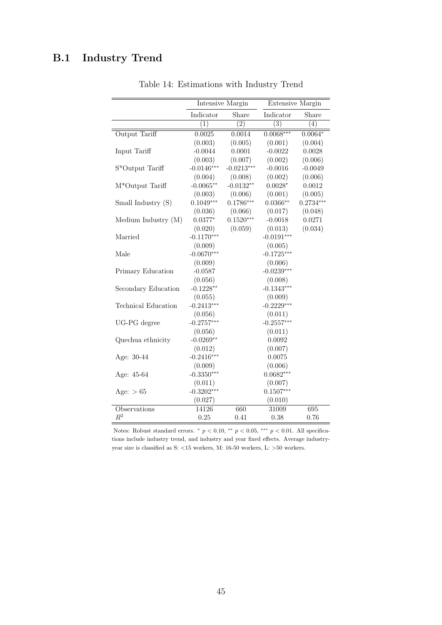## <span id="page-45-0"></span>B.1 Industry Trend

|                     |              | <b>Intensive Margin</b> | <b>Extensive Margin</b> |             |
|---------------------|--------------|-------------------------|-------------------------|-------------|
|                     | Indicator    | Share                   | Indicator               | Share       |
|                     | (1)          | (2)                     | (3)                     | (4)         |
| Output Tariff       | 0.0025       | 0.0014                  | $0.0068***$             | $0.0064*$   |
|                     | (0.003)      | (0.005)                 | (0.001)                 | (0.004)     |
| Input Tariff        | $-0.0044$    | 0.0001                  | $-0.0022$               | 0.0028      |
|                     | (0.003)      | (0.007)                 | (0.002)                 | (0.006)     |
| S*Output Tariff     | $-0.0146***$ | $-0.0213***$            | $-0.0016$               | $-0.0049$   |
|                     | (0.004)      | (0.008)                 | (0.002)                 | (0.006)     |
| M*Output Tariff     | $-0.0065**$  | $-0.0132**$             | $0.0028*$               | 0.0012      |
|                     | (0.003)      | (0.006)                 | (0.001)                 | (0.005)     |
| Small Industry (S)  | $0.1049***$  | $0.1786***$             | $0.0366**$              | $0.2734***$ |
|                     | (0.036)      | (0.066)                 | (0.017)                 | (0.048)     |
| Medium Industry (M) | $0.0377*$    | $0.1520***$             | $-0.0018$               | 0.0271      |
|                     | (0.020)      | (0.059)                 | (0.013)                 | (0.034)     |
| Married             | $-0.1170***$ |                         | $-0.0191***$            |             |
|                     | (0.009)      |                         | (0.005)                 |             |
| Male                | $-0.0670***$ |                         | $-0.1725***$            |             |
|                     | (0.009)      |                         | (0.006)                 |             |
| Primary Education   | $-0.0587$    |                         | $-0.0239***$            |             |
|                     | (0.056)      |                         | (0.008)                 |             |
| Secondary Education | $-0.1228**$  |                         | $-0.1343***$            |             |
|                     | (0.055)      |                         | (0.009)                 |             |
| Technical Education | $-0.2413***$ |                         | $-0.2229***$            |             |
|                     | (0.056)      |                         | (0.011)                 |             |
| UG-PG degree        | $-0.2757***$ |                         | $-0.2557***$            |             |
|                     | (0.056)      |                         | (0.011)                 |             |
| Quechua ethnicity   | $-0.0269**$  |                         | 0.0092                  |             |
|                     | (0.012)      |                         | (0.007)                 |             |
| Age: 30-44          | $-0.2416***$ |                         | 0.0075                  |             |
|                     | (0.009)      |                         | (0.006)                 |             |
| Age: 45-64          | $-0.3350***$ |                         | $0.0682***$             |             |
|                     | (0.011)      |                         | (0.007)                 |             |
| Age: $> 65$         | $-0.3202***$ |                         | $0.1507***$             |             |
|                     | (0.027)      |                         | (0.010)                 |             |
| Observations        | 14126        | 660                     | 31009                   | 695         |
| $R^2$               | 0.25         | 0.41                    | 0.38                    | 0.76        |

Table 14: Estimations with Industry Trend

Notes: Robust standard errors.  $*$   $p < 0.10$ ,  $**$   $p < 0.05$ ,  $***$   $p < 0.01$ . All specifications include industry trend, and industry and year fixed effects. Average industryyear size is classified as S:  $<\!15$  workers, M:  $16\text{-}50$  workers, L:  $>\!50$  workers.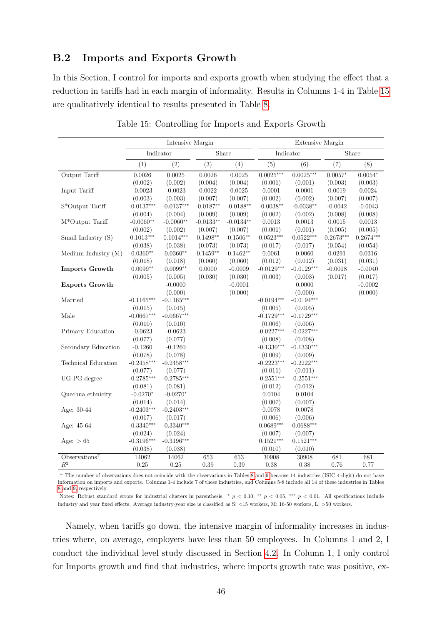### <span id="page-46-0"></span>B.2 Imports and Exports Growth

In this Section, I control for imports and exports growth when studying the effect that a reduction in tariffs had in each margin of informality. Results in Columns 1-4 in Table 15 are qualitatively identical to results presented in Table [8.](#page-27-0)

|                                        |              | Intensive Margin |             |             |              | Extensive Margin |             |             |
|----------------------------------------|--------------|------------------|-------------|-------------|--------------|------------------|-------------|-------------|
|                                        |              | Indicator        |             | Share       |              | Indicator        |             | Share       |
|                                        | (1)          | (2)              | (3)         | (4)         | (5)          | (6)              | (7)         | (8)         |
| Output Tariff                          | 0.0026       | 0.0025           | 0.0026      | 0.0025      | $0.0025***$  | $0.0025***$      | $0.0057*$   | $0.0054*$   |
|                                        | (0.002)      | (0.002)          | (0.004)     | (0.004)     | (0.001)      | (0.001)          | (0.003)     | (0.003)     |
| Input Tariff                           | $-0.0023$    | $-0.0023$        | 0.0022      | 0.0025      | 0.0001       | 0.0001           | 0.0019      | 0.0024      |
|                                        | (0.003)      | (0.003)          | (0.007)     | (0.007)     | (0.002)      | (0.002)          | (0.007)     | (0.007)     |
| S*Output Tariff                        | $-0.0137***$ | $-0.0137***$     | $-0.0187**$ | $-0.0188**$ | $-0.0038**$  | $-0.0038**$      | $-0.0042$   | $-0.0043$   |
|                                        | (0.004)      | (0.004)          | (0.009)     | (0.009)     | (0.002)      | (0.002)          | (0.008)     | (0.008)     |
| M*Output Tariff                        | $-0.0060**$  | $-0.0060**$      | $-0.0133**$ | $-0.0134**$ | 0.0013       | 0.0013           | 0.0015      | 0.0013      |
|                                        | (0.002)      | (0.002)          | (0.007)     | (0.007)     | (0.001)      | (0.001)          | (0.005)     | (0.005)     |
| Small Industry (S)                     | $0.1013***$  | $0.1014***$      | $0.1498**$  | $0.1506**$  | $0.0523***$  | $0.0522***$      | $0.2673***$ | $0.2674***$ |
|                                        | (0.038)      | (0.038)          | (0.073)     | (0.073)     | (0.017)      | (0.017)          | (0.054)     | (0.054)     |
| Medium Industry (M)                    | $0.0360**$   | $0.0360**$       | $0.1459**$  | $0.1462**$  | 0.0061       | 0.0060           | 0.0291      | 0.0316      |
|                                        | (0.018)      | (0.018)          | (0.060)     | (0.060)     | (0.012)      | (0.012)          | (0.031)     | (0.031)     |
| Imports Growth                         | $0.0099**$   | $0.0099**$       | 0.0000      | $-0.0009$   | $-0.0129***$ | $-0.0129***$     | $-0.0018$   | $-0.0040$   |
|                                        | (0.005)      | (0.005)          | (0.030)     | (0.030)     | (0.003)      | (0.003)          | (0.017)     | (0.017)     |
| <b>Exports Growth</b>                  |              | $-0.0000$        |             | $-0.0001$   |              | 0.0000           |             | $-0.0002$   |
|                                        |              | (0.000)          |             | (0.000)     |              | (0.000)          |             | (0.000)     |
| Married                                | $-0.1165***$ | $-0.1165***$     |             |             | $-0.0194***$ | $-0.0194***$     |             |             |
|                                        | (0.015)      | (0.015)          |             |             | (0.005)      | (0.005)          |             |             |
| Male                                   | $-0.0667***$ | $-0.0667***$     |             |             | $-0.1729***$ | $-0.1729***$     |             |             |
|                                        | (0.010)      | (0.010)          |             |             | (0.006)      | (0.006)          |             |             |
| Primary Education                      | $-0.0623$    | $-0.0623$        |             |             | $-0.0227***$ | $-0.0227***$     |             |             |
|                                        | (0.077)      | (0.077)          |             |             | (0.008)      | (0.008)          |             |             |
| Secondary Education                    | $-0.1260$    | $-0.1260$        |             |             | $-0.1330***$ | $-0.1330***$     |             |             |
|                                        | (0.078)      | (0.078)          |             |             | (0.009)      | (0.009)          |             |             |
| Technical Education                    | $-0.2458***$ | $-0.2458***$     |             |             | $-0.2223***$ | $-0.2222***$     |             |             |
|                                        | (0.077)      | (0.077)          |             |             | (0.011)      | (0.011)          |             |             |
| UG-PG degree                           | $-0.2785***$ | $-0.2785***$     |             |             | $-0.2551***$ | $-0.2551***$     |             |             |
|                                        | (0.081)      | (0.081)          |             |             | (0.012)      | (0.012)          |             |             |
| Quechua ethnicity                      | $-0.0270*$   | $-0.0270*$       |             |             | 0.0104       | 0.0104           |             |             |
|                                        | (0.014)      | (0.014)          |             |             | (0.007)      | (0.007)          |             |             |
| Age: 30-44                             | $-0.2403***$ | $-0.2403***$     |             |             | 0.0078       | 0.0078           |             |             |
|                                        | (0.017)      | (0.017)          |             |             | (0.006)      | (0.006)          |             |             |
| Age: 45-64                             | $-0.3340***$ | $-0.3340***$     |             |             | $0.0689***$  | $0.0688***$      |             |             |
|                                        | (0.024)      | (0.024)          |             |             | (0.007)      | (0.007)          |             |             |
| Age: $> 65$                            | $-0.3196***$ | $-0.3196***$     |             |             | $0.1521***$  | $0.1521***$      |             |             |
|                                        | (0.038)      | (0.038)          |             |             | (0.010)      | (0.010)          |             |             |
| Observations <sup><math>#</math></sup> | 14062        | 14062            | 653         | 653         | 30908        | 30908            | 681         | 681         |
| $\mathbb{R}^2$                         | 0.25         | 0.25             | $0.39\,$    | 0.39        | 0.38         | 0.38             | 0.76        | 0.77        |

Table 15: Controlling for Imports and Exports Growth

<sup>∓</sup> The number of observations does not coincide with the observations in Tables [8](#page-27-0) and [9](#page-31-0) because 14 industries (ISIC 4-digit) do not have information on imports and exports. Columns 1-4 include 7 of these industries, and Columns 5-8 include all 14 of these industries in Tables [8](#page-27-0) and [9,](#page-31-0) respectively.

Notes: Robust standard errors for industrial clusters in parenthesis. \*  $p < 0.10$ , \*\*  $p < 0.05$ , \*\*\*  $p < 0.01$ . All specifications include industry and year fixed effects. Average industry-year size is classified as S: <15 workers, M: 16-50 workers, L: >50 workers.

Namely, when tariffs go down, the intensive margin of informality increases in industries where, on average, employers have less than 50 employees. In Columns 1 and 2, I conduct the individual level study discussed in Section [4.2.](#page-23-0) In Column 1, I only control for Imports growth and find that industries, where imports growth rate was positive, ex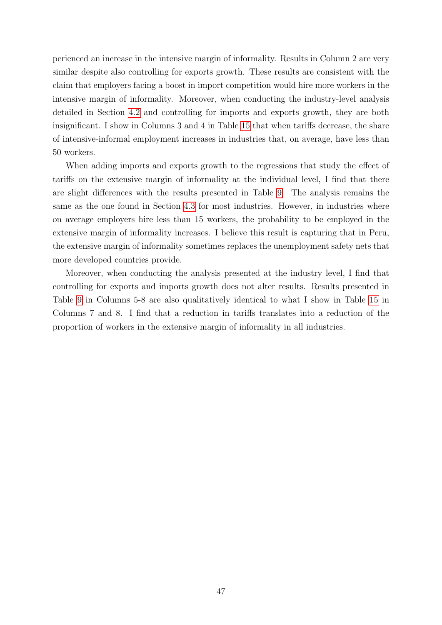perienced an increase in the intensive margin of informality. Results in Column 2 are very similar despite also controlling for exports growth. These results are consistent with the claim that employers facing a boost in import competition would hire more workers in the intensive margin of informality. Moreover, when conducting the industry-level analysis detailed in Section [4.2](#page-23-0) and controlling for imports and exports growth, they are both insignificant. I show in Columns 3 and 4 in Table [15](#page-46-0) that when tariffs decrease, the share of intensive-informal employment increases in industries that, on average, have less than 50 workers.

When adding imports and exports growth to the regressions that study the effect of tariffs on the extensive margin of informality at the individual level, I find that there are slight differences with the results presented in Table [9.](#page-31-0) The analysis remains the same as the one found in Section [4.3](#page-28-0) for most industries. However, in industries where on average employers hire less than 15 workers, the probability to be employed in the extensive margin of informality increases. I believe this result is capturing that in Peru, the extensive margin of informality sometimes replaces the unemployment safety nets that more developed countries provide.

Moreover, when conducting the analysis presented at the industry level, I find that controlling for exports and imports growth does not alter results. Results presented in Table [9](#page-31-0) in Columns 5-8 are also qualitatively identical to what I show in Table [15](#page-46-0) in Columns 7 and 8. I find that a reduction in tariffs translates into a reduction of the proportion of workers in the extensive margin of informality in all industries.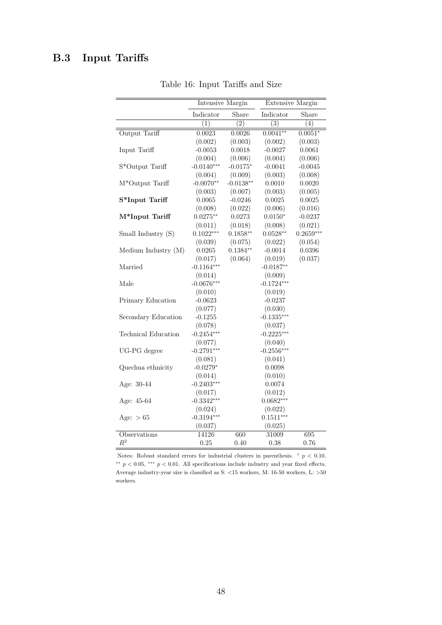## <span id="page-48-0"></span>B.3 Input Tariffs

|                            | <b>Intensive Margin</b> |             | <b>Extensive Margin</b> |             |
|----------------------------|-------------------------|-------------|-------------------------|-------------|
|                            | Indicator               | Share       | Indicator               | Share       |
|                            | (1)                     | (2)         | (3)                     | (4)         |
| Output Tariff              | 0.0023                  | 0.0026      | $0.0041**$              | $0.0051*$   |
|                            | (0.002)                 | (0.003)     | (0.002)                 | (0.003)     |
| Input Tariff               | $-0.0053$               | 0.0018      | $-0.0027$               | 0.0061      |
|                            | (0.004)                 | (0.006)     | (0.004)                 | (0.006)     |
| S*Output Tariff            | $-0.0140***$            | $-0.0175*$  | $-0.0041$               | $-0.0045$   |
|                            | (0.004)                 | (0.009)     | (0.003)                 | (0.008)     |
| M*Output Tariff            | $-0.0070**$             | $-0.0138**$ | 0.0010                  | 0.0020      |
|                            | (0.003)                 | (0.007)     | (0.003)                 | (0.005)     |
| S*Input Tariff             | 0.0065                  | $-0.0246$   | 0.0025                  | 0.0025      |
|                            | (0.008)                 | (0.022)     | (0.006)                 | (0.016)     |
| M*Input Tariff             | $0.0275**$              | 0.0273      | $0.0150*$               | $-0.0237$   |
|                            | (0.011)                 | (0.018)     | (0.008)                 | (0.021)     |
| Small Industry (S)         | $0.1022***$             | $0.1858**$  | $0.0528**$              | $0.2659***$ |
|                            | (0.039)                 | (0.075)     | (0.022)                 | (0.054)     |
| Medium Industry $(M)$      | 0.0265                  | $0.1384**$  | $-0.0014$               | 0.0396      |
|                            | (0.017)                 | (0.064)     | (0.019)                 | (0.037)     |
| Married                    | $-0.1164***$            |             | $-0.0187**$             |             |
|                            | (0.014)                 |             | (0.009)                 |             |
| Male                       | $-0.0676***$            |             | $-0.1724***$            |             |
|                            | (0.010)                 |             | (0.019)                 |             |
| Primary Education          | $-0.0623$               |             | $-0.0237$               |             |
|                            | (0.077)                 |             | (0.030)                 |             |
| Secondary Education        | $-0.1255$               |             | $-0.1335***$            |             |
|                            | (0.078)                 |             | (0.037)                 |             |
| <b>Technical Education</b> | $-0.2454***$            |             | $-0.2225***$            |             |
|                            | (0.077)                 |             | (0.040)                 |             |
| UG-PG degree               | $-0.2791***$            |             | $-0.2556***$            |             |
|                            | (0.081)                 |             | (0.041)                 |             |
| Quechua ethnicity          | $-0.0279*$              |             | 0.0098                  |             |
|                            | (0.014)                 |             | (0.010)                 |             |
| Age: 30-44                 | $-0.2403***$            |             | 0.0074                  |             |
|                            | (0.017)                 |             | (0.012)                 |             |
| Age: 45-64                 | $-0.3342***$            |             | $0.0682***$             |             |
|                            | (0.024)                 |             | (0.022)                 |             |
| Age: $> 65$                | $-0.3194***$            |             | $0.1511***$             |             |
|                            | (0.037)                 |             | (0.025)                 |             |
| Observations               | 14126                   | 660         | 31009                   | 695         |
| $R^2$                      | 0.25                    | 0.40        | 0.38                    | 0.76        |

Table 16: Input Tariffs and Size

Notes: Robust standard errors for industrial clusters in parenthesis.  $*$   $p < 0.10$ , <sup>\*\*</sup>  $p$  < 0.05, \*\*\*  $p$  < 0.01. All specifications include industry and year fixed effects. Average industry-year size is classified as S:  $<\!15$  workers, M:  $16\text{-}50$  workers, L:  $>\!50$ workers.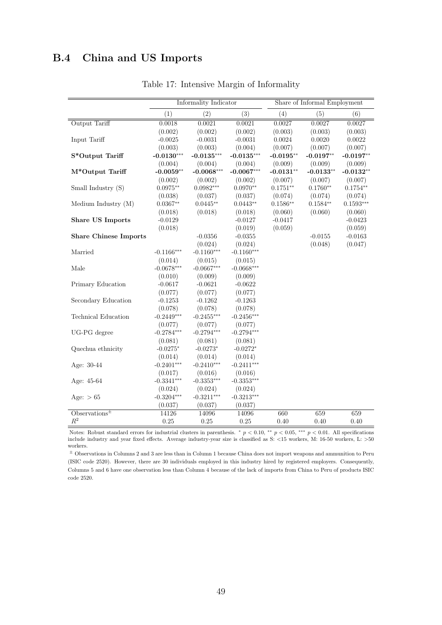### <span id="page-49-0"></span>B.4 China and US Imports

|                                      |              | Informality Indicator |              |             | Share of Informal Employment |             |
|--------------------------------------|--------------|-----------------------|--------------|-------------|------------------------------|-------------|
|                                      | (1)          | (2)                   | (3)          | (4)         | (5)                          | (6)         |
| Output Tariff                        | 0.0018       | 0.0021                | 0.0021       | 0.0027      | 0.0027                       | 0.0027      |
|                                      | (0.002)      | (0.002)               | (0.002)      | (0.003)     | (0.003)                      | (0.003)     |
| Input Tariff                         | $-0.0025$    | $-0.0031$             | $-0.0031$    | 0.0024      | 0.0020                       | 0.0022      |
|                                      | (0.003)      | (0.003)               | (0.004)      | (0.007)     | (0.007)                      | (0.007)     |
| S*Output Tariff                      | $-0.0130***$ | $-0.0135***$          | $-0.0135***$ | $-0.0195**$ | $-0.0197**$                  | $-0.0197**$ |
|                                      | (0.004)      | (0.004)               | (0.004)      | (0.009)     | (0.009)                      | (0.009)     |
| M*Output Tariff                      | $-0.0059**$  | $-0.0068***$          | $-0.0067***$ | $-0.0131**$ | $-0.0133**$                  | $-0.0132**$ |
|                                      | (0.002)      | (0.002)               | (0.002)      | (0.007)     | (0.007)                      | (0.007)     |
| Small Industry (S)                   | $0.0975**$   | $0.0982***$           | $0.0970**$   | $0.1751**$  | $0.1760**$                   | $0.1754**$  |
|                                      | (0.038)      | (0.037)               | (0.037)      | (0.074)     | (0.074)                      | (0.074)     |
| Medium Industry (M)                  | $0.0367**$   | $0.0445**$            | $0.0443**$   | $0.1586**$  | $0.1584**$                   | $0.1593***$ |
|                                      | (0.018)      | (0.018)               | (0.018)      | (0.060)     | (0.060)                      | (0.060)     |
| <b>Share US Imports</b>              | $-0.0129$    |                       | $-0.0127$    | $-0.0417$   |                              | $-0.0423$   |
|                                      | (0.018)      |                       | (0.019)      | (0.059)     |                              | (0.059)     |
| <b>Share Chinese Imports</b>         |              | $-0.0356$             | $-0.0355$    |             | $-0.0155$                    | $-0.0163$   |
|                                      |              | (0.024)               | (0.024)      |             | (0.048)                      | (0.047)     |
| Married                              | $-0.1166***$ | $-0.1160***$          | $-0.1160***$ |             |                              |             |
|                                      | (0.014)      | (0.015)               | (0.015)      |             |                              |             |
| $\rm Male$                           | $-0.0678***$ | $-0.0667***$          | $-0.0668***$ |             |                              |             |
|                                      | (0.010)      | (0.009)               | (0.009)      |             |                              |             |
| Primary Education                    | $-0.0617$    | $-0.0621$             | $-0.0622$    |             |                              |             |
|                                      | (0.077)      | (0.077)               | (0.077)      |             |                              |             |
| Secondary Education                  | $-0.1253$    | $-0.1262$             | $-0.1263$    |             |                              |             |
|                                      | (0.078)      | (0.078)               | (0.078)      |             |                              |             |
| Technical Education                  | $-0.2449***$ | $-0.2455***$          | $-0.2456***$ |             |                              |             |
|                                      | (0.077)      | (0.077)               | (0.077)      |             |                              |             |
| UG-PG degree                         | $-0.2784***$ | $-0.2794***$          | $-0.2794***$ |             |                              |             |
|                                      | (0.081)      | (0.081)               | (0.081)      |             |                              |             |
| Quechua ethnicity                    | $-0.0275*$   | $-0.0273*$            | $-0.0272*$   |             |                              |             |
|                                      | (0.014)      | (0.014)               | (0.014)      |             |                              |             |
| Age: 30-44                           | $-0.2401***$ | $-0.2410***$          | $-0.2411***$ |             |                              |             |
|                                      | (0.017)      | (0.016)               | (0.016)      |             |                              |             |
| Age: 45-64                           | $-0.3341***$ | $-0.3353***$          | $-0.3353***$ |             |                              |             |
|                                      | (0.024)      | (0.024)               | (0.024)      |             |                              |             |
| Age: $> 65$                          | $-0.3204***$ | $-0.3211***$          | $-0.3213***$ |             |                              |             |
|                                      | (0.037)      | (0.037)               | (0.037)      |             |                              |             |
| O <sub>bervations</sub> <sup>±</sup> | 14126        | 14096                 | 14096        | 660         | 659                          | 659         |
| $\mathbb{R}^2$                       | 0.25         | 0.25                  | 0.25         | 0.40        | 0.40                         | $0.40\,$    |

Table 17: Intensive Margin of Informality

Notes: Robust standard errors for industrial clusters in parenthesis. \*  $p < 0.10$ , \*\*  $p < 0.05$ , \*\*\*  $p < 0.01$ . All specifications include industry and year fixed effects. Average industry-year size is classified as S: <15 workers, M: 16-50 workers, L: >50 workers.

 $^\pm$  Observations in Columns 2 and 3 are less than in Column 1 because China does not import weapons and ammunition to Peru (ISIC code 2520). However, there are 30 individuals employed in this industry hired by registered employers. Consequently, Columns 5 and 6 have one observation less than Column 4 because of the lack of imports from China to Peru of products ISIC code 2520.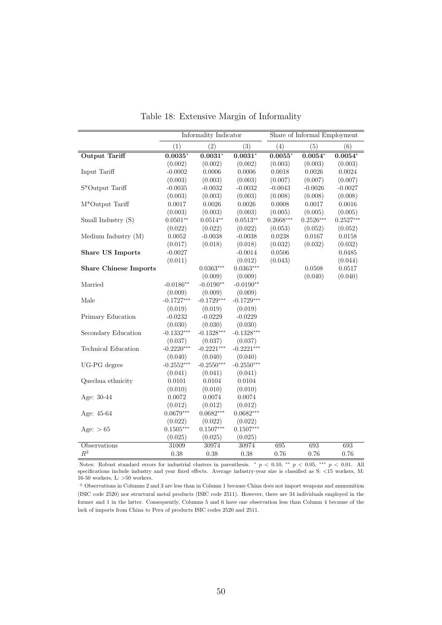|                              |                         | Informality Indicator |              |               | Share of Informal Employment |             |
|------------------------------|-------------------------|-----------------------|--------------|---------------|------------------------------|-------------|
|                              | (1)                     | (2)                   | (3)          | (4)           | (5)                          | (6)         |
| <b>Output Tariff</b>         | $0.\overline{0035^{*}}$ | $0.0031*$             | $0.0031*$    | $0.0055^\ast$ | $0.0054*$                    | $0.0054*$   |
|                              | (0.002)                 | (0.002)               | (0.002)      | (0.003)       | (0.003)                      | (0.003)     |
| Input Tariff                 | $-0.0002$               | 0.0006                | 0.0006       | 0.0018        | 0.0026                       | 0.0024      |
|                              | (0.003)                 | (0.003)               | (0.003)      | (0.007)       | (0.007)                      | (0.007)     |
| S*Output Tariff              | $-0.0035$               | $-0.0032$             | $-0.0032$    | $-0.0043$     | $-0.0026$                    | $-0.0027$   |
|                              | (0.003)                 | (0.003)               | (0.003)      | (0.008)       | (0.008)                      | (0.008)     |
| $M^*$ Output Tariff          | 0.0017                  | $0.0026\,$            | 0.0026       | 0.0008        | 0.0017                       | 0.0016      |
|                              | (0.003)                 | (0.003)               | (0.003)      | (0.005)       | (0.005)                      | (0.005)     |
| Small Industry (S)           | $0.0501**$              | $0.0514**$            | $0.0513**$   | $0.2668***$   | $0.2526***$                  | $0.2527***$ |
|                              | (0.022)                 | (0.022)               | (0.022)      | (0.053)       | (0.052)                      | (0.052)     |
| Medium Industry (M)          | 0.0052                  | $-0.0038$             | $-0.0038$    | 0.0238        | 0.0167                       | 0.0158      |
|                              | (0.017)                 | (0.018)               | (0.018)      | (0.032)       | (0.032)                      | (0.032)     |
| <b>Share US Imports</b>      | $-0.0027$               |                       | $-0.0014$    | 0.0506        |                              | 0.0485      |
|                              | (0.011)                 |                       | (0.012)      | (0.043)       |                              | (0.044)     |
| <b>Share Chinese Imports</b> |                         | $0.0363***$           | $0.0363***$  |               | 0.0508                       | 0.0517      |
|                              |                         | (0.009)               | (0.009)      |               | (0.040)                      | (0.040)     |
| Married                      | $-0.0186**$             | $-0.0190**$           | $-0.0190**$  |               |                              |             |
|                              | (0.009)                 | (0.009)               | (0.009)      |               |                              |             |
| Male                         | $-0.1727***$            | $-0.1729***$          | $-0.1729***$ |               |                              |             |
|                              | (0.019)                 | (0.019)               | (0.019)      |               |                              |             |
| Primary Education            | $-0.0232$               | $-0.0229$             | $-0.0229$    |               |                              |             |
|                              | (0.030)                 | (0.030)               | (0.030)      |               |                              |             |
| Secondary Education          | $-0.1332***$            | $-0.1328***$          | $-0.1328***$ |               |                              |             |
|                              | (0.037)                 | (0.037)               | (0.037)      |               |                              |             |
| <b>Technical Education</b>   | $-0.2220***$            | $-0.2221***$          | $-0.2221***$ |               |                              |             |
|                              | (0.040)                 | (0.040)               | (0.040)      |               |                              |             |
| UG-PG degree                 | $-0.2552***$            | $-0.2550***$          | $-0.2550***$ |               |                              |             |
|                              | (0.041)                 | (0.041)               | (0.041)      |               |                              |             |
| Quechua ethnicity            | 0.0101                  | 0.0104                | 0.0104       |               |                              |             |
|                              | (0.010)                 | (0.010)               | (0.010)      |               |                              |             |
| Age: 30-44                   | 0.0072                  | 0.0074                | 0.0074       |               |                              |             |
|                              | (0.012)                 | (0.012)               | (0.012)      |               |                              |             |
| Age: 45-64                   | $0.0679***$             | $0.0682***$           | $0.0682***$  |               |                              |             |
|                              | (0.022)                 | (0.022)               | (0.022)      |               |                              |             |
| Age: $> 65$                  | $0.1505***$             | $0.1507***$           | $0.1507***$  |               |                              |             |
|                              | (0.025)                 | (0.025)               | (0.025)      |               |                              |             |
| <b>Observations</b>          | 31009                   | 30974                 | 30974        | 695           | 693                          | 693         |
| $\mathbb{R}^2$               | 0.38                    | 0.38                  | 0.38         | 0.76          | 0.76                         | 0.76        |

Table 18: Extensive Margin of Informality

Notes: Robust standard errors for industrial clusters in parenthesis. \*  $p < 0.10$ , \*\*  $p < 0.05$ , \*\*\*  $p < 0.01$ . All specifications include industry and year fixed effects. Average industry-year size is classified as S: <15 workers, M: 16-50 workers, L: >50 workers.

 $^\pm$  Observations in Columns 2 and 3 are less than in Column 1 because China does not import weapons and ammunition (ISIC code 2520) nor structural metal products (ISIC code 2511). However, there are 34 individuals employed in the former and 1 in the latter. Consequently, Columns 5 and 6 have one observation less than Column 4 because of the lack of imports from China to Peru of products ISIC codes 2520 and 2511.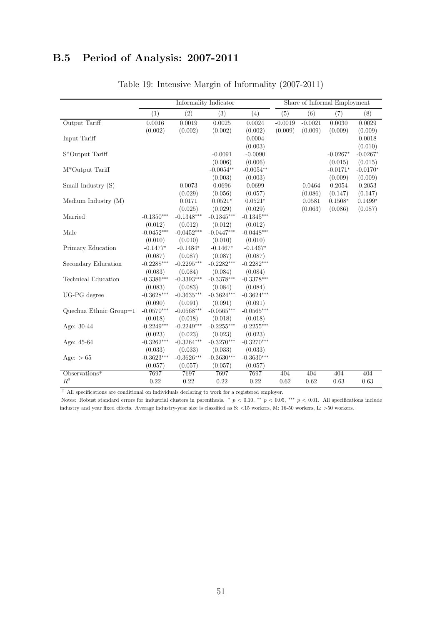# <span id="page-51-0"></span>B.5 Period of Analysis: 2007-2011

|                                                                 |              | Informality Indicator |              |              |           |           | Share of Informal Employment |            |
|-----------------------------------------------------------------|--------------|-----------------------|--------------|--------------|-----------|-----------|------------------------------|------------|
|                                                                 | (1)          | (2)                   | (3)          | (4)          | (5)       | (6)       | (7)                          | (8)        |
| Output Tariff                                                   | 0.0016       | 0.0019                | 0.0025       | 0.0024       | $-0.0019$ | $-0.0021$ | 0.0030                       | 0.0029     |
|                                                                 | (0.002)      | (0.002)               | (0.002)      | (0.002)      | (0.009)   | (0.009)   | (0.009)                      | (0.009)    |
| Input Tariff                                                    |              |                       |              | 0.0004       |           |           |                              | 0.0018     |
|                                                                 |              |                       |              | (0.003)      |           |           |                              | (0.010)    |
| $\ensuremath{\mathrm{S}} ^*\ensuremath{\mathrm{Output}}$ Tariff |              |                       | $-0.0091$    | $-0.0090$    |           |           | $-0.0267*$                   | $-0.0267*$ |
|                                                                 |              |                       | (0.006)      | (0.006)      |           |           | (0.015)                      | (0.015)    |
| M*Output Tariff                                                 |              |                       | $-0.0054**$  | $-0.0054**$  |           |           | $-0.0171*$                   | $-0.0170*$ |
|                                                                 |              |                       | (0.003)      | (0.003)      |           |           | (0.009)                      | (0.009)    |
| Small Industry (S)                                              |              | 0.0073                | 0.0696       | 0.0699       |           | 0.0464    | 0.2054                       | 0.2053     |
|                                                                 |              | (0.029)               | (0.056)      | (0.057)      |           | (0.086)   | (0.147)                      | (0.147)    |
| Medium Industry $(M)$                                           |              | 0.0171                | $0.0521*$    | $0.0521*$    |           | 0.0581    | $0.1508*$                    | $0.1499*$  |
|                                                                 |              | (0.025)               | (0.029)      | (0.029)      |           | (0.063)   | (0.086)                      | (0.087)    |
| Married                                                         | $-0.1350***$ | $-0.1348***$          | $-0.1345***$ | $-0.1345***$ |           |           |                              |            |
|                                                                 | (0.012)      | (0.012)               | (0.012)      | (0.012)      |           |           |                              |            |
| Male                                                            | $-0.0452***$ | $-0.0452***$          | $-0.0447***$ | $-0.0448***$ |           |           |                              |            |
|                                                                 | (0.010)      | (0.010)               | (0.010)      | (0.010)      |           |           |                              |            |
| Primary Education                                               | $-0.1477*$   | $-0.1484*$            | $-0.1467*$   | $-0.1467*$   |           |           |                              |            |
|                                                                 | (0.087)      | (0.087)               | (0.087)      | (0.087)      |           |           |                              |            |
| Secondary Education                                             | $-0.2288***$ | $-0.2295***$          | $-0.2282***$ | $-0.2282***$ |           |           |                              |            |
|                                                                 | (0.083)      | (0.084)               | (0.084)      | (0.084)      |           |           |                              |            |
| <b>Technical Education</b>                                      | $-0.3386***$ | $-0.3393***$          | $-0.3378***$ | $-0.3378***$ |           |           |                              |            |
|                                                                 | (0.083)      | (0.083)               | (0.084)      | (0.084)      |           |           |                              |            |
| UG-PG degree                                                    | $-0.3628***$ | $-0.3635***$          | $-0.3624***$ | $-0.3624***$ |           |           |                              |            |
|                                                                 | (0.090)      | (0.091)               | (0.091)      | (0.091)      |           |           |                              |            |
| Quechua Ethnic Group $=1$                                       | $-0.0570***$ | $-0.0568***$          | $-0.0565***$ | $-0.0565***$ |           |           |                              |            |
|                                                                 | (0.018)      | (0.018)               | (0.018)      | (0.018)      |           |           |                              |            |
| Age: 30-44                                                      | $-0.2249***$ | $-0.2249***$          | $-0.2255***$ | $-0.2255***$ |           |           |                              |            |
|                                                                 | (0.023)      | (0.023)               | (0.023)      | (0.023)      |           |           |                              |            |
| Age: 45-64                                                      | $-0.3262***$ | $-0.3264***$          | $-0.3270***$ | $-0.3270***$ |           |           |                              |            |
|                                                                 | (0.033)      | (0.033)               | (0.033)      | (0.033)      |           |           |                              |            |
| Age: $> 65$                                                     | $-0.3623***$ | $-0.3626***$          | $-0.3630***$ | $-0.3630***$ |           |           |                              |            |
|                                                                 | (0.057)      | (0.057)               | (0.057)      | (0.057)      |           |           |                              |            |
| Observations $F$                                                | 7697         | 7697                  | 7697         | 7697         | 404       | 404       | 404                          | 404        |
| $\mathbb{R}^2$                                                  | 0.22         | 0.22                  | 0.22         | 0.22         | 0.62      | 0.62      | 0.63                         | 0.63       |

### Table 19: Intensive Margin of Informality (2007-2011)

<sup>∓</sup> All specifications are conditional on individuals declaring to work for a registered employer.

Notes: Robust standard errors for industrial clusters in parenthesis.  $* p < 0.10, ** p < 0.05, *** p < 0.01$ . All specifications include industry and year fixed effects. Average industry-year size is classified as S: <15 workers, M: 16-50 workers, L: >50 workers.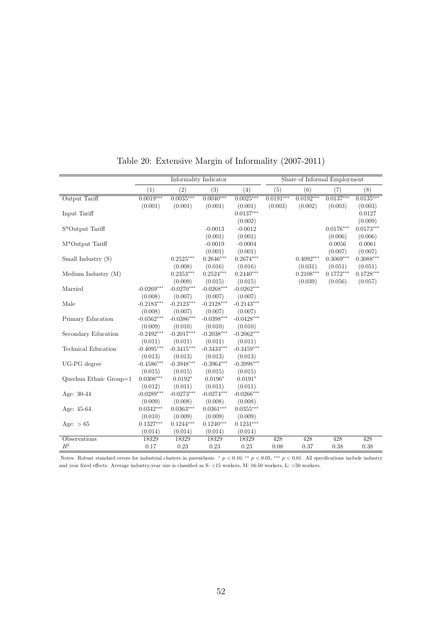|                        |              |              | Informality Indicator |                  |             | Share of Informal Employment |             |             |
|------------------------|--------------|--------------|-----------------------|------------------|-------------|------------------------------|-------------|-------------|
|                        | (1)          | (2)          | (3)                   | $\left(4\right)$ | (5)         | (6)                          | (7)         | (8)         |
| Output Tariff          | $0.0019***$  | $0.0035***$  | $0.0040***$           | $0.0025***$      | $0.0191***$ | $0.0192***$                  | $0.0137***$ | $0.0135***$ |
|                        | (0.001)      | (0.001)      | (0.001)               | (0.001)          | (0.003)     | (0.002)                      | (0.003)     | (0.003)     |
| Input Tariff           |              |              |                       | $0.0137***$      |             |                              |             | 0.0127      |
|                        |              |              |                       | (0.002)          |             |                              |             | (0.009)     |
| S*Output Tariff        |              |              | $-0.0013$             | $-0.0012$        |             |                              | $0.0176***$ | $0.0173***$ |
|                        |              |              | (0.001)               | (0.001)          |             |                              | (0.006)     | (0.006)     |
| M*Output Tariff        |              |              | $-0.0019$             | $-0.0004$        |             |                              | 0.0056      | 0.0061      |
|                        |              |              | (0.001)               | (0.001)          |             |                              | (0.007)     | (0.007)     |
| Small Industry (S)     |              | $0.2525***$  | $0.2646***$           | $0.2674***$      |             | $0.4092***$                  | $0.3069***$ | $0.3088***$ |
|                        |              | (0.008)      | (0.016)               | (0.016)          |             | (0.031)                      | (0.051)     | (0.051)     |
| Medium Industry (M)    |              | $0.2353***$  | $0.2524***$           | $0.2440***$      |             | $0.2108***$                  | $0.1772***$ | $0.1728***$ |
|                        |              | (0.009)      | (0.015)               | (0.015)          |             | (0.039)                      | (0.056)     | (0.057)     |
| Married                | $-0.0269***$ | $-0.0270***$ | $-0.0268***$          | $-0.0262***$     |             |                              |             |             |
|                        | (0.008)      | (0.007)      | (0.007)               | (0.007)          |             |                              |             |             |
| Male                   | $-0.2183***$ | $-0.2123***$ | $-0.2128***$          | $-0.2143***$     |             |                              |             |             |
|                        | (0.008)      | (0.007)      | (0.007)               | (0.007)          |             |                              |             |             |
| Primary Education      | $-0.0562***$ | $-0.0386***$ | $-0.0398***$          | $-0.0428***$     |             |                              |             |             |
|                        | (0.009)      | (0.010)      | (0.010)               | (0.010)          |             |                              |             |             |
| Secondary Education    | $-0.2492***$ | $-0.2017***$ | $-0.2038***$          | $-0.2062***$     |             |                              |             |             |
|                        | (0.011)      | (0.011)      | (0.011)               | (0.011)          |             |                              |             |             |
| Technical Education    | $-0.4095***$ | $-0.3415***$ | $-0.3433***$          | $-0.3459***$     |             |                              |             |             |
|                        | (0.013)      | (0.013)      | (0.013)               | (0.013)          |             |                              |             |             |
| UG-PG degree           | $-0.4586***$ | $-0.3948***$ | $-0.3964***$          | $-0.3998***$     |             |                              |             |             |
|                        | (0.015)      | (0.015)      | (0.015)               | (0.015)          |             |                              |             |             |
| Quechua Ethnic Group=1 | $0.0308***$  | $0.0192*$    | $0.0196*$             | $0.0191*$        |             |                              |             |             |
|                        | (0.012)      | (0.011)      | (0.011)               | (0.011)          |             |                              |             |             |
| Age: 30-44             | $-0.0289***$ | $-0.0273***$ | $-0.0274***$          | $-0.0266***$     |             |                              |             |             |
|                        | (0.009)      | (0.008)      | (0.008)               | (0.008)          |             |                              |             |             |
| Age: 45-64             | $0.0342***$  | $0.0363***$  | $0.0361***$           | $0.0355***$      |             |                              |             |             |
|                        | (0.010)      | (0.009)      | (0.009)               | (0.009)          |             |                              |             |             |
| Age: $> 65$            | $0.1327***$  | $0.1244***$  | $0.1240***$           | $0.1231***$      |             |                              |             |             |
|                        | (0.014)      | (0.014)      | (0.014)               | (0.014)          |             |                              |             |             |
| Observations           | 18329        | 18329        | 18329                 | 18329            | 428         | 428                          | 428         | 428         |
| $\mathbb{R}^2$         | 0.17         | 0.23         | 0.23                  | 0.23             | 0.08        | 0.37                         | 0.38        | 0.38        |

Table 20: Extensive Margin of Informality (2007-2011)

Notes: Robust standard errors for industrial clusters in parenthesis.  $* p < 0.10$ ,  $** p < 0.05$ ,  $*** p < 0.01$ . All specifications include industry and year fixed effects. Average industry-year size is classified as S:  $<$ 15 workers, M: 16-50 workers, L: >50 workers.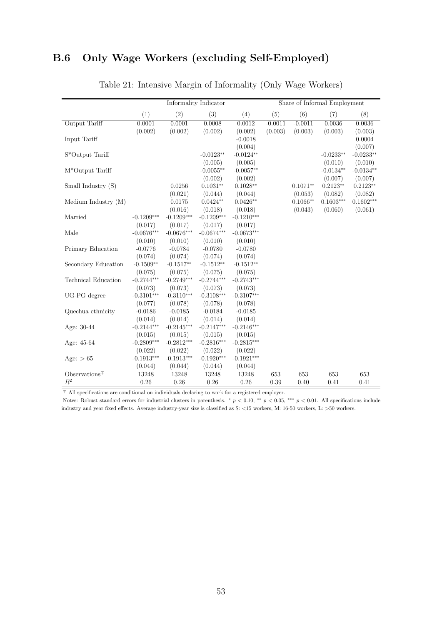## <span id="page-53-0"></span>B.6 Only Wage Workers (excluding Self-Employed)

|                            |              | Informality Indicator |              |              |           |            | Share of Informal Employment |             |
|----------------------------|--------------|-----------------------|--------------|--------------|-----------|------------|------------------------------|-------------|
|                            | (1)          | (2)                   | (3)          | (4)          | (5)       | (6)        | (7)                          | (8)         |
| Output Tariff              | 0.0001       | 0.0001                | 0.0008       | 0.0012       | $-0.0011$ | $-0.0011$  | 0.0036                       | 0.0036      |
|                            | (0.002)      | (0.002)               | (0.002)      | (0.002)      | (0.003)   | (0.003)    | (0.003)                      | (0.003)     |
| Input Tariff               |              |                       |              | $-0.0018$    |           |            |                              | 0.0004      |
|                            |              |                       |              | (0.004)      |           |            |                              | (0.007)     |
| S*Output Tariff            |              |                       | $-0.0123**$  | $-0.0124**$  |           |            | $-0.0233**$                  | $-0.0233**$ |
|                            |              |                       | (0.005)      | (0.005)      |           |            | (0.010)                      | (0.010)     |
| M*Output Tariff            |              |                       | $-0.0055**$  | $-0.0057**$  |           |            | $-0.0134**$                  | $-0.0134**$ |
|                            |              |                       | (0.002)      | (0.002)      |           |            | (0.007)                      | (0.007)     |
| Small Industry (S)         |              | 0.0256                | $0.1031**$   | $0.1028**$   |           | $0.1071**$ | $0.2123**$                   | $0.2123**$  |
|                            |              | (0.021)               | (0.044)      | (0.044)      |           | (0.053)    | (0.082)                      | (0.082)     |
| Medium Industry (M)        |              | 0.0175                | $0.0424**$   | $0.0426**$   |           | $0.1066**$ | $0.1603***$                  | $0.1602***$ |
|                            |              | (0.016)               | (0.018)      | (0.018)      |           | (0.043)    | (0.060)                      | (0.061)     |
| Married                    | $-0.1209***$ | $-0.1209***$          | $-0.1209***$ | $-0.1210***$ |           |            |                              |             |
|                            | (0.017)      | (0.017)               | (0.017)      | (0.017)      |           |            |                              |             |
| Male                       | $-0.0676***$ | $-0.0676***$          | $-0.0674***$ | $-0.0673***$ |           |            |                              |             |
|                            | (0.010)      | (0.010)               | (0.010)      | (0.010)      |           |            |                              |             |
| Primary Education          | $-0.0776$    | $-0.0784$             | $-0.0780$    | $-0.0780$    |           |            |                              |             |
|                            | (0.074)      | (0.074)               | (0.074)      | (0.074)      |           |            |                              |             |
| Secondary Education        | $-0.1509**$  | $-0.1517**$           | $-0.1512**$  | $-0.1512**$  |           |            |                              |             |
|                            | (0.075)      | (0.075)               | (0.075)      | (0.075)      |           |            |                              |             |
| <b>Technical Education</b> | $-0.2744***$ | $-0.2749***$          | $-0.2744***$ | $-0.2743***$ |           |            |                              |             |
|                            | (0.073)      | (0.073)               | (0.073)      | (0.073)      |           |            |                              |             |
| UG-PG degree               | $-0.3101***$ | $-0.3110***$          | $-0.3108***$ | $-0.3107***$ |           |            |                              |             |
|                            | (0.077)      | (0.078)               | (0.078)      | (0.078)      |           |            |                              |             |
| Quechua ethnicity          | $-0.0186$    | $-0.0185$             | $-0.0184$    | $-0.0185$    |           |            |                              |             |
|                            | (0.014)      | (0.014)               | (0.014)      | (0.014)      |           |            |                              |             |
| Age: $30-44$               | $-0.2144***$ | $-0.2145***$          | $-0.2147***$ | $-0.2146***$ |           |            |                              |             |
|                            | (0.015)      | (0.015)               | (0.015)      | (0.015)      |           |            |                              |             |
| Age: 45-64                 | $-0.2809***$ | $-0.2812***$          | $-0.2816***$ | $-0.2815***$ |           |            |                              |             |
|                            | (0.022)      | (0.022)               | (0.022)      | (0.022)      |           |            |                              |             |
| Age: $> 65$                | $-0.1913***$ | $-0.1913***$          | $-0.1920***$ | $-0.1921***$ |           |            |                              |             |
|                            | (0.044)      | (0.044)               | (0.044)      | (0.044)      |           |            |                              |             |
| $Observations+$            | 13248        | 13248                 | 13248        | 13248        | 653       | 653        | 653                          | 653         |
| $R^2$                      | 0.26         | 0.26                  | 0.26         | 0.26         | 0.39      | 0.40       | 0.41                         | 0.41        |

### Table 21: Intensive Margin of Informality (Only Wage Workers)

 $\overline{\texttt{+}}$  All specifications are conditional on individuals declaring to work for a registered employer.

Notes: Robust standard errors for industrial clusters in parenthesis.  $*$   $p$  < 0.10,  $**$   $p$  < 0.05,  $***$   $p$  < 0.01. All specifications include industry and year fixed effects. Average industry-year size is classified as S: <15 workers, M: 16-50 workers, L: >50 workers.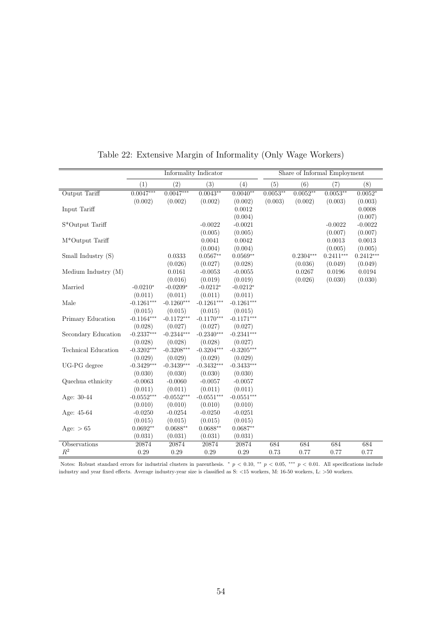|                                                                 |              |              | Informality Indicator |              |            | Share of Informal Employment |             |             |
|-----------------------------------------------------------------|--------------|--------------|-----------------------|--------------|------------|------------------------------|-------------|-------------|
|                                                                 | (1)          | (2)          | (3)                   | (4)          | (5)        | (6)                          | (7)         | (8)         |
| Output Tariff                                                   | $0.0047***$  | $0.0047***$  | $0.0043**$            | $0.0040**$   | $0.0053**$ | $0.0052**$                   | $0.0053**$  | $0.0052*$   |
|                                                                 | (0.002)      | (0.002)      | (0.002)               | (0.002)      | (0.003)    | (0.002)                      | (0.003)     | (0.003)     |
| Input Tariff                                                    |              |              |                       | 0.0012       |            |                              |             | 0.0008      |
|                                                                 |              |              |                       | (0.004)      |            |                              |             | (0.007)     |
| $\ensuremath{\mathrm{S}} ^*\ensuremath{\mathrm{Output}}$ Tariff |              |              | $-0.0022$             | $-0.0021$    |            |                              | $-0.0022$   | $-0.0022$   |
|                                                                 |              |              | (0.005)               | (0.005)      |            |                              | (0.007)     | (0.007)     |
| M*Output Tariff                                                 |              |              | 0.0041                | 0.0042       |            |                              | 0.0013      | 0.0013      |
|                                                                 |              |              | (0.004)               | (0.004)      |            |                              | (0.005)     | (0.005)     |
| Small Industry (S)                                              |              | 0.0333       | $0.0567**$            | $0.0569**$   |            | $0.2304***$                  | $0.2411***$ | $0.2412***$ |
|                                                                 |              | (0.026)      | (0.027)               | (0.028)      |            | (0.036)                      | (0.049)     | (0.049)     |
| Medium Industry (M)                                             |              | 0.0161       | $-0.0053$             | $-0.0055$    |            | 0.0267                       | 0.0196      | 0.0194      |
|                                                                 |              | (0.016)      | (0.019)               | (0.019)      |            | (0.026)                      | (0.030)     | (0.030)     |
| Married                                                         | $-0.0210*$   | $-0.0209*$   | $-0.0212*$            | $-0.0212*$   |            |                              |             |             |
|                                                                 | (0.011)      | (0.011)      | (0.011)               | (0.011)      |            |                              |             |             |
| Male                                                            | $-0.1261***$ | $-0.1260***$ | $-0.1261***$          | $-0.1261***$ |            |                              |             |             |
|                                                                 | (0.015)      | (0.015)      | (0.015)               | (0.015)      |            |                              |             |             |
| Primary Education                                               | $-0.1164***$ | $-0.1172***$ | $-0.1170***$          | $-0.1171***$ |            |                              |             |             |
|                                                                 | (0.028)      | (0.027)      | (0.027)               | (0.027)      |            |                              |             |             |
| Secondary Education                                             | $-0.2337***$ | $-0.2344***$ | $-0.2340***$          | $-0.2341***$ |            |                              |             |             |
|                                                                 | (0.028)      | (0.028)      | (0.028)               | (0.027)      |            |                              |             |             |
| Technical Education                                             | $-0.3202***$ | $-0.3208***$ | $-0.3204***$          | $-0.3205***$ |            |                              |             |             |
|                                                                 | (0.029)      | (0.029)      | (0.029)               | (0.029)      |            |                              |             |             |
| UG-PG degree                                                    | $-0.3429***$ | $-0.3439***$ | $-0.3432***$          | $-0.3433***$ |            |                              |             |             |
|                                                                 | (0.030)      | (0.030)      | (0.030)               | (0.030)      |            |                              |             |             |
| Quechua ethnicity                                               | $-0.0063$    | $-0.0060$    | $-0.0057$             | $-0.0057$    |            |                              |             |             |
|                                                                 | (0.011)      | (0.011)      | (0.011)               | (0.011)      |            |                              |             |             |
| Age: $30-44$                                                    | $-0.0552***$ | $-0.0552***$ | $-0.0551***$          | $-0.0551***$ |            |                              |             |             |
|                                                                 | (0.010)      | (0.010)      | (0.010)               | (0.010)      |            |                              |             |             |
| Age: 45-64                                                      | $-0.0250$    | $-0.0254$    | $-0.0250$             | $-0.0251$    |            |                              |             |             |
|                                                                 | (0.015)      | (0.015)      | (0.015)               | (0.015)      |            |                              |             |             |
| Age: $> 65$                                                     | $0.0692**$   | $0.0688**$   | $0.0688**$            | $0.0687**$   |            |                              |             |             |
|                                                                 | (0.031)      | (0.031)      | (0.031)               | (0.031)      |            |                              |             |             |
| Observations                                                    | 20874        | 20874        | 20874                 | 20874        | 684        | 684                          | 684         | 684         |
| $R^2$                                                           | 0.29         | $0.29\,$     | 0.29                  | 0.29         | 0.73       | 0.77                         | 0.77        | 0.77        |

<span id="page-54-0"></span>Table 22: Extensive Margin of Informality (Only Wage Workers)

Notes: Robust standard errors for industrial clusters in parenthesis. \*  $p < 0.10$ , \*\*  $p < 0.05$ , \*\*\*  $p < 0.01$ . All specifications include industry and year fixed effects. Average industry-year size is classified as S:  $<\!15$  workers, M:  $16\text{--}50$  workers, L:  $>\!50$  workers.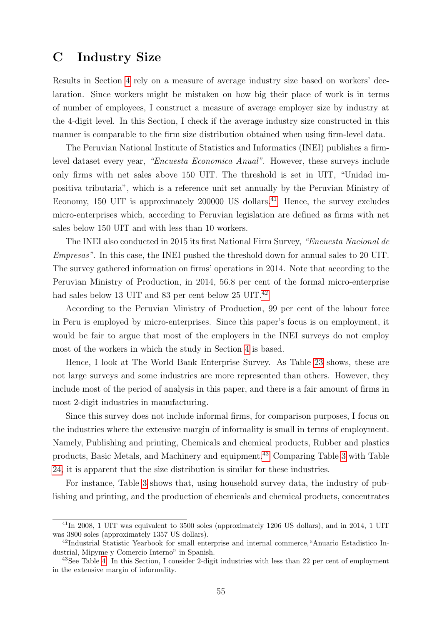### <span id="page-55-0"></span>C Industry Size

Results in Section [4](#page-20-0) rely on a measure of average industry size based on workers' declaration. Since workers might be mistaken on how big their place of work is in terms of number of employees, I construct a measure of average employer size by industry at the 4-digit level. In this Section, I check if the average industry size constructed in this manner is comparable to the firm size distribution obtained when using firm-level data.

The Peruvian National Institute of Statistics and Informatics (INEI) publishes a firmlevel dataset every year, "Encuesta Economica Anual". However, these surveys include only firms with net sales above 150 UIT. The threshold is set in UIT, "Unidad impositiva tributaria", which is a reference unit set annually by the Peruvian Ministry of Economy, 150 UIT is approximately  $200000$  US dollars.<sup>41</sup> Hence, the survey excludes micro-enterprises which, according to Peruvian legislation are defined as firms with net sales below 150 UIT and with less than 10 workers.

The INEI also conducted in 2015 its first National Firm Survey, "Encuesta Nacional de Empresas". In this case, the INEI pushed the threshold down for annual sales to 20 UIT. The survey gathered information on firms' operations in 2014. Note that according to the Peruvian Ministry of Production, in 2014, 56.8 per cent of the formal micro-enterprise had sales below 13 UIT and 83 per cent below 25 UIT.<sup>42</sup>

According to the Peruvian Ministry of Production, 99 per cent of the labour force in Peru is employed by micro-enterprises. Since this paper's focus is on employment, it would be fair to argue that most of the employers in the INEI surveys do not employ most of the workers in which the study in Section [4](#page-20-0) is based.

Hence, I look at The World Bank Enterprise Survey. As Table [23](#page-56-0) shows, these are not large surveys and some industries are more represented than others. However, they include most of the period of analysis in this paper, and there is a fair amount of firms in most 2-digit industries in manufacturing.

Since this survey does not include informal firms, for comparison purposes, I focus on the industries where the extensive margin of informality is small in terms of employment. Namely, Publishing and printing, Chemicals and chemical products, Rubber and plastics products, Basic Metals, and Machinery and equipment.<sup>43</sup> Comparing Table [3](#page-15-0) with Table [24,](#page-57-0) it is apparent that the size distribution is similar for these industries.

For instance, Table [3](#page-15-0) shows that, using household survey data, the industry of publishing and printing, and the production of chemicals and chemical products, concentrates

<sup>&</sup>lt;sup>41</sup>In 2008, 1 UIT was equivalent to 3500 soles (approximately 1206 US dollars), and in 2014, 1 UIT was 3800 soles (approximately 1357 US dollars).

<sup>42</sup>Industrial Statistic Yearbook for small enterprise and internal commerce,"Anuario Estadistico Industrial, Mipyme y Comercio Interno" in Spanish.

 $^{43}$ See Table [4.](#page-16-0) In this Section, I consider 2-digit industries with less than 22 per cent of employment in the extensive margin of informality.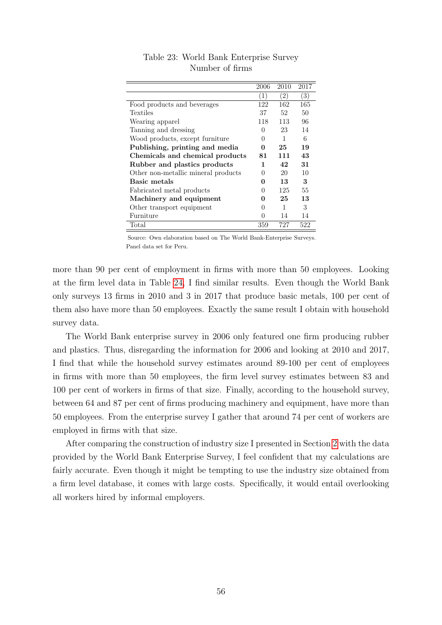<span id="page-56-0"></span>

|                                     | 2006         | 2010              | 2017 |
|-------------------------------------|--------------|-------------------|------|
|                                     | (1)          | $\left( 2\right)$ | (3)  |
| Food products and beverages         | 122          | 162               | 165  |
| Textiles                            | 37           | 52                | 50   |
| Wearing apparel                     | 118          | 113               | 96   |
| Tanning and dressing                | $\theta$     | 23                | 14   |
| Wood products, except furniture     | 0            | 1                 | 6    |
| Publishing, printing and media      | 0            | 25                | 19   |
| Chemicals and chemical products     | 81           | 111               | 43   |
| Rubber and plastics products        | 1            | 42                | 31   |
| Other non-metallic mineral products | $\theta$     | 20                | 10   |
| Basic metals                        | 0            | 13                | 3    |
| Fabricated metal products           | 0            | 125               | 55   |
| Machinery and equipment             | 0            | 25                | 13   |
| Other transport equipment           | $\cup$       | 1                 | 3    |
| Furniture                           | $\mathbf{0}$ | 14                | 14   |
| Total                               | 359          | 727               | 522  |

Table 23: World Bank Enterprise Survey Number of firms

Source: Own elaboration based on The World Bank-Enterprise Surveys. Panel data set for Peru.

more than 90 per cent of employment in firms with more than 50 employees. Looking at the firm level data in Table [24,](#page-57-0) I find similar results. Even though the World Bank only surveys 13 firms in 2010 and 3 in 2017 that produce basic metals, 100 per cent of them also have more than 50 employees. Exactly the same result I obtain with household survey data.

The World Bank enterprise survey in 2006 only featured one firm producing rubber and plastics. Thus, disregarding the information for 2006 and looking at 2010 and 2017, I find that while the household survey estimates around 89-100 per cent of employees in firms with more than 50 employees, the firm level survey estimates between 83 and 100 per cent of workers in firms of that size. Finally, according to the household survey, between 64 and 87 per cent of firms producing machinery and equipment, have more than 50 employees. From the enterprise survey I gather that around 74 per cent of workers are employed in firms with that size.

After comparing the construction of industry size I presented in Section [2](#page-5-0) with the data provided by the World Bank Enterprise Survey, I feel confident that my calculations are fairly accurate. Even though it might be tempting to use the industry size obtained from a firm level database, it comes with large costs. Specifically, it would entail overlooking all workers hired by informal employers.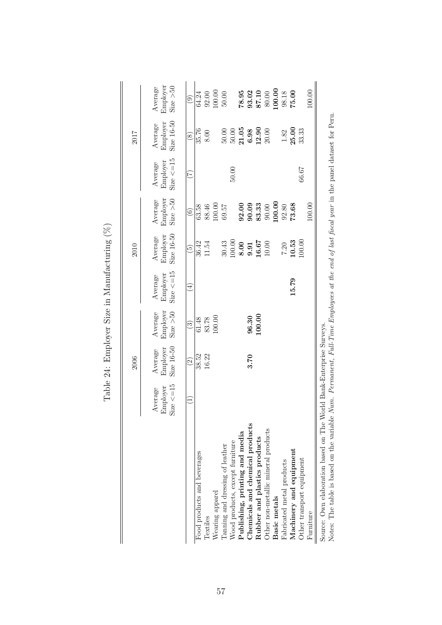<span id="page-57-0"></span>

| Size $\le$ =15<br>Employer<br>Average<br>$\bigoplus$<br>Employer<br>Size > 50<br>Average<br>100.00<br>96.30<br>100.00<br>61.48<br>83.78<br>$\widehat{\mathbf{e}}$<br>Size 16-50<br>Employer<br>Average<br>38.52<br>16.22<br>3.70<br>$\widehat{2}$<br>Size $\leq$ = 15<br>Employer<br>Average<br>Ξ<br>Chemicals and chemical products<br>Other non-metallic mineral products<br>Publishing, printing and media<br>Rubber and plastics products<br>Wood products, except furniture<br>Tanning and dressing of leather<br>Food products and beverages<br>Wearing apparel<br>Textiles |  | Size 16-50<br>Employer<br>Average<br>36.42<br>$\widetilde{\Theta}$ | Employer<br>Size > 50<br>Average<br>$\widehat{6}$ | Average                    |                                     |                                  |
|-----------------------------------------------------------------------------------------------------------------------------------------------------------------------------------------------------------------------------------------------------------------------------------------------------------------------------------------------------------------------------------------------------------------------------------------------------------------------------------------------------------------------------------------------------------------------------------|--|--------------------------------------------------------------------|---------------------------------------------------|----------------------------|-------------------------------------|----------------------------------|
|                                                                                                                                                                                                                                                                                                                                                                                                                                                                                                                                                                                   |  |                                                                    |                                                   | Size $\le$ =15<br>Employer | Size $16-50$<br>Employer<br>Average | Employer<br>Size > 50<br>Average |
|                                                                                                                                                                                                                                                                                                                                                                                                                                                                                                                                                                                   |  |                                                                    |                                                   | $(\widetilde{\zeta})$      | $\circledS$                         | $\widehat{e}$                    |
|                                                                                                                                                                                                                                                                                                                                                                                                                                                                                                                                                                                   |  |                                                                    | 63.58                                             |                            | 35.76                               | 64.24                            |
|                                                                                                                                                                                                                                                                                                                                                                                                                                                                                                                                                                                   |  | 11.54                                                              | 88.46                                             |                            | 8.00                                | $92.00$                          |
|                                                                                                                                                                                                                                                                                                                                                                                                                                                                                                                                                                                   |  |                                                                    | 100.00                                            |                            |                                     | 100.00                           |
|                                                                                                                                                                                                                                                                                                                                                                                                                                                                                                                                                                                   |  | 30.43                                                              | 69.57                                             |                            | $50.00$                             | $50.00$                          |
|                                                                                                                                                                                                                                                                                                                                                                                                                                                                                                                                                                                   |  | .00.00                                                             |                                                   | 50.00                      | $50.00$                             |                                  |
|                                                                                                                                                                                                                                                                                                                                                                                                                                                                                                                                                                                   |  | 8.00                                                               | 92.00                                             |                            | 21.05                               | 78.95                            |
|                                                                                                                                                                                                                                                                                                                                                                                                                                                                                                                                                                                   |  | 9.91                                                               | 90.09                                             |                            | 6.98                                |                                  |
|                                                                                                                                                                                                                                                                                                                                                                                                                                                                                                                                                                                   |  | 16.67                                                              | 83.33                                             |                            | 12.90                               | 93.02<br>87.10                   |
|                                                                                                                                                                                                                                                                                                                                                                                                                                                                                                                                                                                   |  | 10.00                                                              | 90.00                                             |                            | 20.00                               | 80.00                            |
| Basic metals                                                                                                                                                                                                                                                                                                                                                                                                                                                                                                                                                                      |  |                                                                    | 100.00                                            |                            |                                     | 100.00                           |
| Fabricated metal products                                                                                                                                                                                                                                                                                                                                                                                                                                                                                                                                                         |  | $7.20$                                                             | 92.80                                             |                            | 1.82                                | 98.18                            |
| 15.79<br>Machinery and equipment                                                                                                                                                                                                                                                                                                                                                                                                                                                                                                                                                  |  | 10.53                                                              | 73.68                                             |                            | 25.00                               | 75.00                            |
| Other transport equipment                                                                                                                                                                                                                                                                                                                                                                                                                                                                                                                                                         |  | 100.00                                                             |                                                   | 66.67                      | 33.33                               |                                  |
| Furniture                                                                                                                                                                                                                                                                                                                                                                                                                                                                                                                                                                         |  |                                                                    | 100.00                                            |                            |                                     | 100.00                           |

Table 24: Employer Size in Manufacturing  $(\%)$ Table 24: Employer Size in Manufacturing (%)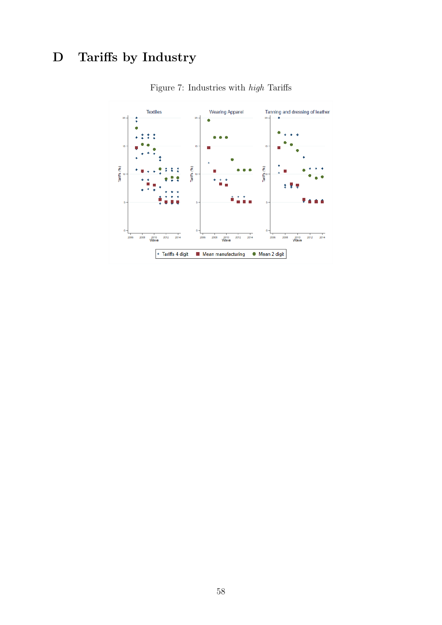# <span id="page-58-0"></span>D Tariffs by Industry



Figure 7: Industries with high Tariffs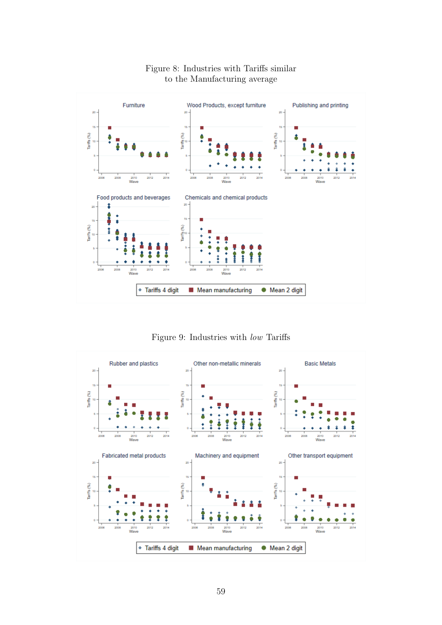

### Figure 8: Industries with Tariffs similar to the Manufacturing average

Figure 9: Industries with low Tariffs

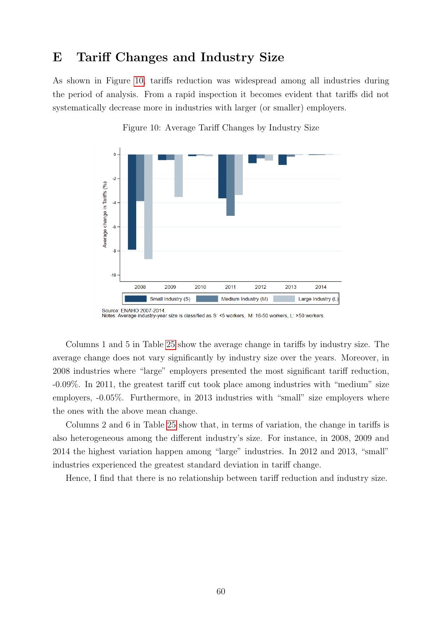## <span id="page-60-0"></span>E Tariff Changes and Industry Size

As shown in Figure 10, tariffs reduction was widespread among all industries during the period of analysis. From a rapid inspection it becomes evident that tariffs did not systematically decrease more in industries with larger (or smaller) employers.



Figure 10: Average Tariff Changes by Industry Size

Columns 1 and 5 in Table [25](#page-61-0) show the average change in tariffs by industry size. The average change does not vary significantly by industry size over the years. Moreover, in 2008 industries where "large" employers presented the most significant tariff reduction, -0.09%. In 2011, the greatest tariff cut took place among industries with "medium" size employers, -0.05%. Furthermore, in 2013 industries with "small" size employers where the ones with the above mean change.

Columns 2 and 6 in Table [25](#page-61-0) show that, in terms of variation, the change in tariffs is also heterogeneous among the different industry's size. For instance, in 2008, 2009 and 2014 the highest variation happen among "large" industries. In 2012 and 2013, "small" industries experienced the greatest standard deviation in tariff change.

Hence, I find that there is no relationship between tariff reduction and industry size.